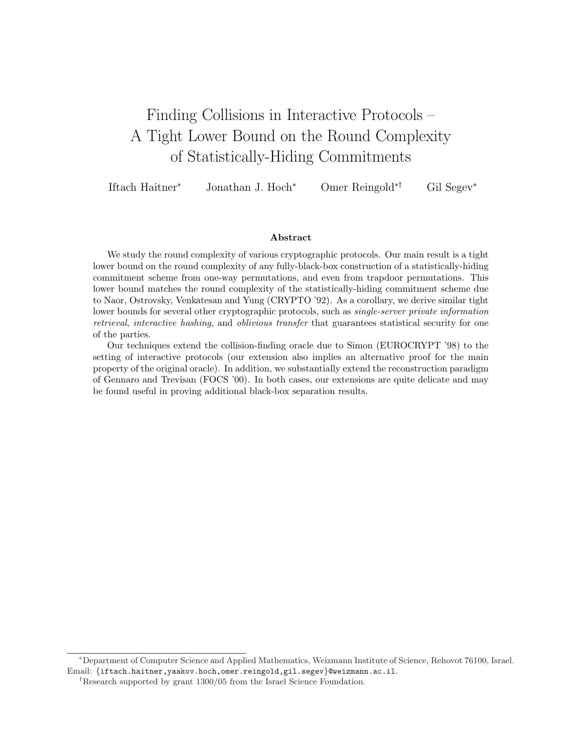# Finding Collisions in Interactive Protocols – A Tight Lower Bound on the Round Complexity of Statistically-Hiding Commitments

Iftach Haitner<sup>∗</sup> Jonathan J. Hoch<sup>∗</sup> Omer Reingold∗† Gil Segev<sup>∗</sup>

#### Abstract

We study the round complexity of various cryptographic protocols. Our main result is a tight lower bound on the round complexity of any fully-black-box construction of a statistically-hiding commitment scheme from one-way permutations, and even from trapdoor permutations. This lower bound matches the round complexity of the statistically-hiding commitment scheme due to Naor, Ostrovsky, Venkatesan and Yung (CRYPTO '92). As a corollary, we derive similar tight lower bounds for several other cryptographic protocols, such as *single-server private information* retrieval, interactive hashing, and oblivious transfer that guarantees statistical security for one of the parties.

Our techniques extend the collision-finding oracle due to Simon (EUROCRYPT '98) to the setting of interactive protocols (our extension also implies an alternative proof for the main property of the original oracle). In addition, we substantially extend the reconstruction paradigm of Gennaro and Trevisan (FOCS '00). In both cases, our extensions are quite delicate and may be found useful in proving additional black-box separation results.

<sup>∗</sup>Department of Computer Science and Applied Mathematics, Weizmann Institute of Science, Rehovot 76100, Israel. Email: {iftach.haitner,yaakov.hoch,omer.reingold,gil.segev}@weizmann.ac.il.

<sup>†</sup>Research supported by grant 1300/05 from the Israel Science Foundation.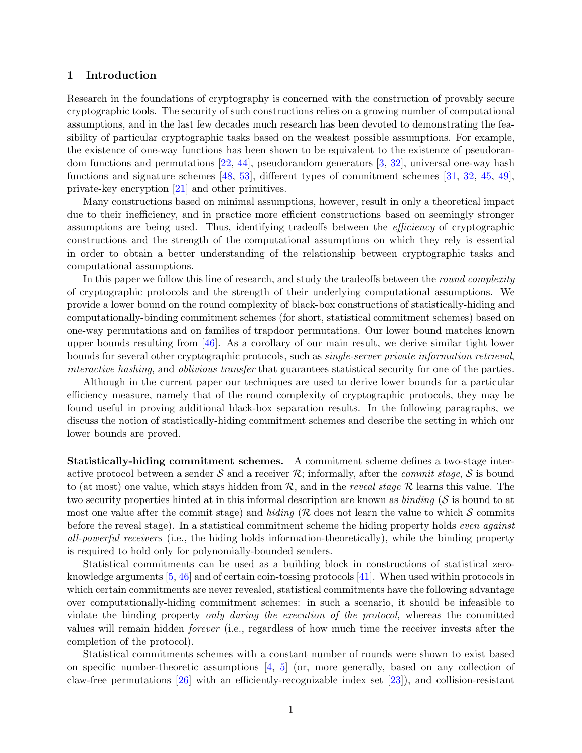## 1 Introduction

Research in the foundations of cryptography is concerned with the construction of provably secure cryptographic tools. The security of such constructions relies on a growing number of computational assumptions, and in the last few decades much research has been devoted to demonstrating the feasibility of particular cryptographic tasks based on the weakest possible assumptions. For example, the existence of one-way functions has been shown to be equivalent to the existence of pseudorandom functions and permutations [\[22,](#page-36-0) [44\]](#page-38-0), pseudorandom generators [\[3,](#page-35-0) [32\]](#page-37-0), universal one-way hash functions and signature schemes [\[48,](#page-38-1) [53\]](#page-38-2), different types of commitment schemes [\[31,](#page-37-1) [32,](#page-37-0) [45,](#page-38-3) [49\]](#page-38-4), private-key encryption [\[21\]](#page-36-1) and other primitives.

Many constructions based on minimal assumptions, however, result in only a theoretical impact due to their inefficiency, and in practice more efficient constructions based on seemingly stronger assumptions are being used. Thus, identifying tradeoffs between the *efficiency* of cryptographic constructions and the strength of the computational assumptions on which they rely is essential in order to obtain a better understanding of the relationship between cryptographic tasks and computational assumptions.

In this paper we follow this line of research, and study the tradeoffs between the *round complexity* of cryptographic protocols and the strength of their underlying computational assumptions. We provide a lower bound on the round complexity of black-box constructions of statistically-hiding and computationally-binding commitment schemes (for short, statistical commitment schemes) based on one-way permutations and on families of trapdoor permutations. Our lower bound matches known upper bounds resulting from  $[46]$ . As a corollary of our main result, we derive similar tight lower bounds for several other cryptographic protocols, such as single-server private information retrieval, interactive hashing, and oblivious transfer that guarantees statistical security for one of the parties.

Although in the current paper our techniques are used to derive lower bounds for a particular efficiency measure, namely that of the round complexity of cryptographic protocols, they may be found useful in proving additional black-box separation results. In the following paragraphs, we discuss the notion of statistically-hiding commitment schemes and describe the setting in which our lower bounds are proved.

Statistically-hiding commitment schemes. A commitment scheme defines a two-stage interactive protocol between a sender  $S$  and a receiver  $R$ ; informally, after the *commit stage*,  $S$  is bound to (at most) one value, which stays hidden from  $\mathcal{R}$ , and in the *reveal stage*  $\mathcal{R}$  learns this value. The two security properties hinted at in this informal description are known as binding ( $S$  is bound to at most one value after the commit stage) and hiding ( $R$  does not learn the value to which  $S$  commits before the reveal stage). In a statistical commitment scheme the hiding property holds *even against* all-powerful receivers (i.e., the hiding holds information-theoretically), while the binding property is required to hold only for polynomially-bounded senders.

Statistical commitments can be used as a building block in constructions of statistical zeroknowledge arguments [\[5,](#page-35-1) [46\]](#page-38-5) and of certain coin-tossing protocols [\[41\]](#page-37-2). When used within protocols in which certain commitments are never revealed, statistical commitments have the following advantage over computationally-hiding commitment schemes: in such a scenario, it should be infeasible to violate the binding property only during the execution of the protocol, whereas the committed values will remain hidden forever (i.e., regardless of how much time the receiver invests after the completion of the protocol).

Statistical commitments schemes with a constant number of rounds were shown to exist based on specific number-theoretic assumptions [\[4,](#page-35-2) [5\]](#page-35-1) (or, more generally, based on any collection of claw-free permutations [\[26\]](#page-37-3) with an efficiently-recognizable index set [\[23\]](#page-36-2)), and collision-resistant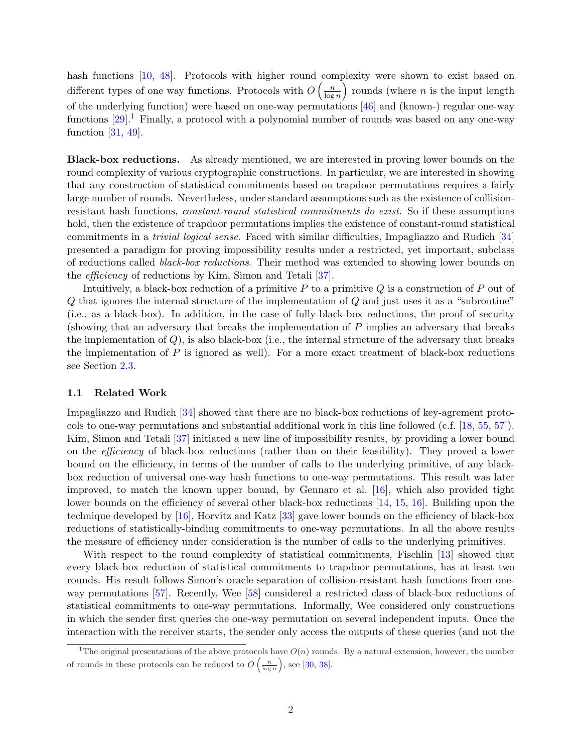hash functions [\[10,](#page-36-3) [48\]](#page-38-1). Protocols with higher round complexity were shown to exist based on different types of one way functions. Protocols with  $O\left(\frac{n}{\log n}\right)$  $\frac{n}{\log n}$  rounds (where *n* is the input length of the underlying function) were based on one-way permutations [\[46\]](#page-38-5) and (known-) regular one-way functions  $[29]$ <sup>[1](#page-2-0)</sup>. Finally, a protocol with a polynomial number of rounds was based on any one-way function [\[31,](#page-37-1) [49\]](#page-38-4).

Black-box reductions. As already mentioned, we are interested in proving lower bounds on the round complexity of various cryptographic constructions. In particular, we are interested in showing that any construction of statistical commitments based on trapdoor permutations requires a fairly large number of rounds. Nevertheless, under standard assumptions such as the existence of collisionresistant hash functions, constant-round statistical commitments do exist. So if these assumptions hold, then the existence of trapdoor permutations implies the existence of constant-round statistical commitments in a trivial logical sense. Faced with similar difficulties, Impagliazzo and Rudich [\[34\]](#page-37-5) presented a paradigm for proving impossibility results under a restricted, yet important, subclass of reductions called black-box reductions. Their method was extended to showing lower bounds on the efficiency of reductions by Kim, Simon and Tetali [\[37\]](#page-37-6).

Intuitively, a black-box reduction of a primitive  $P$  to a primitive  $Q$  is a construction of  $P$  out of Q that ignores the internal structure of the implementation of Q and just uses it as a "subroutine" (i.e., as a black-box). In addition, in the case of fully-black-box reductions, the proof of security (showing that an adversary that breaks the implementation of P implies an adversary that breaks the implementation of  $Q$ ), is also black-box (i.e., the internal structure of the adversary that breaks the implementation of  $P$  is ignored as well). For a more exact treatment of black-box reductions see Section [2.3.](#page-10-0)

#### 1.1 Related Work

Impagliazzo and Rudich [\[34\]](#page-37-5) showed that there are no black-box reductions of key-agrement protocols to one-way permutations and substantial additional work in this line followed (c.f. [\[18,](#page-36-4) [55,](#page-38-6) [57\]](#page-38-7)). Kim, Simon and Tetali [\[37\]](#page-37-6) initiated a new line of impossibility results, by providing a lower bound on the efficiency of black-box reductions (rather than on their feasibility). They proved a lower bound on the efficiency, in terms of the number of calls to the underlying primitive, of any blackbox reduction of universal one-way hash functions to one-way permutations. This result was later improved, to match the known upper bound, by Gennaro et al. [\[16\]](#page-36-5), which also provided tight lower bounds on the efficiency of several other black-box reductions [\[14,](#page-36-6) [15,](#page-36-7) [16\]](#page-36-5). Building upon the technique developed by [\[16\]](#page-36-5), Horvitz and Katz [\[33\]](#page-37-7) gave lower bounds on the efficiency of black-box reductions of statistically-binding commitments to one-way permutations. In all the above results the measure of efficiency under consideration is the number of calls to the underlying primitives.

With respect to the round complexity of statistical commitments, Fischlin [\[13\]](#page-36-8) showed that every black-box reduction of statistical commitments to trapdoor permutations, has at least two rounds. His result follows Simon's oracle separation of collision-resistant hash functions from oneway permutations [\[57\]](#page-38-7). Recently, Wee [\[58\]](#page-38-8) considered a restricted class of black-box reductions of statistical commitments to one-way permutations. Informally, Wee considered only constructions in which the sender first queries the one-way permutation on several independent inputs. Once the interaction with the receiver starts, the sender only access the outputs of these queries (and not the

<span id="page-2-0"></span><sup>&</sup>lt;sup>1</sup>The original presentations of the above protocols have  $O(n)$  rounds. By a natural extension, however, the number of rounds in these protocols can be reduced to  $O\left(\frac{n}{\log n}\right)$ , see [\[30,](#page-37-8) [38\]](#page-37-9).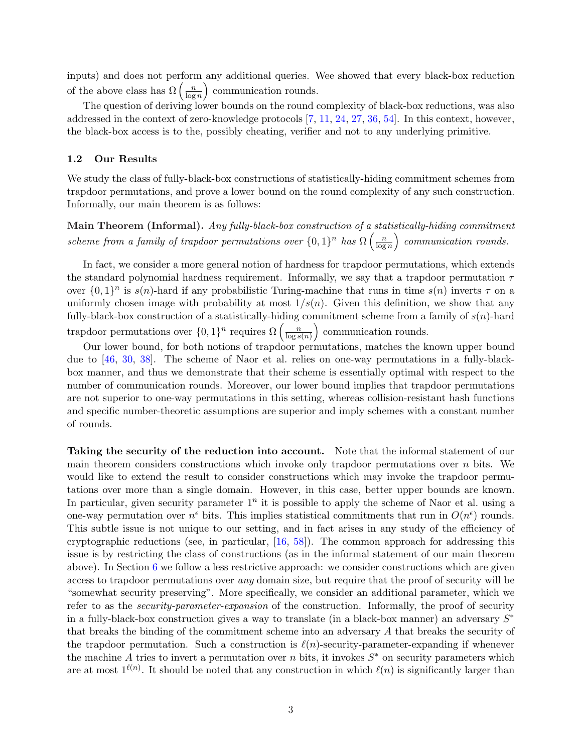inputs) and does not perform any additional queries. Wee showed that every black-box reduction mputs) and does not perform<br>of the above class has  $\Omega\left(\frac{n}{\log n}\right)$  $\frac{n}{\log n}$  communication rounds.

The question of deriving lower bounds on the round complexity of black-box reductions, was also addressed in the context of zero-knowledge protocols [\[7,](#page-35-3) [11,](#page-36-9) [24,](#page-36-10) [27,](#page-37-10) [36,](#page-37-11) [54\]](#page-38-9). In this context, however, the black-box access is to the, possibly cheating, verifier and not to any underlying primitive.

#### <span id="page-3-0"></span>1.2 Our Results

We study the class of fully-black-box constructions of statistically-hiding commitment schemes from trapdoor permutations, and prove a lower bound on the round complexity of any such construction. Informally, our main theorem is as follows:

 $\textbf{Main Theorem (Informal)}.\ \textit{Any fully-black-box construction of a statistically-hiding commitment}$ scheme from a family of trapdoor permutations over  $\{0,1\}^n$  has  $\Omega\left(\frac{n}{\log n}\right)$  $\frac{n}{\log n}$  communication rounds.

In fact, we consider a more general notion of hardness for trapdoor permutations, which extends the standard polynomial hardness requirement. Informally, we say that a trapdoor permutation  $\tau$ over  $\{0,1\}^n$  is  $s(n)$ -hard if any probabilistic Turing-machine that runs in time  $s(n)$  inverts  $\tau$  on a uniformly chosen image with probability at most  $1/s(n)$ . Given this definition, we show that any fully-black-box construction of a statistically-hiding commitment scheme from a family of  $s(n)$ -hard runy-black-box construction or a statistically-hiding<br>trapdoor permutations over  $\{0,1\}^n$  requires  $\Omega\left(\frac{n}{\log n}\right)$  $\frac{n}{\log s(n)}$  communication rounds.

Our lower bound, for both notions of trapdoor permutations, matches the known upper bound due to [\[46,](#page-38-5) [30,](#page-37-8) [38\]](#page-37-9). The scheme of Naor et al. relies on one-way permutations in a fully-blackbox manner, and thus we demonstrate that their scheme is essentially optimal with respect to the number of communication rounds. Moreover, our lower bound implies that trapdoor permutations are not superior to one-way permutations in this setting, whereas collision-resistant hash functions and specific number-theoretic assumptions are superior and imply schemes with a constant number of rounds.

Taking the security of the reduction into account. Note that the informal statement of our main theorem considers constructions which invoke only trapdoor permutations over  $n$  bits. We would like to extend the result to consider constructions which may invoke the trapdoor permutations over more than a single domain. However, in this case, better upper bounds are known. In particular, given security parameter  $1^n$  it is possible to apply the scheme of Naor et al. using a one-way permutation over  $n^{\epsilon}$  bits. This implies statistical commitments that run in  $O(n^{\epsilon})$  rounds. This subtle issue is not unique to our setting, and in fact arises in any study of the efficiency of cryptographic reductions (see, in particular, [\[16,](#page-36-5) [58\]](#page-38-8)). The common approach for addressing this issue is by restricting the class of constructions (as in the informal statement of our main theorem above). In Section [6](#page-31-0) we follow a less restrictive approach: we consider constructions which are given access to trapdoor permutations over any domain size, but require that the proof of security will be "somewhat security preserving". More specifically, we consider an additional parameter, which we refer to as the *security-parameter-expansion* of the construction. Informally, the proof of security in a fully-black-box construction gives a way to translate (in a black-box manner) an adversary  $S^*$ that breaks the binding of the commitment scheme into an adversary A that breaks the security of the trapdoor permutation. Such a construction is  $\ell(n)$ -security-parameter-expanding if whenever the machine A tries to invert a permutation over n bits, it invokes  $S^*$  on security parameters which are at most  $1^{\ell(n)}$ . It should be noted that any construction in which  $\ell(n)$  is significantly larger than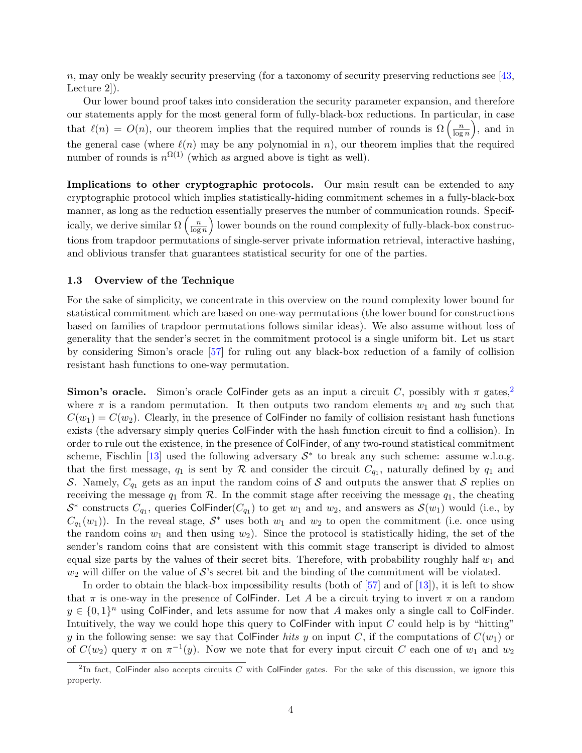n, may only be weakly security preserving (for a taxonomy of security preserving reductions see  $[43,$ Lecture 2]).

Our lower bound proof takes into consideration the security parameter expansion, and therefore our statements apply for the most general form of fully-black-box reductions. In particular, in case our statements apply for the most general form of fully-black-box reductions. In particular that  $\ell(n) = O(n)$ , our theorem implies that the required number of rounds is  $\Omega\left(\frac{n}{\log n}\right)$  $\frac{n}{\log n}$ , and in the general case (where  $\ell(n)$  may be any polynomial in n), our theorem implies that the required number of rounds is  $n^{\Omega(1)}$  (which as argued above is tight as well).

Implications to other cryptographic protocols. Our main result can be extended to any cryptographic protocol which implies statistically-hiding commitment schemes in a fully-black-box manner, as long as the reduction essentially preserves the number of communication rounds. Specifmanner, as long as the reduction-<br>ically, we derive similar  $\Omega\left(\frac{n}{\log n}\right)$  $\left(\frac{n}{\log n}\right)$  lower bounds on the round complexity of fully-black-box constructions from trapdoor permutations of single-server private information retrieval, interactive hashing, and oblivious transfer that guarantees statistical security for one of the parties.

#### 1.3 Overview of the Technique

For the sake of simplicity, we concentrate in this overview on the round complexity lower bound for statistical commitment which are based on one-way permutations (the lower bound for constructions based on families of trapdoor permutations follows similar ideas). We also assume without loss of generality that the sender's secret in the commitment protocol is a single uniform bit. Let us start by considering Simon's oracle [\[57\]](#page-38-7) for ruling out any black-box reduction of a family of collision resistant hash functions to one-way permutation.

**Simon's oracle.** Simon's oracle ColFinder gets as an input a circuit C, possibly with  $\pi$  gates,<sup>[2](#page-4-0)</sup> where  $\pi$  is a random permutation. It then outputs two random elements  $w_1$  and  $w_2$  such that  $C(w_1) = C(w_2)$ . Clearly, in the presence of ColFinder no family of collision resistant hash functions exists (the adversary simply queries ColFinder with the hash function circuit to find a collision). In order to rule out the existence, in the presence of ColFinder, of any two-round statistical commitment scheme, Fischlin [\[13\]](#page-36-8) used the following adversary  $S^*$  to break any such scheme: assume w.l.o.g. that the first message,  $q_1$  is sent by  $R$  and consider the circuit  $C_{q_1}$ , naturally defined by  $q_1$  and S. Namely,  $C_{q_1}$  gets as an input the random coins of S and outputs the answer that S replies on receiving the message  $q_1$  from  $R$ . In the commit stage after receiving the message  $q_1$ , the cheating  $S^*$  constructs  $C_{q_1}$ , queries ColFinder( $C_{q_1}$ ) to get  $w_1$  and  $w_2$ , and answers as  $S(w_1)$  would (i.e., by  $C_{q_1}(w_1)$ ). In the reveal stage,  $S^*$  uses both  $w_1$  and  $w_2$  to open the commitment (i.e. once using the random coins  $w_1$  and then using  $w_2$ ). Since the protocol is statistically hiding, the set of the sender's random coins that are consistent with this commit stage transcript is divided to almost equal size parts by the values of their secret bits. Therefore, with probability roughly half  $w_1$  and  $w_2$  will differ on the value of S's secret bit and the binding of the commitment will be violated.

In order to obtain the black-box impossibility results (both of  $[57]$  and of  $[13]$ ), it is left to show that  $\pi$  is one-way in the presence of ColFinder. Let A be a circuit trying to invert  $\pi$  on a random  $y \in \{0,1\}^n$  using ColFinder, and lets assume for now that A makes only a single call to ColFinder. Intuitively, the way we could hope this query to ColFinder with input  $C$  could help is by "hitting" y in the following sense: we say that ColFinder hits y on input C, if the computations of  $C(w_1)$  or of  $C(w_2)$  query  $\pi$  on  $\pi^{-1}(y)$ . Now we note that for every input circuit C each one of  $w_1$  and  $w_2$ 

<span id="page-4-0"></span><sup>&</sup>lt;sup>2</sup>In fact, ColFinder also accepts circuits C with ColFinder gates. For the sake of this discussion, we ignore this property.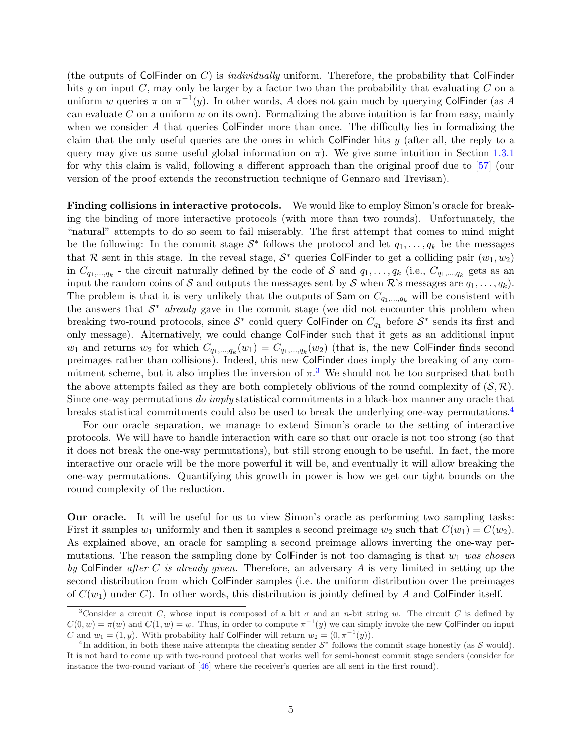(the outputs of ColFinder on  $C$ ) is *individually* uniform. Therefore, the probability that ColFinder hits y on input  $C$ , may only be larger by a factor two than the probability that evaluating  $C$  on a uniform w queries  $\pi$  on  $\pi^{-1}(y)$ . In other words, A does not gain much by querying ColFinder (as A can evaluate  $C$  on a uniform  $w$  on its own). Formalizing the above intuition is far from easy, mainly when we consider A that queries ColFinder more than once. The difficulty lies in formalizing the claim that the only useful queries are the ones in which ColFinder hits  $y$  (after all, the reply to a query may give us some useful global information on  $\pi$ ). We give some intuition in Section [1.3.1](#page-7-0) for why this claim is valid, following a different approach than the original proof due to [\[57\]](#page-38-7) (our version of the proof extends the reconstruction technique of Gennaro and Trevisan).

Finding collisions in interactive protocols. We would like to employ Simon's oracle for breaking the binding of more interactive protocols (with more than two rounds). Unfortunately, the "natural" attempts to do so seem to fail miserably. The first attempt that comes to mind might be the following: In the commit stage  $S^*$  follows the protocol and let  $q_1, \ldots, q_k$  be the messages that R sent in this stage. In the reveal stage,  $S^*$  queries ColFinder to get a colliding pair  $(w_1, w_2)$ in  $C_{q_1,...,q_k}$  - the circuit naturally defined by the code of S and  $q_1,...,q_k$  (i.e.,  $C_{q_1,...,q_k}$  gets as an input the random coins of S and outputs the messages sent by S when R's messages are  $q_1, \ldots, q_k$ ). The problem is that it is very unlikely that the outputs of Sam on  $C_{q_1,...,q_k}$  will be consistent with the answers that  $S^*$  already gave in the commit stage (we did not encounter this problem when breaking two-round protocols, since  $S^*$  could query ColFinder on  $C_{q_1}$  before  $S^*$  sends its first and only message). Alternatively, we could change ColFinder such that it gets as an additional input  $w_1$  and returns  $w_2$  for which  $C_{q_1,...,q_k}(w_1) = C_{q_1,...,q_k}(w_2)$  (that is, the new ColFinder finds second preimages rather than collisions). Indeed, this new ColFinder does imply the breaking of any commitment scheme, but it also implies the inversion of  $\pi$ .<sup>[3](#page-5-0)</sup> We should not be too surprised that both the above attempts failed as they are both completely oblivious of the round complexity of  $(S, \mathcal{R})$ . Since one-way permutations do *imply* statistical commitments in a black-box manner any oracle that breaks statistical commitments could also be used to break the underlying one-way permutations.[4](#page-5-1)

For our oracle separation, we manage to extend Simon's oracle to the setting of interactive protocols. We will have to handle interaction with care so that our oracle is not too strong (so that it does not break the one-way permutations), but still strong enough to be useful. In fact, the more interactive our oracle will be the more powerful it will be, and eventually it will allow breaking the one-way permutations. Quantifying this growth in power is how we get our tight bounds on the round complexity of the reduction.

Our oracle. It will be useful for us to view Simon's oracle as performing two sampling tasks: First it samples  $w_1$  uniformly and then it samples a second preimage  $w_2$  such that  $C(w_1) = C(w_2)$ . As explained above, an oracle for sampling a second preimage allows inverting the one-way permutations. The reason the sampling done by ColFinder is not too damaging is that  $w_1$  was chosen by ColFinder after C is already given. Therefore, an adversary A is very limited in setting up the second distribution from which ColFinder samples (i.e. the uniform distribution over the preimages of  $C(w_1)$  under C). In other words, this distribution is jointly defined by A and ColFinder itself.

<span id="page-5-0"></span><sup>&</sup>lt;sup>3</sup>Consider a circuit C, whose input is composed of a bit  $\sigma$  and an n-bit string w. The circuit C is defined by  $C(0, w) = \pi(w)$  and  $C(1, w) = w$ . Thus, in order to compute  $\pi^{-1}(y)$  we can simply invoke the new Colfinder on input C and  $w_1 = (1, y)$ . With probability half ColFinder will return  $w_2 = (0, \pi^{-1}(y))$ .

<span id="page-5-1"></span><sup>&</sup>lt;sup>4</sup>In addition, in both these naive attempts the cheating sender  $S^*$  follows the commit stage honestly (as S would). It is not hard to come up with two-round protocol that works well for semi-honest commit stage senders (consider for instance the two-round variant of [\[46\]](#page-38-5) where the receiver's queries are all sent in the first round).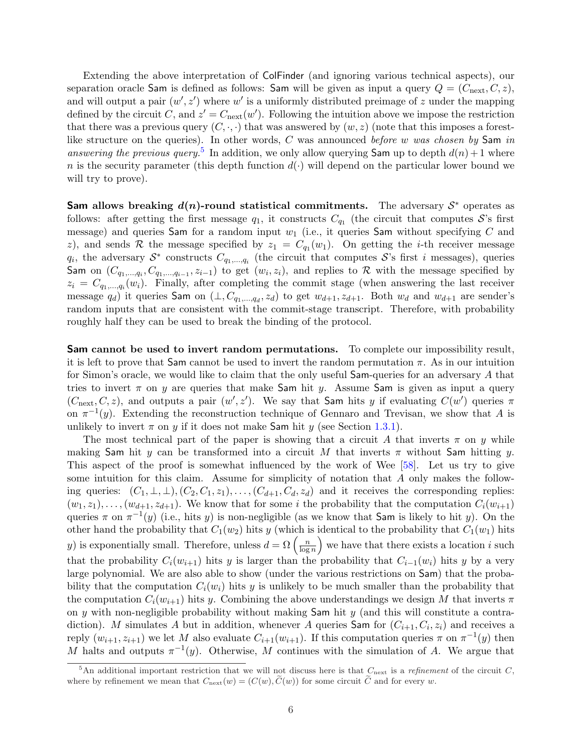Extending the above interpretation of ColFinder (and ignoring various technical aspects), our separation oracle Sam is defined as follows: Sam will be given as input a query  $Q = (C_{\text{next}}, C, z)$ , and will output a pair  $(w', z')$  where w' is a uniformly distributed preimage of z under the mapping defined by the circuit C, and  $z' = C_{\text{next}}(w')$ . Following the intuition above we impose the restriction that there was a previous query  $(C, \cdot, \cdot)$  that was answered by  $(w, z)$  (note that this imposes a forestlike structure on the queries). In other words,  $C$  was announced before w was chosen by Sam in answering the previous query.<sup>[5](#page-6-0)</sup> In addition, we only allow querying Sam up to depth  $d(n) + 1$  where n is the security parameter (this depth function  $d(\cdot)$  will depend on the particular lower bound we will try to prove).

Sam allows breaking  $d(n)$ -round statistical commitments. The adversary  $S^*$  operates as follows: after getting the first message  $q_1$ , it constructs  $C_{q_1}$  (the circuit that computes S's first message) and queries Sam for a random input  $w_1$  (i.e., it queries Sam without specifying C and z), and sends R the message specified by  $z_1 = C_{q_1}(w_1)$ . On getting the *i*-th receiver message  $q_i$ , the adversary  $S^*$  constructs  $C_{q_1,...,q_i}$  (the circuit that computes S's first i messages), queries Sam on  $(C_{q_1,...,q_i}, C_{q_1,...,q_{i-1}}, z_{i-1})$  to get  $(w_i, z_i)$ , and replies to R with the message specified by  $z_i = C_{q_1,...,q_i}(w_i)$ . Finally, after completing the commit stage (when answering the last receiver message  $q_d$ ) it queries Sam on  $(\perp, C_{q_1,...,q_d}, z_d)$  to get  $w_{d+1}, z_{d+1}$ . Both  $w_d$  and  $w_{d+1}$  are sender's random inputs that are consistent with the commit-stage transcript. Therefore, with probability roughly half they can be used to break the binding of the protocol.

Sam cannot be used to invert random permutations. To complete our impossibility result, it is left to prove that Sam cannot be used to invert the random permutation  $\pi$ . As in our intuition for Simon's oracle, we would like to claim that the only useful Sam-queries for an adversary A that tries to invert  $\pi$  on y are queries that make Sam hit y. Assume Sam is given as input a query  $(C_{\text{next}}, C, z)$ , and outputs a pair  $(w', z')$ . We say that Sam hits y if evaluating  $C(w')$  queries  $\pi$ on  $\pi^{-1}(y)$ . Extending the reconstruction technique of Gennaro and Trevisan, we show that A is unlikely to invert  $\pi$  on y if it does not make Sam hit y (see Section [1.3.1\)](#page-7-0).

The most technical part of the paper is showing that a circuit A that inverts  $\pi$  on y while making Sam hit y can be transformed into a circuit M that inverts  $\pi$  without Sam hitting y. This aspect of the proof is somewhat influenced by the work of Wee [\[58\]](#page-38-8). Let us try to give some intuition for this claim. Assume for simplicity of notation that A only makes the following queries:  $(C_1, \perp, \perp), (C_2, C_1, z_1), \ldots, (C_{d+1}, C_d, z_d)$  and it receives the corresponding replies:  $(w_1, z_1), \ldots, (w_{d+1}, z_{d+1})$ . We know that for some i the probability that the computation  $C_i(w_{i+1})$ queries  $\pi$  on  $\pi^{-1}(y)$  (i.e., hits y) is non-negligible (as we know that **Sam** is likely to hit y). On the other hand the probability that  $C_1(w_2)$  hits y (which is identical to the probability that  $C_1(w_1)$  hits other hand the probability that  $C_1(w_2)$  hits y (which i<br>y) is exponentially small. Therefore, unless  $d = \Omega\left(\frac{n}{\log n}\right)$  $\left(\frac{n}{\log n}\right)$  we have that there exists a location i such that the probability  $C_i(w_{i+1})$  hits y is larger than the probability that  $C_{i-1}(w_i)$  hits y by a very large polynomial. We are also able to show (under the various restrictions on Sam) that the probability that the computation  $C_i(w_i)$  hits y is unlikely to be much smaller than the probability that the computation  $C_i(w_{i+1})$  hits y. Combining the above understandings we design M that inverts  $\pi$ on  $y$  with non-negligible probability without making  $\mathsf{Sam}$  hit  $y$  (and this will constitute a contradiction). M simulates A but in addition, whenever A queries Sam for  $(C_{i+1}, C_i, z_i)$  and receives a reply  $(w_{i+1}, z_{i+1})$  we let M also evaluate  $C_{i+1}(w_{i+1})$ . If this computation queries  $\pi$  on  $\pi^{-1}(y)$  then M halts and outputs  $\pi^{-1}(y)$ . Otherwise, M continues with the simulation of A. We argue that

<span id="page-6-0"></span> $5\text{An additional important restriction that we will not discuss here is that } C_{\text{next}}$  is a *refinement* of the circuit C, where by refinement we mean that  $C_{\text{next}}(w) = (C(w), \tilde{C}(w))$  for some circuit  $\tilde{C}$  and for every w.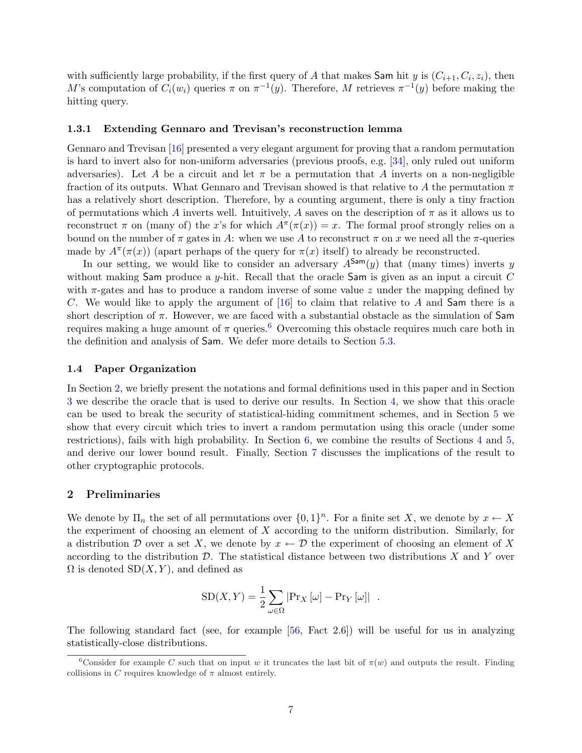with sufficiently large probability, if the first query of A that makes Sam hit y is  $(C_{i+1}, C_i, z_i)$ , then M's computation of  $C_i(w_i)$  queries  $\pi$  on  $\pi^{-1}(y)$ . Therefore, M retrieves  $\pi^{-1}(y)$  before making the hitting query.

#### <span id="page-7-0"></span>1.3.1 Extending Gennaro and Trevisan's reconstruction lemma

Gennaro and Trevisan [\[16\]](#page-36-5) presented a very elegant argument for proving that a random permutation is hard to invert also for non-uniform adversaries (previous proofs, e.g. [\[34\]](#page-37-5), only ruled out uniform adversaries). Let A be a circuit and let  $\pi$  be a permutation that A inverts on a non-negligible fraction of its outputs. What Gennaro and Trevisan showed is that relative to A the permutation  $\pi$ has a relatively short description. Therefore, by a counting argument, there is only a tiny fraction of permutations which A inverts well. Intuitively, A saves on the description of  $\pi$  as it allows us to reconstruct  $\pi$  on (many of) the x's for which  $A^{\pi}(\pi(x)) = x$ . The formal proof strongly relies on a bound on the number of  $\pi$  gates in A: when we use A to reconstruct  $\pi$  on x we need all the  $\pi$ -queries made by  $A^{\pi}(\pi(x))$  (apart perhaps of the query for  $\pi(x)$  itself) to already be reconstructed.

In our setting, we would like to consider an adversary  $A^{\text{Sam}}(y)$  that (many times) inverts y without making Sam produce a y-hit. Recall that the oracle Sam is given as an input a circuit  $C$ with  $\pi$ -gates and has to produce a random inverse of some value z under the mapping defined by C. We would like to apply the argument of  $[16]$  to claim that relative to A and Sam there is a short description of  $\pi$ . However, we are faced with a substantial obstacle as the simulation of Sam requires making a huge amount of  $\pi$  queries.<sup>[6](#page-7-1)</sup> Overcoming this obstacle requires much care both in the definition and analysis of Sam. We defer more details to Section [5.3.](#page-23-0)

#### 1.4 Paper Organization

In Section [2,](#page-7-2) we briefly present the notations and formal definitions used in this paper and in Section [3](#page-11-0) we describe the oracle that is used to derive our results. In Section [4,](#page-13-0) we show that this oracle can be used to break the security of statistical-hiding commitment schemes, and in Section [5](#page-17-0) we show that every circuit which tries to invert a random permutation using this oracle (under some restrictions), fails with high probability. In Section [6,](#page-31-0) we combine the results of Sections [4](#page-13-0) and [5,](#page-17-0) and derive our lower bound result. Finally, Section [7](#page-33-0) discusses the implications of the result to other cryptographic protocols.

## <span id="page-7-2"></span>2 Preliminaries

We denote by  $\Pi_n$  the set of all permutations over  $\{0,1\}^n$ . For a finite set X, we denote by  $x \leftarrow X$ the experiment of choosing an element of X according to the uniform distribution. Similarly, for a distribution D over a set X, we denote by  $x \leftarrow \mathcal{D}$  the experiment of choosing an element of X according to the distribution  $\mathcal{D}$ . The statistical distance between two distributions X and Y over  $\Omega$  is denoted  $SD(X, Y)$ , and defined as

$$
SD(X, Y) = \frac{1}{2} \sum_{\omega \in \Omega} |Pr_X[\omega] - Pr_Y[\omega]|.
$$

The following standard fact (see, for example [\[56,](#page-38-11) Fact 2.6]) will be useful for us in analyzing statistically-close distributions.

<span id="page-7-3"></span><span id="page-7-1"></span><sup>&</sup>lt;sup>6</sup>Consider for example C such that on input w it truncates the last bit of  $\pi(w)$  and outputs the result. Finding collisions in C requires knowledge of  $\pi$  almost entirely.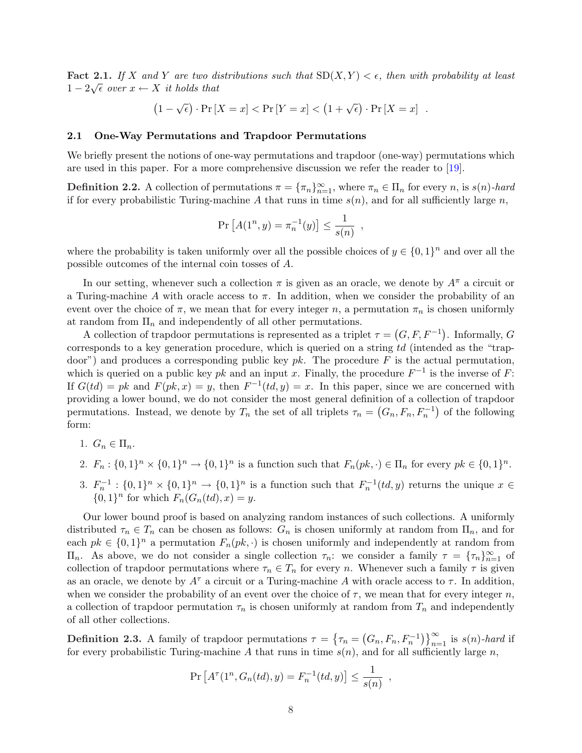**Fact 2.1.** If X and Y are two distributions such that  $SD(X, Y) < \epsilon$ , then with probability at least  $1-2\sqrt{\epsilon}$  over  $x \leftarrow X$  it holds that

$$
(1 - \sqrt{\epsilon}) \cdot \Pr[X = x] < \Pr[Y = x] < (1 + \sqrt{\epsilon}) \cdot \Pr[X = x] \quad .
$$

## 2.1 One-Way Permutations and Trapdoor Permutations

We briefly present the notions of one-way permutations and trapdoor (one-way) permutations which are used in this paper. For a more comprehensive discussion we refer the reader to [\[19\]](#page-36-11).

**Definition 2.2.** A collection of permutations  $\pi = {\pi_n}_{n=1}^{\infty}$ , where  $\pi_n \in \Pi_n$  for every n, is  $s(n)$ -hard if for every probabilistic Turing-machine A that runs in time  $s(n)$ , and for all sufficiently large n,

$$
\Pr [A(1^n, y) = \pi_n^{-1}(y)] \le \frac{1}{s(n)},
$$

where the probability is taken uniformly over all the possible choices of  $y \in \{0,1\}^n$  and over all the possible outcomes of the internal coin tosses of A.

In our setting, whenever such a collection  $\pi$  is given as an oracle, we denote by  $A^{\pi}$  a circuit or a Turing-machine A with oracle access to  $\pi$ . In addition, when we consider the probability of an event over the choice of  $\pi$ , we mean that for every integer n, a permutation  $\pi_n$  is chosen uniformly at random from  $\Pi_n$  and independently of all other permutations.

A collection of trapdoor permutations is represented as a triplet  $\tau =$  $(G, F, F^{-1})$ . Informally, G corresponds to a key generation procedure, which is queried on a string td (intended as the "trapdoor") and produces a corresponding public key  $pk$ . The procedure F is the actual permutation, which is queried on a public key pk and an input x. Finally, the procedure  $F^{-1}$  is the inverse of F: If  $G(td) = pk$  and  $F(pk, x) = y$ , then  $F^{-1}(td, y) = x$ . In this paper, since we are concerned with providing a lower bound, we do not consider the most general definition of a collection of trapdoor permutations. Instead, we denote by  $T_n$  the set of all triplets  $\tau_n = (G_n, F_n, F_n^{-1})$  of the following form:

- 1.  $G_n \in \Pi_n$ .
- 2.  $F_n: \{0,1\}^n \times \{0,1\}^n \to \{0,1\}^n$  is a function such that  $F_n(pk, \cdot) \in \Pi_n$  for every  $pk \in \{0,1\}^n$ .
- 3.  $F_n^{-1}: \{0,1\}^n \times \{0,1\}^n \to \{0,1\}^n$  is a function such that  $F_n^{-1}(td, y)$  returns the unique  $x \in$  ${0,1}<sup>n</sup>$  for which  $F_n(G_n(td),x) = y$ .

Our lower bound proof is based on analyzing random instances of such collections. A uniformly distributed  $\tau_n \in T_n$  can be chosen as follows:  $G_n$  is chosen uniformly at random from  $\Pi_n$ , and for each  $pk \in \{0,1\}^n$  a permutation  $F_n(pk, \cdot)$  is chosen uniformly and independently at random from  $\Pi_n$ . As above, we do not consider a single collection  $\tau_n$ : we consider a family  $\tau = {\tau_n}_{n=1}^{\infty}$  of collection of trapdoor permutations where  $\tau_n \in T_n$  for every n. Whenever such a family  $\tau$  is given as an oracle, we denote by  $A^{\tau}$  a circuit or a Turing-machine A with oracle access to  $\tau$ . In addition, when we consider the probability of an event over the choice of  $\tau$ , we mean that for every integer n, a collection of trapdoor permutation  $\tau_n$  is chosen uniformly at random from  $T_n$  and independently of all other collections.

<span id="page-8-0"></span>**Definition 2.3.** A family of trapdoor permutations  $\tau =$  $\epsilon$  $\tau_n =$  $(G_n, F_n, F_n^{-1})$ ¢ª<sup>∞</sup>  $\sum_{n=1}^{\infty}$  is  $s(n)$ -hard if for every probabilistic Turing-machine A that runs in time  $s(n)$ , and for all sufficiently large n,

$$
\Pr\left[A^{\tau}(1^n, G_n(td), y) = F_n^{-1}(td, y)\right] \le \frac{1}{s(n)}
$$

,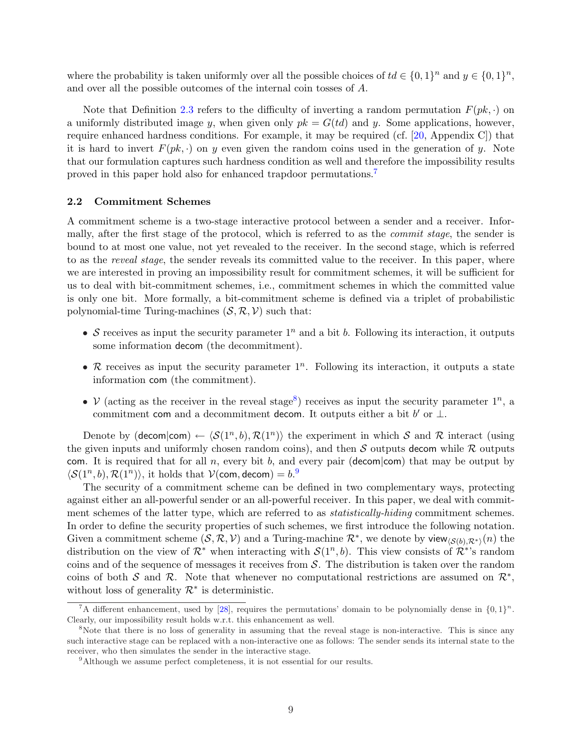where the probability is taken uniformly over all the possible choices of  $td \in \{0,1\}^n$  and  $y \in \{0,1\}^n$ , and over all the possible outcomes of the internal coin tosses of A.

Note that Definition [2.3](#page-8-0) refers to the difficulty of inverting a random permutation  $F(pk, \cdot)$  on a uniformly distributed image y, when given only  $pk = G(td)$  and y. Some applications, however, require enhanced hardness conditions. For example, it may be required (cf. [\[20,](#page-36-12) Appendix C]) that it is hard to invert  $F(pk, \cdot)$  on y even given the random coins used in the generation of y. Note that our formulation captures such hardness condition as well and therefore the impossibility results proved in this paper hold also for enhanced trapdoor permutations.[7](#page-9-0)

#### 2.2 Commitment Schemes

A commitment scheme is a two-stage interactive protocol between a sender and a receiver. Informally, after the first stage of the protocol, which is referred to as the commit stage, the sender is bound to at most one value, not yet revealed to the receiver. In the second stage, which is referred to as the *reveal stage*, the sender reveals its committed value to the receiver. In this paper, where we are interested in proving an impossibility result for commitment schemes, it will be sufficient for us to deal with bit-commitment schemes, i.e., commitment schemes in which the committed value is only one bit. More formally, a bit-commitment scheme is defined via a triplet of probabilistic polynomial-time Turing-machines  $(S, \mathcal{R}, \mathcal{V})$  such that:

- S receives as input the security parameter  $1^n$  and a bit b. Following its interaction, it outputs some information decom (the decommitment).
- R receives as input the security parameter  $1^n$ . Following its interaction, it outputs a state information com (the commitment).
- V (acting as the receiver in the reveal stage<sup>[8](#page-9-1)</sup>) receives as input the security parameter  $1^n$ , a commitment com and a decommitment decom. It outputs either a bit  $b'$  or  $\bot$ .

Denote by (decom|com)  $\leftarrow \langle \mathcal{S}(1^n, b), \mathcal{R}(1^n) \rangle$  the experiment in which S and R interact (using the given inputs and uniformly chosen random coins), and then S outputs decom while R outputs com. It is required that for all n, every bit b, and every pair (decom|com) that may be output by  $\langle \mathcal{S}(1^n, b), \mathcal{R}(1^n) \rangle$ , it holds that  $\mathcal{V}(\text{com}, \text{decom}) = b$ .

The security of a commitment scheme can be defined in two complementary ways, protecting against either an all-powerful sender or an all-powerful receiver. In this paper, we deal with commitment schemes of the latter type, which are referred to as *statistically-hiding* commitment schemes. In order to define the security properties of such schemes, we first introduce the following notation. Given a commitment scheme  $(S, \mathcal{R}, \mathcal{V})$  and a Turing-machine  $\mathcal{R}^*$ , we denote by view $\langle S(b), \mathcal{R}^* \rangle(n)$  the distribution on the view of  $\mathcal{R}^*$  when interacting with  $\mathcal{S}(1^n, b)$ . This view consists of  $\mathcal{R}^*$ 's random coins and of the sequence of messages it receives from  $\mathcal{S}$ . The distribution is taken over the random coins of both S and R. Note that whenever no computational restrictions are assumed on  $\mathcal{R}^*$ , without loss of generality  $\mathcal{R}^*$  is deterministic.

<span id="page-9-3"></span><span id="page-9-0"></span><sup>&</sup>lt;sup>7</sup>A different enhancement, used by [\[28\]](#page-37-12), requires the permutations' domain to be polynomially dense in  ${0,1}^n$ . Clearly, our impossibility result holds w.r.t. this enhancement as well.

<span id="page-9-1"></span><sup>&</sup>lt;sup>8</sup>Note that there is no loss of generality in assuming that the reveal stage is non-interactive. This is since any such interactive stage can be replaced with a non-interactive one as follows: The sender sends its internal state to the receiver, who then simulates the sender in the interactive stage.

<span id="page-9-2"></span><sup>&</sup>lt;sup>9</sup>Although we assume perfect completeness, it is not essential for our results.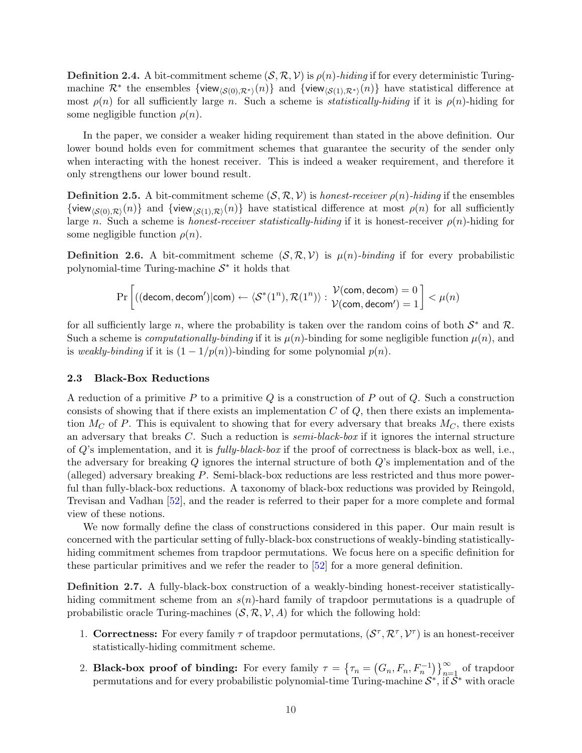**Definition 2.4.** A bit-commitment scheme  $(S, \mathcal{R}, \mathcal{V})$  is  $\rho(n)$ -hiding if for every deterministic Turingmachine  $\mathcal{R}^*$  the ensembles  $\{view_{\langle \mathcal{S}(0),\mathcal{R}^*\rangle}(n)\}$  and  $\{view_{\langle \mathcal{S}(1),\mathcal{R}^*\rangle}(n)\}$  have statistical difference at most  $\rho(n)$  for all sufficiently large n. Such a scheme is *statistically-hiding* if it is  $\rho(n)$ -hiding for some negligible function  $\rho(n)$ .

In the paper, we consider a weaker hiding requirement than stated in the above definition. Our lower bound holds even for commitment schemes that guarantee the security of the sender only when interacting with the honest receiver. This is indeed a weaker requirement, and therefore it only strengthens our lower bound result.

**Definition 2.5.** A bit-commitment scheme  $(S, \mathcal{R}, \mathcal{V})$  is honest-receiver  $\rho(n)$ -hiding if the ensembles {view<sub>(S(0),R)</sub>(n)} and {view<sub>(S(1),R)</sub>(n)} have statistical difference at most  $\rho(n)$  for all sufficiently large n. Such a scheme is honest-receiver statistically-hiding if it is honest-receiver  $\rho(n)$ -hiding for some negligible function  $\rho(n)$ .

**Definition 2.6.** A bit-commitment scheme  $(S, \mathcal{R}, \mathcal{V})$  is  $\mu(n)$ -binding if for every probabilistic polynomial-time Turing-machine  $S^*$  it holds that

$$
\Pr\left[\left((\mathsf{decom},\mathsf{decom}')|\mathsf{com}\right) \leftarrow \langle \mathcal{S}^*(1^n), \mathcal{R}(1^n) \rangle : \frac{\mathcal{V}(\mathsf{com},\mathsf{decom})=0}{\mathcal{V}(\mathsf{com},\mathsf{decom}')=1} \right] < \mu(n)
$$

for all sufficiently large n, where the probability is taken over the random coins of both  $S^*$  and R. Such a scheme is *computationally-binding* if it is  $\mu(n)$ -binding for some negligible function  $\mu(n)$ , and is weakly-binding if it is  $(1 - 1/p(n))$ -binding for some polynomial  $p(n)$ .

#### <span id="page-10-0"></span>2.3 Black-Box Reductions

A reduction of a primitive P to a primitive Q is a construction of P out of Q. Such a construction consists of showing that if there exists an implementation  $C$  of  $Q$ , then there exists an implementation  $M_C$  of P. This is equivalent to showing that for every adversary that breaks  $M_C$ , there exists an adversary that breaks  $C$ . Such a reduction is *semi-black-box* if it ignores the internal structure of  $Q$ 's implementation, and it is *fully-black-box* if the proof of correctness is black-box as well, i.e., the adversary for breaking  $Q$  ignores the internal structure of both  $Q$ 's implementation and of the (alleged) adversary breaking P. Semi-black-box reductions are less restricted and thus more powerful than fully-black-box reductions. A taxonomy of black-box reductions was provided by Reingold, Trevisan and Vadhan [\[52\]](#page-38-12), and the reader is referred to their paper for a more complete and formal view of these notions.

We now formally define the class of constructions considered in this paper. Our main result is concerned with the particular setting of fully-black-box constructions of weakly-binding statisticallyhiding commitment schemes from trapdoor permutations. We focus here on a specific definition for these particular primitives and we refer the reader to [\[52\]](#page-38-12) for a more general definition.

<span id="page-10-1"></span>Definition 2.7. A fully-black-box construction of a weakly-binding honest-receiver statisticallyhiding commitment scheme from an  $s(n)$ -hard family of trapdoor permutations is a quadruple of probabilistic oracle Turing-machines  $(S, \mathcal{R}, \mathcal{V}, A)$  for which the following hold:

- 1. Correctness: For every family  $\tau$  of trapdoor permutations,  $(S^{\tau}, \mathcal{R}^{\tau}, \mathcal{V}^{\tau})$  is an honest-receiver statistically-hiding commitment scheme.
- 2. Black-box proof of binding: For every family  $\tau =$  $\epsilon$  $\tau_n =$  $(G_n, F_n, F_n^{-1})$  $\sqrt{2}$  $\sum_{n=1}^{\infty}$  of trapdoor permutations and for every probabilistic polynomial-time Turing-machine  $S^*$ , if  $S^*$  with oracle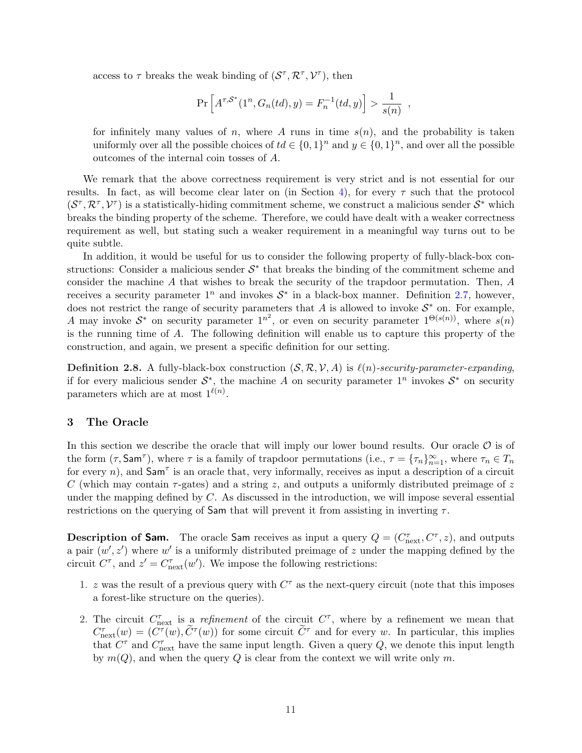access to  $\tau$  breaks the weak binding of  $(S^{\tau}, \mathcal{R}^{\tau}, \mathcal{V}^{\tau})$ , then

$$
\Pr\left[A^{\tau,S^*}(1^n, G_n(td), y) = F_n^{-1}(td, y)\right] > \frac{1}{s(n)},
$$

for infinitely many values of n, where A runs in time  $s(n)$ , and the probability is taken uniformly over all the possible choices of  $td \in \{0,1\}^n$  and  $y \in \{0,1\}^n$ , and over all the possible outcomes of the internal coin tosses of A.

We remark that the above correctness requirement is very strict and is not essential for our results. In fact, as will become clear later on (in Section [4\)](#page-13-0), for every  $\tau$  such that the protocol  $(S^{\tau}, \mathcal{R}^{\tau}, \mathcal{V}^{\tau})$  is a statistically-hiding commitment scheme, we construct a malicious sender  $S^*$  which breaks the binding property of the scheme. Therefore, we could have dealt with a weaker correctness requirement as well, but stating such a weaker requirement in a meaningful way turns out to be quite subtle.

In addition, it would be useful for us to consider the following property of fully-black-box constructions: Consider a malicious sender  $S^*$  that breaks the binding of the commitment scheme and consider the machine A that wishes to break the security of the trapdoor permutation. Then, A receives a security parameter  $1^n$  and invokes  $S^*$  in a black-box manner. Definition [2.7,](#page-10-1) however, does not restrict the range of security parameters that A is allowed to invoke  $S^*$  on. For example, A may invoke  $S^*$  on security parameter  $1^{n^2}$ , or even on security parameter  $1^{\Theta(s(n))}$ , where  $s(n)$ is the running time of A. The following definition will enable us to capture this property of the construction, and again, we present a specific definition for our setting.

<span id="page-11-1"></span>**Definition 2.8.** A fully-black-box construction  $(S, \mathcal{R}, \mathcal{V}, A)$  is  $\ell(n)$ -security-parameter-expanding, if for every malicious sender  $S^*$ , the machine A on security parameter  $1^n$  invokes  $S^*$  on security parameters which are at most  $1^{\ell(n)}$ .

## <span id="page-11-0"></span>3 The Oracle

In this section we describe the oracle that will imply our lower bound results. Our oracle  $\mathcal O$  is of the form  $(\tau, \text{Sam}^{\tau})$ , where  $\tau$  is a family of trapdoor permutations (i.e.,  $\tau = {\tau_n}_{n=1}^{\infty}$ , where  $\tau_n \in T_n$ for every n), and  $\mathsf{Sam}^{\tau}$  is an oracle that, very informally, receives as input a description of a circuit C (which may contain  $\tau$ -gates) and a string z, and outputs a uniformly distributed preimage of z under the mapping defined by  $C$ . As discussed in the introduction, we will impose several essential restrictions on the querying of Sam that will prevent it from assisting in inverting  $\tau$ .

**Description of Sam.** The oracle Sam receives as input a query  $Q = (C_{\text{next}}^{\tau}, C^{\tau}, z)$ , and outputs a pair  $(w', z')$  where w' is a uniformly distributed preimage of z under the mapping defined by the circuit  $C^{\tau}$ , and  $z' = C_{\text{next}}^{\tau}(w')$ . We impose the following restrictions:

- 1. z was the result of a previous query with  $C^{\tau}$  as the next-query circuit (note that this imposes a forest-like structure on the queries).
- 2. The circuit  $C_{\text{next}}^{\tau}$  is a refinement of the circuit  $C^{\tau}$ , where by a refinement we mean that  $C_{\text{next}}^{\tau}(w) = (C^{\tau}(w), \tilde{C}^{\tau}(w))$  for some circuit  $\tilde{C}^{\tau}$  and for every w. In particular, this implies that  $C^{\tau}$  and  $C_{\text{next}}^{\tau}$  have the same input length. Given a query Q, we denote this input length by  $m(Q)$ , and when the query Q is clear from the context we will write only m.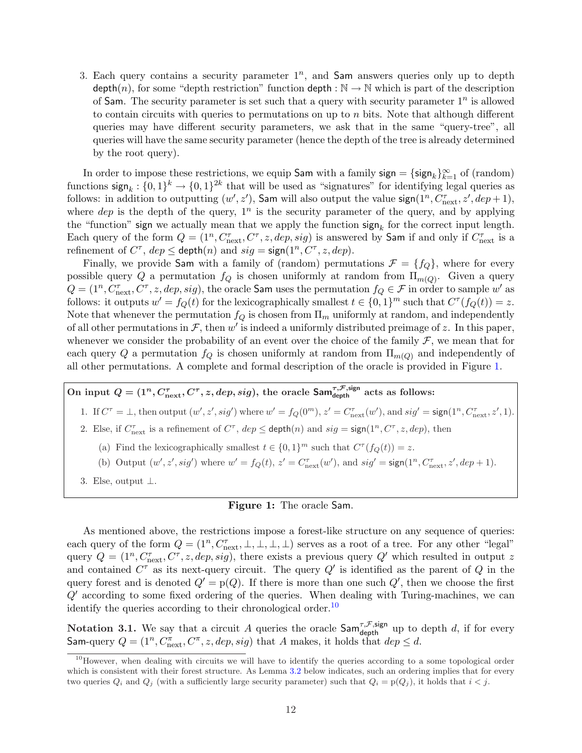3. Each query contains a security parameter  $1^n$ , and Sam answers queries only up to depth depth(n), for some "depth restriction" function depth :  $\mathbb{N} \to \mathbb{N}$  which is part of the description of Sam. The security parameter is set such that a query with security parameter  $1^n$  is allowed to contain circuits with queries to permutations on up to  $n$  bits. Note that although different queries may have different security parameters, we ask that in the same "query-tree", all queries will have the same security parameter (hence the depth of the tree is already determined by the root query).

In order to impose these restrictions, we equip Sam with a family sign =  $\{\text{sign}_k\}_{k=1}^{\infty}$  of (random) functions  $\text{sign}_k: \{0,1\}^k \to \{0,1\}^{2k}$  that will be used as "signatures" for identifying legal queries as follows: in addition to outputting  $(w', z')$ , Sam will also output the value sign $(1^n, C_{\text{next}}^{\tau}, z', dep+1)$ , where  $dep$  is the depth of the query,  $1<sup>n</sup>$  is the security parameter of the query, and by applying the "function" sign we actually mean that we apply the function  $\operatorname{sign}_k$  for the correct input length. Each query of the form  $Q = (1^n, C_{\text{next}}^{\tau}, C^{\tau}, z, dep, sig)$  is answered by Sam if and only if  $C_{\text{next}}^{\tau}$  is a refinement of  $C^{\tau}$ ,  $dep \leq$  depth $(n)$  and  $sig = sign(1^n, C^{\tau}, z, dep)$ .

Finally, we provide Sam with a family of (random) permutations  $\mathcal{F} = \{f_Q\}$ , where for every possible query Q a permutation  $f_Q$  is chosen uniformly at random from  $\Pi_{m(Q)}$ . Given a query  $Q = (1^n, C_{\text{next}}^{\tau}, C^{\tau}, z, dep, sig)$ , the oracle **Sam** uses the permutation  $f_Q \in \mathcal{F}$  in order to sample w' as follows: it outputs  $w' = f_Q(t)$  for the lexicographically smallest  $t \in \{0, 1\}^m$  such that  $C^{\tau}(f_Q(t)) = z$ . Note that whenever the permutation  $f_Q$  is chosen from  $\Pi_m$  uniformly at random, and independently of all other permutations in  $\mathcal{F}$ , then w' is indeed a uniformly distributed preimage of z. In this paper, whenever we consider the probability of an event over the choice of the family  $\mathcal{F}$ , we mean that for each query Q a permutation  $f_Q$  is chosen uniformly at random from  $\Pi_{m(Q)}$  and independently of all other permutations. A complete and formal description of the oracle is provided in Figure [1.](#page-12-0)

<span id="page-12-0"></span>On input  $Q = (1^n, C_{\text{next}}^{\tau}, C^{\tau}, z, dep, sig)$ , the oracle Sam $_{\text{depth}}^{\tau, \mathcal{F}, \text{sign}}$  acts as follows:

1. If  $C^{\tau} = \bot$ , then output  $(w', z', sig')$  where  $w' = f_Q(0^m)$ ,  $z' = C^{\tau}_{\text{next}}(w')$ , and  $sig' = \text{sign}(1^n, C^{\tau}_{\text{next}}, z', 1)$ .

- 2. Else, if  $C_{\text{next}}^{\tau}$  is a refinement of  $C^{\tau}$ ,  $dep \leq$  depth $(n)$  and  $sig = sign(1^n, C^{\tau}, z, dep)$ , then
	- (a) Find the lexicographically smallest  $t \in \{0,1\}^m$  such that  $C^{\tau}(f_Q(t)) = z$ .

(b) Output  $(w', z', sig')$  where  $w' = f_Q(t)$ ,  $z' = C_{\text{next}}^{\tau}(w')$ , and  $sig' = \text{sign}(1^n, C_{\text{next}}^{\tau}, z', dep + 1)$ .

3. Else, output ⊥.

#### Figure 1: The oracle Sam.

As mentioned above, the restrictions impose a forest-like structure on any sequence of queries: each query of the form  $Q = (1^n, C_{\text{next}}^{\tau}, \perp, \perp, \perp)$  serves as a root of a tree. For any other "legal" query  $Q = (1^n, C_{\text{next}}^{\tau}, C^{\tau}, z, dep, sig)$ , there exists a previous query  $Q'$  which resulted in output z and contained  $C^{\tau}$  as its next-query circuit. The query  $Q'$  is identified as the parent of Q in the query forest and is denoted  $Q' = p(Q)$ . If there is more than one such  $Q'$ , then we choose the first  $Q'$  according to some fixed ordering of the queries. When dealing with Turing-machines, we can identify the queries according to their chronological order.<sup>[10](#page-12-1)</sup>

Notation 3.1. We say that a circuit A queries the oracle  $\mathsf{Sam}^{\tau,\mathcal{F},\mathsf{sign}}_{\mathsf{depth}}$  up to depth d, if for every Sam-query  $Q = (1^n, C_{\text{next}}^{\pi}, C^{\pi}, z, dep, sig)$  that A makes, it holds that  $dep \leq d$ .

<span id="page-12-1"></span> $10$ However, when dealing with circuits we will have to identify the queries according to a some topological order which is consistent with their forest structure. As Lemma [3.2](#page-13-1) below indicates, such an ordering implies that for every two queries  $Q_i$  and  $Q_j$  (with a sufficiently large security parameter) such that  $Q_i = p(Q_i)$ , it holds that  $i < j$ .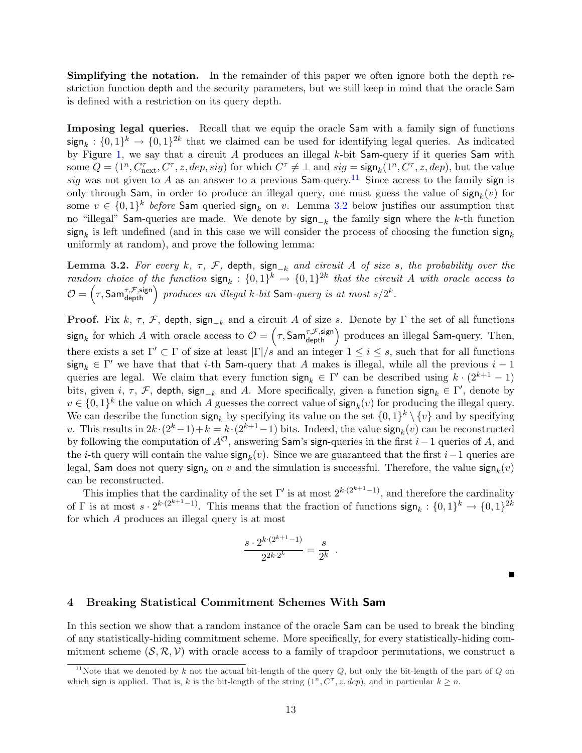Simplifying the notation. In the remainder of this paper we often ignore both the depth restriction function depth and the security parameters, but we still keep in mind that the oracle Sam is defined with a restriction on its query depth.

Imposing legal queries. Recall that we equip the oracle Sam with a family sign of functions  $\text{sign}_k: \{0,1\}^k \to \{0,1\}^{2k}$  that we claimed can be used for identifying legal queries. As indicated by Figure [1,](#page-12-0) we say that a circuit A produces an illegal  $k$ -bit Sam-query if it queries Sam with some  $Q = (1^n, C_{\text{next}}^{\tau}, C^{\tau}, z, dep, sig)$  for which  $C^{\tau} \neq \bot$  and  $sig = \text{sign}_k(1^n, C^{\tau}, z, dep)$ , but the value sig was not given to A as an answer to a previous  $\text{Sam-query}$ .<sup>[11](#page-13-2)</sup> Since access to the family sign is only through Sam, in order to produce an illegal query, one must guess the value of  $\text{sign}_k(v)$  for some  $v \in \{0,1\}^k$  before Sam queried sign<sub>k</sub> on v. Lemma [3.2](#page-13-1) below justifies our assumption that no "illegal" Sam-queries are made. We denote by  $sign_{-k}$  the family sign where the k-th function  $\mathsf{sign}_k$  is left undefined (and in this case we will consider the process of choosing the function  $\mathsf{sign}_k$ uniformly at random), and prove the following lemma:

<span id="page-13-1"></span>Lemma 3.2. For every k,  $\tau$ ,  $\mathcal{F}$ , depth, sign<sub>-k</sub> and circuit A of size s, the probability over the random choice of the function  $\text{sign}_k: \{0,1\}^k \to \{0,1\}^{2k}$  that the circuit A with oracle access to random choice of the function  $\text{sign}_k : \{0,1\}^{\infty} \to \{0,1\}^{\infty}$  that the circu<br>  $\mathcal{O} = (\tau, \textsf{Sam}_{\text{depth}}^{\tau, \mathcal{F}, \textsf{sign}})$  produces an illegal k-bit Sam-query is at most s/2<sup>k</sup>.

**Proof.** Fix k,  $\tau$ ,  $\mathcal{F}$ , depth, sign<sub>-k</sub> and a circuit A of size s. Denote by  $\Gamma$  the set of all functions **Proof.** Fix  $\kappa$ ,  $\tau$ ,  $\tau$ , depth, sign<sub> $-k$ </sub> and a circuit A of size s. Denote by I the set of an functions sign<sub>k</sub> for which A with oracle access to  $\mathcal{O} = (\tau, \textsf{Sam}_{\text{depth}}^{\tau, \mathcal{F}, \text{sign}})$  produces an illegal Sam-que there exists a set  $\Gamma' \subset \Gamma$  of size at least  $|\Gamma|/s$  and an integer  $1 \leq i \leq s$ , such that for all functions  $\sinh k \in \Gamma'$  we have that that *i*-th Sam-query that A makes is illegal, while all the previous  $i-1$ queries are legal. We claim that every function  $\text{sign}_k \in \Gamma'$  can be described using  $k \cdot (2^{k+1} - 1)$ bits, given i,  $\tau$ ,  $\mathcal{F}$ , depth, sign<sub>-k</sub> and A. More specifically, given a function sign<sub>k</sub>  $\in \Gamma'$ , denote by  $v \in \{0,1\}^k$  the value on which A guesses the correct value of  $\mathsf{sign}_k(v)$  for producing the illegal query. We can describe the function  $\text{sign}_k$  by specifying its value on the set  $\{0,1\}^k \setminus \{v\}$  and by specifying v. This results in  $2k \cdot (2^k-1) + k = k \cdot (2^{k+1}-1)$  bits. Indeed, the value  $\text{sign}_k(v)$  can be reconstructed by following the computation of  $A^{\mathcal{O}}$ , answering Sam's sign-queries in the first i–1 queries of A, and the *i*-th query will contain the value  $\text{sign}_k(v)$ . Since we are guaranteed that the first *i*-1 queries are legal, Sam does not query sign<sub>k</sub> on v and the simulation is successful. Therefore, the value  $\mathsf{sign}_k(v)$ can be reconstructed.

This implies that the cardinality of the set  $\Gamma'$  is at most  $2^{k \cdot (2^{k+1}-1)}$ , and therefore the cardinality of  $\Gamma$  is at most  $s \cdot 2^{k \cdot (2^{k+1}-1)}$ . This means that the fraction of functions  $\text{sign}_k : \{0,1\}^k \to \{0,1\}^{2k}$ for which A produces an illegal query is at most

$$
\frac{s \cdot 2^{k \cdot (2^{k+1}-1)}}{2^{2k \cdot 2^k}} = \frac{s}{2^k}
$$

.

## <span id="page-13-0"></span>4 Breaking Statistical Commitment Schemes With Sam

In this section we show that a random instance of the oracle Sam can be used to break the binding of any statistically-hiding commitment scheme. More specifically, for every statistically-hiding commitment scheme  $(S, \mathcal{R}, \mathcal{V})$  with oracle access to a family of trapdoor permutations, we construct a

<span id="page-13-2"></span><sup>&</sup>lt;sup>11</sup>Note that we denoted by k not the actual bit-length of the query Q, but only the bit-length of the part of Q on which sign is applied. That is, k is the bit-length of the string  $(1^n, C^{\tau}, z, dep)$ , and in particular  $k \geq n$ .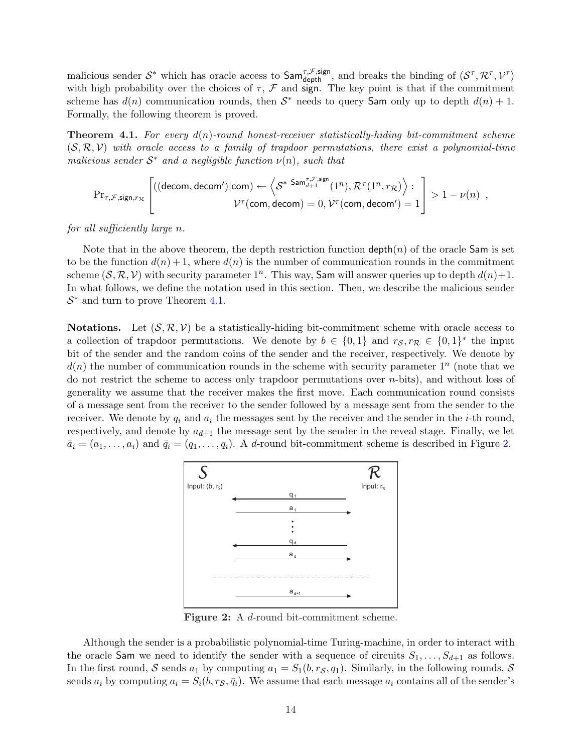malicious sender  $S^*$  which has oracle access to  $\textsf{Sam}_{\text{depth}}^{\tau,\mathcal{F},\text{sign}}$ , and breaks the binding of  $(S^{\tau}, \mathcal{R}^{\tau}, \mathcal{V}^{\tau})$ with high probability over the choices of  $\tau$ ,  $\mathcal F$  and sign. The key point is that if the commitment scheme has  $d(n)$  communication rounds, then  $S^*$  needs to query Sam only up to depth  $d(n) + 1$ . Formally, the following theorem is proved.

<span id="page-14-0"></span>**Theorem 4.1.** For every  $d(n)$ -round honest-receiver statistically-hiding bit-commitment scheme  $(S, \mathcal{R}, \mathcal{V})$  with oracle access to a family of trapdoor permutations, there exist a polynomial-time malicious sender  $S^*$  and a negligible function  $\nu(n)$ , such that

$$
\mathrm{Pr}_{\tau,\mathcal{F},\mathsf{sign},r_{\mathcal{R}}}\left[\left((\mathsf{decom},\mathsf{decom}')|\mathsf{com}\right) \leftarrow \left\langle \mathcal{S}^{* \ \mathsf{Sam}^{\tau,\mathcal{F},\mathsf{sign}}_{d+1}}(1^{n}), \mathcal{R}^{\tau}(1^{n},r_{\mathcal{R}}) \right\rangle : \newline \hspace*{1.5em}\sum\limits_{\mathcal{V}^{\tau}(\mathsf{com},\mathsf{decom})=0, } \mathcal{V}^{\tau}(\mathsf{com},\mathsf{decom}')=1 \right] > 1-\nu(n) \enspace ,
$$

for all sufficiently large n.

Note that in the above theorem, the depth restriction function  $\text{depth}(n)$  of the oracle Sam is set to be the function  $d(n) + 1$ , where  $d(n)$  is the number of communication rounds in the commitment scheme  $(S, \mathcal{R}, \mathcal{V})$  with security parameter  $1^n$ . This way, Sam will answer queries up to depth  $d(n)+1$ . In what follows, we define the notation used in this section. Then, we describe the malicious sender  $S^*$  and turn to prove Theorem [4.1.](#page-14-0)

**Notations.** Let  $(S, \mathcal{R}, V)$  be a statistically-hiding bit-commitment scheme with oracle access to a collection of trapdoor permutations. We denote by  $b \in \{0,1\}$  and  $r_S, r_R \in \{0,1\}^*$  the input bit of the sender and the random coins of the sender and the receiver, respectively. We denote by  $d(n)$  the number of communication rounds in the scheme with security parameter  $1^n$  (note that we do not restrict the scheme to access only trapdoor permutations over  $n$ -bits), and without loss of generality we assume that the receiver makes the first move. Each communication round consists of a message sent from the receiver to the sender followed by a message sent from the sender to the receiver. We denote by  $q_i$  and  $a_i$  the messages sent by the receiver and the sender in the *i*-th round, respectively, and denote by  $a_{d+1}$  the message sent by the sender in the reveal stage. Finally, we let  $\bar{a}_i = (a_1, \ldots, a_i)$  and  $\bar{q}_i = (q_1, \ldots, q_i)$ . A d-round bit-commitment scheme is described in Figure [2.](#page-14-1)



Figure 2: A d-round bit-commitment scheme.

<span id="page-14-1"></span>Although the sender is a probabilistic polynomial-time Turing-machine, in order to interact with the oracle Sam we need to identify the sender with a sequence of circuits  $S_1, \ldots, S_{d+1}$  as follows. In the first round, S sends  $a_1$  by computing  $a_1 = S_1(b, r_\mathcal{S}, q_1)$ . Similarly, in the following rounds, S sends  $a_i$  by computing  $a_i = S_i(b, r_\mathcal{S}, \bar{q}_i)$ . We assume that each message  $a_i$  contains all of the sender's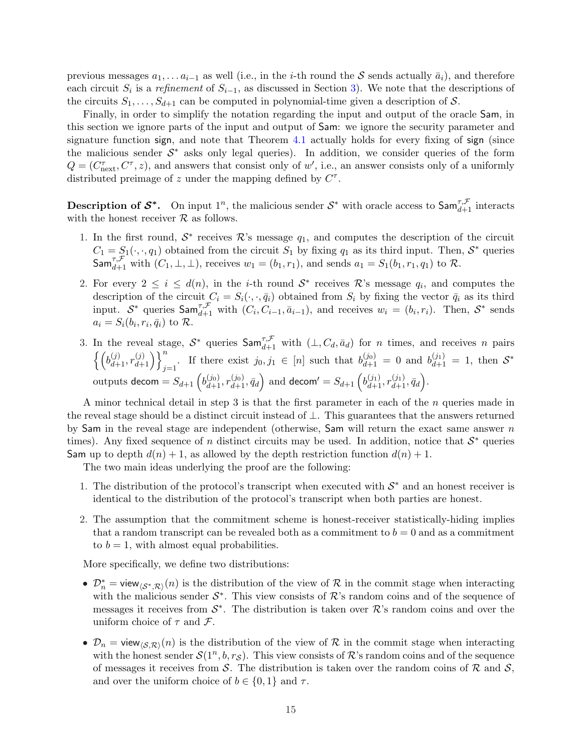previous messages  $a_1, \ldots a_{i-1}$  as well (i.e., in the i-th round the S sends actually  $\bar{a}_i$ ), and therefore each circuit  $S_i$  is a refinement of  $S_{i-1}$ , as discussed in Section [3\)](#page-11-0). We note that the descriptions of the circuits  $S_1, \ldots, S_{d+1}$  can be computed in polynomial-time given a description of S.

Finally, in order to simplify the notation regarding the input and output of the oracle Sam, in this section we ignore parts of the input and output of Sam: we ignore the security parameter and signature function sign, and note that Theorem [4.1](#page-14-0) actually holds for every fixing of sign (since the malicious sender  $S^*$  asks only legal queries). In addition, we consider queries of the form  $Q = (C_{\text{next}}^{\tau}, C^{\tau}, z)$ , and answers that consist only of w', i.e., an answer consists only of a uniformly distributed preimage of z under the mapping defined by  $C^{\tau}$ .

**Description of**  $S^*$ **.** On input  $1^n$ , the malicious sender  $S^*$  with oracle access to  $\mathsf{Sam}^{\tau,\mathcal{F}}_{d+1}$  interacts with the honest receiver  $R$  as follows.

- 1. In the first round,  $S^*$  receives  $\mathcal{R}$ 's message  $q_1$ , and computes the description of the circuit  $C_1 = S_1(\cdot, \cdot, q_1)$  obtained from the circuit  $S_1$  by fixing  $q_1$  as its third input. Then,  $S^*$  queries  $\textsf{Sam}_{d+1}^{\tau,\mathcal{F}}$  with  $(C_1, \bot, \bot)$ , receives  $w_1 = (b_1, r_1)$ , and sends  $a_1 = S_1(b_1, r_1, q_1)$  to  $\mathcal{R}$ .
- 2. For every  $2 \leq i \leq d(n)$ , in the *i*-th round  $S^*$  receives R's message  $q_i$ , and computes the description of the circuit  $C_i = S_i(\cdot, \cdot, \bar{q}_i)$  obtained from  $S_i$  by fixing the vector  $\bar{q}_i$  as its third input.  $S^*$  queries  $\textsf{Sam}_{d+1}^{\tau,\mathcal{F}}$  with  $(C_i, C_{i-1}, \bar{a}_{i-1})$ , and receives  $w_i = (b_i, r_i)$ . Then,  $S^*$  sends  $a_i = S_i(b_i, r_i, \bar{q}_i)$  to  $\mathcal{R}$ .
- 3. In the reveal stage,  $S^*$  queries  $\textsf{Sam}^{\tau,\mathcal{F}}_{d+1}$  with  $(\bot, C_d, \bar{a}_d)$  for *n* times, and receives *n* pairs  $b_{d+1}^{(j)}, r_{d+}^{(j)}$  $\left\{\begin{array}{l}\n\frac{d}{dt}\left\{\begin{array}{l}j\end{array}\right\}_{j=1}^{n}$ . If there exist  $j_0, j_1 \in [n]$  such that  $b_{d+1}^{(j_0)} = 0$  and  $b_{d+1}^{(j_1)} = 1$ , then  $S^*$ outputs decom =  $S_{d+1}$   $\left(b_{d+1}^{(j_0)}, r_{d+1}^{(j_0)}, \bar{q}_d\right)$ and decom<sup>'</sup> =  $S_{d+1}$   $\left(b_{d+1}^{(j_1)}, r_{d+1}^{(j_1)}, \bar{q}_d\right)$ ´ .

A minor technical detail in step 3 is that the first parameter in each of the  $n$  queries made in the reveal stage should be a distinct circuit instead of ⊥. This guarantees that the answers returned by Sam in the reveal stage are independent (otherwise, Sam will return the exact same answer  $n$ times). Any fixed sequence of n distinct circuits may be used. In addition, notice that  $S^*$  queries Sam up to depth  $d(n) + 1$ , as allowed by the depth restriction function  $d(n) + 1$ .

The two main ideas underlying the proof are the following:

- 1. The distribution of the protocol's transcript when executed with  $S^*$  and an honest receiver is identical to the distribution of the protocol's transcript when both parties are honest.
- 2. The assumption that the commitment scheme is honest-receiver statistically-hiding implies that a random transcript can be revealed both as a commitment to  $b = 0$  and as a commitment to  $b = 1$ , with almost equal probabilities.

More specifically, we define two distributions:

- $\mathcal{D}_n^*$  = view $\langle \mathcal{S}^*,\mathcal{R}\rangle(n)$  is the distribution of the view of R in the commit stage when interacting with the malicious sender  $S^*$ . This view consists of  $\mathcal{R}$ 's random coins and of the sequence of messages it receives from  $S^*$ . The distribution is taken over  $\mathcal{R}$ 's random coins and over the uniform choice of  $\tau$  and  $\mathcal{F}$ .
- $\mathcal{D}_n = \text{view}_{\langle S,\mathcal{R}\rangle}(n)$  is the distribution of the view of R in the commit stage when interacting with the honest sender  $\mathcal{S}(1^n, b, r_{\mathcal{S}})$ . This view consists of  $\mathcal{R}$ 's random coins and of the sequence of messages it receives from S. The distribution is taken over the random coins of  $\mathcal R$  and  $\mathcal S$ , and over the uniform choice of  $b \in \{0,1\}$  and  $\tau$ .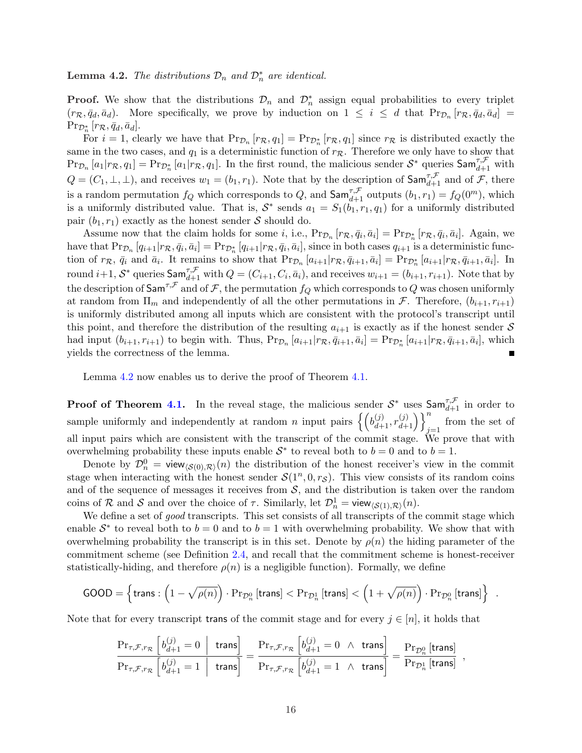<span id="page-16-0"></span>**Lemma 4.2.** The distributions  $\mathcal{D}_n$  and  $\mathcal{D}_n^*$  are identical.

**Proof.** We show that the distributions  $\mathcal{D}_n$  and  $\mathcal{D}_n^*$  assign equal probabilities to every triplet  $(r_R, \bar{q}_d, \bar{a}_d)$ . More specifically, we prove by induction on  $1 \leq i \leq d$  that  $\Pr_{\mathcal{D}_n} [r_R, \bar{q}_d, \bar{a}_d] =$  $\Pr_{\mathcal{D}_n^*}[r_{\mathcal{R}}, \bar{q}_d, \bar{a}_d].$ 

For  $i = 1$ , clearly we have that  $Pr_{\mathcal{D}_n}[r_{\mathcal{R}}, q_1] = Pr_{\mathcal{D}_n^*}[r_{\mathcal{R}}, q_1]$  since  $r_{\mathcal{R}}$  is distributed exactly the same in the two cases, and  $q_1$  is a deterministic function of  $r_{\mathcal{R}}$ . Therefore we only have to show that  $\Pr_{\mathcal{D}_n}[a_1|r_{\mathcal{R}},q_1] = \Pr_{\mathcal{D}_n^*}[a_1|r_{\mathcal{R}},q_1].$  In the first round, the malicious sender  $\mathcal{S}^*$  queries  $\textsf{Sam}^{\tau,\mathcal{F}}_{d+1}$  with  $Q = (C_1, \perp, \perp)$ , and receives  $w_1 = (b_1, r_1)$ . Note that by the description of  $\textsf{Sam}^{\tau,\mathcal{F}}_{d+1}$  and of  $\mathcal{F}$ , there is a random permutation  $f_Q$  which corresponds to  $Q$ , and  $\textsf{Sam}^{\tau,\mathcal{F}}_{d+1}$  outputs  $(b_1,r_1) = f_Q(0^m)$ , which is a uniformly distributed value. That is,  $S^*$  sends  $a_1 = S_1(b_1, r_1, q_1)$  for a uniformly distributed pair  $(b_1, r_1)$  exactly as the honest sender S should do.

Assume now that the claim holds for some *i*, i.e.,  $Pr_{\mathcal{D}_n}[r_{\mathcal{R}}, \bar{q}_i, \bar{a}_i] = Pr_{\mathcal{D}_n^*}[r_{\mathcal{R}}, \bar{q}_i, \bar{a}_i]$ . Again, we have that  $Pr_{\mathcal{D}_n} [q_{i+1}|r_{\mathcal{R}}, \bar{q}_i, \bar{a}_i] = Pr_{\mathcal{D}_n^*}[q_{i+1}|r_{\mathcal{R}}, \bar{q}_i, \bar{a}_i]$ , since in both cases  $q_{i+1}$  is a deterministic function of  $r_{\mathcal{R}}$ ,  $\bar{q}_i$  and  $\bar{a}_i$ . It remains to show that  $Pr_{\mathcal{D}_n}[a_{i+1}|r_{\mathcal{R}}, \bar{q}_{i+1}, \bar{a}_i] = Pr_{\mathcal{D}_n^*}[a_{i+1}|r_{\mathcal{R}}, \bar{q}_{i+1}, \bar{a}_i]$ . In round  $i+1$ ,  $S^*$  queries  $\mathsf{Sam}_{d+1}^{\tau,\mathcal{F}}$  with  $Q = (C_{i+1}, C_i, \bar{a}_i)$ , and receives  $w_{i+1} = (b_{i+1}, r_{i+1})$ . Note that by the description of  $\textsf{Sam}^{\tau,\mathcal{F}}$  and of  $\mathcal{F},$  the permutation  $f_Q$  which corresponds to  $Q$  was chosen uniformly at random from  $\Pi_m$  and independently of all the other permutations in F. Therefore,  $(b_{i+1}, r_{i+1})$ is uniformly distributed among all inputs which are consistent with the protocol's transcript until this point, and therefore the distribution of the resulting  $a_{i+1}$  is exactly as if the honest sender S had input  $(b_{i+1}, r_{i+1})$  to begin with. Thus,  $Pr_{\mathcal{D}_n}[a_{i+1}|r_{\mathcal{R}}, \bar{q}_{i+1}, \bar{a}_i] = Pr_{\mathcal{D}_n^*}[a_{i+1}|r_{\mathcal{R}}, \bar{q}_{i+1}, \bar{a}_i]$ , which yields the correctness of the lemma.

Lemma [4.2](#page-16-0) now enables us to derive the proof of Theorem [4.1.](#page-14-0)

**Proof of Theorem [4.1.](#page-14-0)** In the reveal stage, the malicious sender  $S^*$  uses  $\textsf{Sam}_{d+1}^{\tau,\mathcal{F}}$  in order to **EXECUTE THEOREM 4.1.** In the reveal stage, the mancrous sender  $\mathcal{O}_d$  is ample uniformly and independently at random *n* input pairs  $\left\{ \left( b_{d+1}^{(j)}, r_{d+1}^{(j)} \right) \right\}$  $\begin{pmatrix} (j) \\ d+1 \end{pmatrix}$  $\begin{pmatrix} n \\ j \end{pmatrix}$  from the set of all input pairs which are consistent with the transcript of the commit stage. We prove that with overwhelming probability these inputs enable  $S^*$  to reveal both to  $b = 0$  and to  $b = 1$ .

Denote by  $\mathcal{D}_n^0 = \text{view}_{\langle \mathcal{S}(0), \mathcal{R} \rangle}(n)$  the distribution of the honest receiver's view in the commit stage when interacting with the honest sender  $\mathcal{S}(1^n, 0, r_{\mathcal{S}})$ . This view consists of its random coins and of the sequence of messages it receives from  $S$ , and the distribution is taken over the random coins of R and S and over the choice of  $\tau$ . Similarly, let  $\mathcal{D}_n^1 = \text{view}_{\langle \mathcal{S}(1), \mathcal{R} \rangle}(n)$ .

We define a set of good transcripts. This set consists of all transcripts of the commit stage which enable  $S^*$  to reveal both to  $b = 0$  and to  $b = 1$  with overwhelming probability. We show that with overwhelming probability the transcript is in this set. Denote by  $\rho(n)$  the hiding parameter of the commitment scheme (see Definition [2.4,](#page-9-3) and recall that the commitment scheme is honest-receiver statistically-hiding, and therefore  $\rho(n)$  is a negligible function). Formally, we define

$$
\text{GOOD} = \left\{ \text{trans}: \left( 1 - \sqrt{\rho(n)} \right) \cdot \Pr_{\mathcal{D}_n^0} \left[ \text{trans} \right] < \Pr_{\mathcal{D}_n^1} \left[ \text{trans} \right] < \left( 1 + \sqrt{\rho(n)} \right) \cdot \Pr_{\mathcal{D}_n^0} \left[ \text{trans} \right] \right\} \enspace .
$$

Note that for every transcript trans of the commit stage and for every  $j \in [n]$ , it holds that

$$
\frac{\mathrm{Pr}_{\tau,\mathcal{F},r_{\mathcal{R}}}\left[b^{(j)}_{d+1}=0 \ \middle| \ \text{trans}\right]}{\mathrm{Pr}_{\tau,\mathcal{F},r_{\mathcal{R}}}\left[b^{(j)}_{d+1}=1 \ \middle| \ \text{trans}\right]} = \frac{\mathrm{Pr}_{\tau,\mathcal{F},r_{\mathcal{R}}}\left[b^{(j)}_{d+1}=0 \ \wedge \ \text{trans}\right]}{\mathrm{Pr}_{\tau,\mathcal{F},r_{\mathcal{R}}}\left[b^{(j)}_{d+1}=1 \ \wedge \ \text{trans}\right]} = \frac{\mathrm{Pr}_{\mathcal{D}_n^0}\left[\text{trans}\right]}{\mathrm{Pr}_{\mathcal{D}_n^1}\left[\text{trans}\right]} \ ,
$$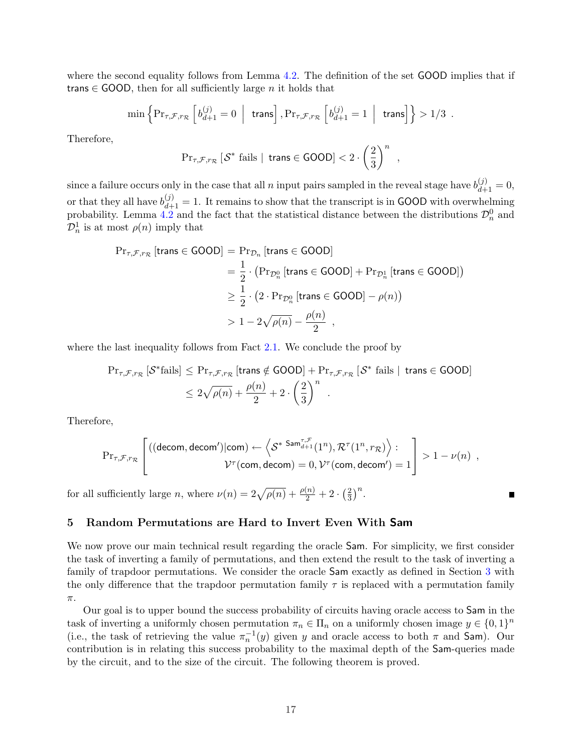where the second equality follows from Lemma [4.2.](#page-16-0) The definition of the set GOOD implies that if trans  $\in$  GOOD, then for all sufficiently large *n* it holds that

$$
\min\left\{\Pr_{\tau,\mathcal{F},r_{\mathcal{R}}}\left[\left.b^{(j)}_{d+1}=0\;\;\Big|\;\; \text{trans}\right],\Pr_{\tau,\mathcal{F},r_{\mathcal{R}}}\left[\left.b^{(j)}_{d+1}=1\;\;\Big|\;\; \text{trans}\right]\right.\right\}>1/3\enspace.
$$

Therefore,

$$
\mathrm{Pr}_{\tau,\mathcal{F},r_{\mathcal{R}}} \left[ \mathcal{S}^* \text{ fails } | \text{ trans} \in \text{GOOD} \right] < 2 \cdot \left( \frac{2}{3} \right)^n
$$

,

since a failure occurs only in the case that all n input pairs sampled in the reveal stage have  $b_{d+1}^{(j)} = 0$ , or that they all have  $b_{d+1}^{(j)} = 1$ . It remains to show that the transcript is in GOOD with overwhelming probability. Lemma [4.2](#page-16-0) and the fact that the statistical distance between the distributions  $\mathcal{D}_n^0$  and  $\mathcal{D}_n^1$  is at most  $\rho(n)$  imply that

$$
\begin{aligned} \Pr_{\tau,\mathcal{F},r_{\mathcal{R}}} \left[ \text{trans} \in \text{GOOD} \right] &= \Pr_{\mathcal{D}_n} \left[ \text{trans} \in \text{GOOD} \right] \\ &= \frac{1}{2} \cdot \left( \Pr_{\mathcal{D}_n^0} \left[ \text{trans} \in \text{GOOD} \right] + \Pr_{\mathcal{D}_n^1} \left[ \text{trans} \in \text{GOOD} \right] \right) \\ &\geq \frac{1}{2} \cdot \left( 2 \cdot \Pr_{\mathcal{D}_n^0} \left[ \text{trans} \in \text{GOOD} \right] - \rho(n) \right) \\ &\geq 1 - 2\sqrt{\rho(n)} - \frac{\rho(n)}{2} \end{aligned}
$$

where the last inequality follows from Fact [2.1.](#page-7-3) We conclude the proof by

$$
\begin{aligned} \Pr_{\tau,\mathcal{F},r_{\mathcal{R}}} \left[ \mathcal{S}^* \text{fails} \right] &\leq \Pr_{\tau,\mathcal{F},r_{\mathcal{R}}} \left[ \text{trans} \notin \text{GOOD} \right] + \Pr_{\tau,\mathcal{F},r_{\mathcal{R}}} \left[ \mathcal{S}^* \text{ fails} \mid \text{ trans} \in \text{GOOD} \right] \\ &\leq 2\sqrt{\rho(n)} + \frac{\rho(n)}{2} + 2 \cdot \left( \frac{2}{3} \right)^n \end{aligned}
$$

Therefore,

$$
\mathrm{Pr}_{\tau,\mathcal{F},r_{\mathcal{R}}}\left[\left((\text{decom},\text{decom}')|\text{com} \right) \leftarrow \left\langle \mathcal{S}^{* \ \mathrm{Sam}^{\tau,\mathcal{F}}_{d+1}(1^{n}), \mathcal{R}^{\tau}(1^{n},r_{\mathcal{R}}) \right\rangle : \newline \hspace*{1.5em}\mathcal{V}^{\tau}(\text{com},\text{decom}) = 0, \mathcal{V}^{\tau}(\text{com},\text{decom}') = 1 \right] > 1-\nu(n) \enspace ,
$$

for all sufficiently large *n*, where  $\nu(n) = 2\sqrt{\rho(n)} + \frac{\rho(n)}{2} + 2$ .  $(2)$ 3  $\big)^n$ .

## <span id="page-17-0"></span>5 Random Permutations are Hard to Invert Even With Sam

We now prove our main technical result regarding the oracle **Sam**. For simplicity, we first consider the task of inverting a family of permutations, and then extend the result to the task of inverting a family of trapdoor permutations. We consider the oracle Sam exactly as defined in Section [3](#page-11-0) with the only difference that the trapdoor permutation family  $\tau$  is replaced with a permutation family  $\pi.$ 

<span id="page-17-1"></span>Our goal is to upper bound the success probability of circuits having oracle access to Sam in the task of inverting a uniformly chosen permutation  $\pi_n \in \Pi_n$  on a uniformly chosen image  $y \in \{0,1\}^n$ (i.e., the task of retrieving the value  $\pi_n^{-1}(y)$  given y and oracle access to both  $\pi$  and Sam). Our contribution is in relating this success probability to the maximal depth of the Sam-queries made by the circuit, and to the size of the circuit. The following theorem is proved.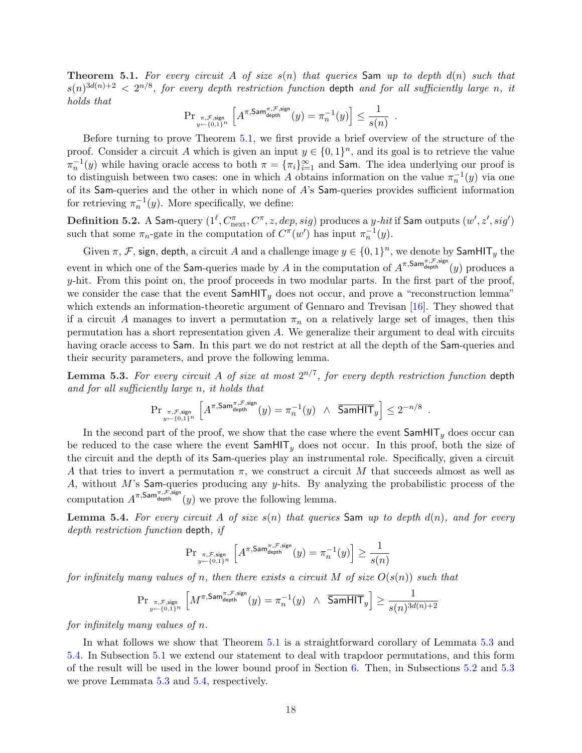**Theorem 5.1.** For every circuit A of size  $s(n)$  that queries Sam up to depth  $d(n)$  such that  $s(n)^{3d(n)+2} < 2^{n/8}$ , for every depth restriction function depth and for all sufficiently large n, it holds that h i

$$
\mathrm{Pr}_{\substack{\pi,\mathcal{F},\mathrm{sign}\\y\gets\{0,1\}^n}}\left[A^{\pi,\mathrm{Sam}^{\pi,\mathcal{F},\mathrm{sign}}}_{\mathrm{depth}}(y)=\pi_n^{-1}(y)\right]\leq \frac{1}{s(n)}
$$

.

.

Before turning to prove Theorem [5.1,](#page-17-1) we first provide a brief overview of the structure of the proof. Consider a circuit A which is given an input  $y \in \{0,1\}^n$ , and its goal is to retrieve the value  $\pi_n^{-1}(y)$  while having oracle access to both  $\pi = {\{\pi_i\}}_{i=1}^{\infty}$  and **Sam**. The idea underlying our proof is to distinguish between two cases: one in which A obtains information on the value  $\pi_n^{-1}(y)$  via one of its Sam-queries and the other in which none of A's Sam-queries provides sufficient information for retrieving  $\pi_n^{-1}(y)$ . More specifically, we define:

<span id="page-18-2"></span> $\bf{Definition 5.2.~A Sam-query}~(1^\ell, C^\pi_{\rm next}, C^\pi, z, dep, sig)~produces a~{\it y-hit}~if$  Sam  $\rm outputs~(w',z',sig')$ such that some  $\pi_n$ -gate in the computation of  $C^{\pi}(w')$  has input  $\pi_n^{-1}(y)$ .

Given  $\pi$ ,  $\mathcal F$ , sign, depth, a circuit A and a challenge image  $y \in \{0,1\}^n$ , we denote by SamHIT<sub>y</sub> the event in which one of the **Sam-**queries made by A in the computation of  $A^{\pi,\text{Sam}^{\pi,\mathcal{F},\text{sign}}}_{\text{depth}}(y)$  produces a  $y$ -hit. From this point on, the proof proceeds in two modular parts. In the first part of the proof, we consider the case that the event  $\text{SamHIT}_y$  does not occur, and prove a "reconstruction lemma" which extends an information-theoretic argument of Gennaro and Trevisan [\[16\]](#page-36-5). They showed that if a circuit A manages to invert a permutation  $\pi_n$  on a relatively large set of images, then this permutation has a short representation given A. We generalize their argument to deal with circuits having oracle access to **Sam**. In this part we do not restrict at all the depth of the **Sam-**queries and their security parameters, and prove the following lemma.

<span id="page-18-0"></span>**Lemma 5.3.** For every circuit A of size at most  $2^{n/7}$ , for every depth restriction function depth and for all sufficiently large n, it holds that

$$
\mathrm{Pr}_{\substack{\pi,\mathcal{F},\text{sign}\\y\leftarrow\{0,1\}^n}}\left[A^{\pi,\mathrm{Sam}^{\pi,\mathcal{F},\mathrm{sign}}}_{\mathrm{depth}}(y)=\pi_n^{-1}(y)~\wedge~\overline{\mathrm{SamHIT}}_y\right]\leq 2^{-n/8}
$$

In the second part of the proof, we show that the case where the event  $\text{SamHIT}_y$  does occur can be reduced to the case where the event  $\textsf{SamHIT}_y$  does not occur. In this proof, both the size of the circuit and the depth of its Sam-queries play an instrumental role. Specifically, given a circuit A that tries to invert a permutation  $\pi$ , we construct a circuit M that succeeds almost as well as A, without  $M$ 's Sam-queries producing any y-hits. By analyzing the probabilistic process of the computation  $A^{\pi,\mathsf{Sam}^{\pi,\mathcal{F},\text{sign}}}_{\text{depth}}(y)$  we prove the following lemma.

<span id="page-18-1"></span>**Lemma 5.4.** For every circuit A of size  $s(n)$  that queries Sam up to depth  $d(n)$ , and for every depth restriction function depth, if

$$
\Pr_{\substack{\pi,\mathcal{F},\text{sign}\\y\leftarrow\{0,1\}^n}}\left[A^{\pi,\text{Sam}^{\pi,\mathcal{F},\text{sign}}}_{\text{depth}}(y)=\pi_n^{-1}(y)\right]\geq\frac{1}{s(n)}
$$

for infinitely many values of n, then there exists a circuit M of size  $O(s(n))$  such that

$$
\mathrm{Pr}_{\substack{\pi,\mathcal{F},\text{sign}\\y\gets\{0,1\}^n}}\left[M^{\pi,\mathrm{Sam}^{\pi,\mathcal{F},\mathrm{sign}}}_{\mathrm{depth}}(y)=\pi_n^{-1}(y)~\wedge~\overline{\mathrm{SamHIT}}_y\right]\geq \frac{1}{s(n)^{3d(n)+2}}
$$

for infinitely many values of n.

In what follows we show that Theorem [5.1](#page-17-1) is a straightforward corollary of Lemmata [5.3](#page-18-0) and [5.4.](#page-18-1) In Subsection [5.1](#page-19-0) we extend our statement to deal with trapdoor permutations, and this form of the result will be used in the lower bound proof in Section [6.](#page-31-0) Then, in Subsections [5.2](#page-20-0) and [5.3](#page-23-0) we prove Lemmata [5.3](#page-18-0) and [5.4,](#page-18-1) respectively.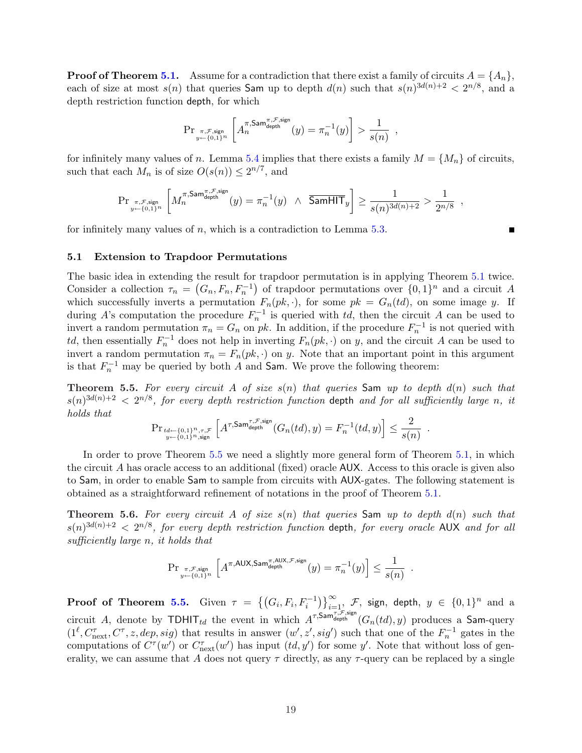**Proof of Theorem [5.1.](#page-17-1)** Assume for a contradiction that there exist a family of circuits  $A = \{A_n\}$ , each of size at most  $s(n)$  that queries **Sam** up to depth  $d(n)$  such that  $s(n)^{3d(n)+2} < 2^{n/8}$ , and a depth restriction function depth, for which

$$
\Pr_{\pi,\mathcal{F},\text{sign}_{y\leftarrow\{0,1\}^n}}\left[A_n^{\pi,\text{Sam}^{\pi,\mathcal{F},\text{sign}}}(y)=\pi_n^{-1}(y)\right] > \frac{1}{s(n)},
$$

for infinitely many values of n. Lemma [5.4](#page-18-1) implies that there exists a family  $M = \{M_n\}$  of circuits, such that each  $M_n$  is of size  $O(s(n)) \leq 2^{n/7}$ , and

$$
\mathrm{Pr}_{\substack{\pi,\mathcal{F},\text{sign}\\y\leftarrow\{0,1\}^n}}\left[M_n^{\pi,\mathrm{Sam}^{\pi,\mathcal{F},\mathrm{sign}}}(y)=\pi_n^{-1}(y)~\wedge~\overline{\mathrm{SamHIT}}_y\right]\geq\frac{1}{s(n)^{3d(n)+2}}>\frac{1}{2^{n/8}}~,
$$

for infinitely many values of  $n$ , which is a contradiction to Lemma [5.3.](#page-18-0)

## <span id="page-19-0"></span>5.1 Extension to Trapdoor Permutations

The basic idea in extending the result for trapdoor permutation is in applying Theorem [5.1](#page-17-1) twice. Consider a collection  $\tau_n =$  $[G_n, F_n, F_n^{-1}]$ ¢ of trapdoor permutations over  $\{0,1\}^n$  and a circuit A which successfully inverts a permutation  $F_n(pk, \cdot)$ , for some  $pk = G_n(td)$ , on some image y. If during A's computation the procedure  $F_n^{-1}$  is queried with td, then the circuit A can be used to invert a random permutation  $\pi_n = G_n$  on pk. In addition, if the procedure  $F_n^{-1}$  is not queried with td, then essentially  $F_n^{-1}$  does not help in inverting  $F_n(pk, \cdot)$  on y, and the circuit A can be used to invert a random permutation  $\pi_n = F_n(pk, \cdot)$  on y. Note that an important point in this argument is that  $F_n^{-1}$  may be queried by both A and Sam. We prove the following theorem:

<span id="page-19-1"></span>**Theorem 5.5.** For every circuit A of size  $s(n)$  that queries Sam up to depth  $d(n)$  such that  $s(n)^{3d(n)+2} < 2^{n/8}$ , for every depth restriction function depth and for all sufficiently large n, it holds that h i

$$
\mathrm{Pr}_{\substack{td \leftarrow \{0,1\}^n,\tau,\mathcal{F} \\ y \leftarrow \{0,1\}^n, \text{sign}}} \left[ A^{\tau,\mathrm{Sam}^{\tau,\mathcal{F},\mathrm{sign}}}_{\mathrm{depth}}(G_n(td),y) = F_n^{-1}(td,y) \right] \le \frac{2}{s(n)} \enspace .
$$

In order to prove Theorem [5.5](#page-19-1) we need a slightly more general form of Theorem [5.1,](#page-17-1) in which the circuit A has oracle access to an additional (fixed) oracle AUX. Access to this oracle is given also to Sam, in order to enable Sam to sample from circuits with AUX-gates. The following statement is obtained as a straightforward refinement of notations in the proof of Theorem [5.1.](#page-17-1)

<span id="page-19-2"></span>**Theorem 5.6.** For every circuit A of size  $s(n)$  that queries Sam up to depth  $d(n)$  such that  $s(n)^{3d(n)+2} < 2^{n/8}$ , for every depth restriction function depth, for every oracle AUX and for all sufficiently large n, it holds that

$$
\mathrm{Pr}_{\substack{\pi,\mathcal{F},\text{sign}\\y\leftarrow\{0,1\}^n}}\left[A^{\pi,\mathsf{AUX},\mathsf{Sam}^{\pi,\mathsf{AUX},\mathcal{F},\text{sign}}}_{\text{depth}}(y)=\pi_n^{-1}(y)\right]\leq \frac{1}{s(n)}\enspace.
$$

**Proof of Theorem [5.5.](#page-19-1)** Given  $\tau = \{(G_i, F_i, F_i^{-1})$  $\sqrt{2}$  $\sum_{i=1}^{\infty}$   $\mathcal{F},$  sign, depth,  $y \in \{0,1\}^n$  and a circuit A, denote by  $TDHIT_{td}$  the event in which  $A^{\tau,Sam}^{\tau,S,sign}(G_n(td),y)$  produces a Sam-query  $(1^{\ell}, C_{\text{next}}^{\tau}, C^{\tau}, z, dep, sig)$  that results in answer  $(w', z', sig')$  such that one of the  $F_n^{-1}$  gates in the computations of  $C^{\tau}(w')$  or  $C_{\text{next}}^{\tau}(w')$  has input  $(td, y')$  for some y'. Note that without loss of generality, we can assume that A does not query  $\tau$  directly, as any  $\tau$ -query can be replaced by a single

п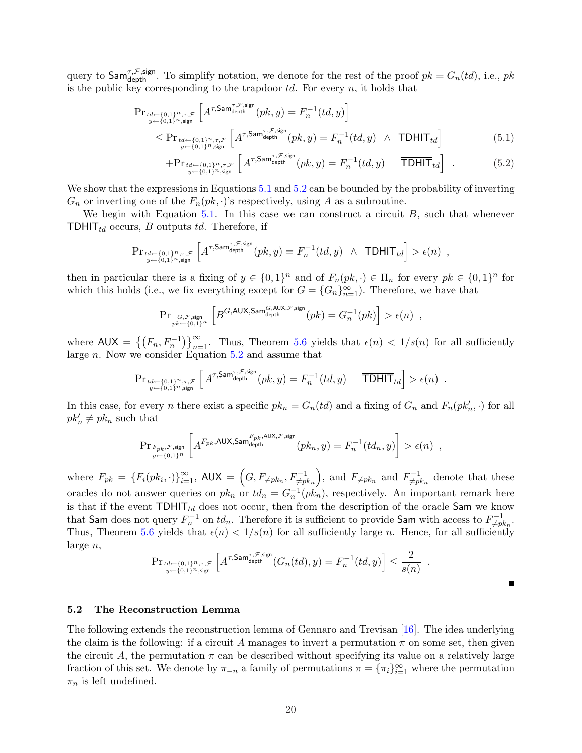query to  $\mathsf{Sam}^{\tau,\mathcal{F},\mathsf{sign}}_{\text{depth}}$ . To simplify notation, we denote for the rest of the proof  $pk = G_n(td)$ , i.e.,  $pk$ is the public key corresponding to the trapdoor  $td.$  For every  $n$ , it holds that

<span id="page-20-1"></span>
$$
\Pr_{\substack{u \leftarrow \{0,1\}^n, \tau, \mathcal{F} \\ y \leftarrow \{0,1\}^n, \text{sign}}} \left[ A^{\tau, \text{Sam}_{\text{depth}}^{\tau, \mathcal{F}, \text{sign}}} (pk, y) = F_n^{-1}(td, y) \right] \le \Pr_{\substack{t \leftarrow \{0,1\}^n, \tau, \mathcal{F} \\ y \leftarrow \{0,1\}^n, \text{sign}}} \left[ A^{\tau, \text{Sam}_{\text{depth}}^{\tau, \mathcal{F}, \text{sign}}} (pk, y) = F_n^{-1}(td, y) \land \text{TDHIT}_{td} \right] \tag{5.1}
$$

$$
+Pr_{\substack{td \leftarrow \{0,1\}^n, \tau, \mathcal{F} \\ y \leftarrow \{0,1\}^n, \text{sign}}} \left[A^{\tau, \mathsf{Sam}^{\tau, \mathcal{F}, \mathsf{sign}}}_{\text{depth}}(pk, y) = F_n^{-1}(td, y) \left| \overline{\mathsf{TDHIT}}_{td} \right| \tag{5.2}
$$

We show that the expressions in Equations [5.1](#page-20-1) and [5.2](#page-20-1) can be bounded by the probability of inverting  $G_n$  or inverting one of the  $F_n(pk, \cdot)$ 's respectively, using A as a subroutine.

We begin with Equation  $5.1$ . In this case we can construct a circuit  $B$ , such that whenever TDHIT $_{td}$  occurs, B outputs td. Therefore, if

$$
\mathrm{Pr}_{\substack{td \leftarrow \{0,1\}^n, \tau, \mathcal{F} \\ y \leftarrow \{0,1\}^n, \text{sign}}} \left[ A^{\tau, \mathsf{Sam}^{\tau, \mathcal{F}, \mathsf{sign}}}_{\text{depth}}(pk, y) = F_n^{-1}(td, y) \ \wedge \ \mathsf{TDHIT}_{td} \right] > \epsilon(n) \enspace,
$$

then in particular there is a fixing of  $y \in \{0,1\}^n$  and of  $F_n(pk, \cdot) \in \Pi_n$  for every  $pk \in \{0,1\}^n$  for which this holds (i.e., we fix everything except for  $G = \{G_n\}_{n=1}^{\infty}$ ). Therefore, we have that

$$
\mathrm{Pr}_{\substack{G,\mathcal{F},\text{sign}\\pk\leftarrow\{0,1\}^n}}\left[B^{G,\text{AUX},\text{Sam}_{\text{depth}}^{G,\text{AUX},\mathcal{F},\text{sign}}}(pk) = G_n^{-1}(pk)\right] > \epsilon(n) \enspace,
$$

where  $\mathsf{AUX} = \left\{ \left( F_n, F_n^{-1} \right) \right\}$  $\sqrt{2}$  $\sum_{n=1}^{\infty}$ . Thus, Theorem [5.6](#page-19-2) yields that  $\epsilon(n) < 1/s(n)$  for all sufficiently large n. Now we consider Equation [5.2](#page-20-1) and assume that

$$
\mathrm{Pr}_{\substack{td \leftarrow \{0,1\}^n, \tau, \mathcal{F} \\ y \leftarrow \{0,1\}^n, \text{sign}}} \left[ A^{\tau, \mathsf{Sam}^{\tau, \mathcal{F}, \mathsf{sign}}}_{\text{depth}}(pk, y) = F_n^{-1}(td, y) \ \Big| \ \overline{\mathsf{TDHIT}}_{td} \right] > \epsilon(n) \enspace .
$$

In this case, for every *n* there exist a specific  $pk_n = G_n(td)$  and a fixing of  $G_n$  and  $F_n(pk'_n, \cdot)$  for all  $pk'_n \neq pk_n$  such that

$$
\mathrm{Pr}_{\substack{F_{pk}, \mathcal{F}, \text{sign} \\ y \leftarrow \{0,1\}^n}} \left[ A^{F_{pk},\mathrm{AUX},\mathrm{Sam}^{F_{pk},\mathrm{AUX},\mathcal{F},\mathrm{sign}}}_{\mathrm{depth}}(pk_n, y) = F_n^{-1}(td_n, y) \right] > \epsilon(n) \enspace ,
$$

where  $F_{pk} = \{F_i(pk_i, \cdot)\}_{i=1}^{\infty}$ , AUX =  $\overline{a}$  $G, F_{\neq pk_n}, F_{\neq pk_n}^{-1}$ ´ , and  $F_{\neq pk_n}$  and  $F_{\neq pi}^{-1}$  $\chi_{\neq pk_n}^{-1}$  denote that these oracles do not answer queries on  $pk_n$  or  $td_n = G_n^{-1}(pk_n)$ , respectively. An important remark here is that if the event  $TDHIT_{td}$  does not occur, then from the description of the oracle Sam we know that Sam does not query  $F_n^{-1}$  on  $td_n$ . Therefore it is sufficient to provide Sam with access to  $F_{\neq pi}^{-1}$  $_{\neq pk_n}^{n-1}.$ Thus, Theorem [5.6](#page-19-2) yields that  $\epsilon(n) < 1/s(n)$  for all sufficiently large n. Hence, for all sufficiently large n, h i

$$
\mathrm{Pr}_{\substack{td \leftarrow \{0,1\}^n,\tau,\mathcal{F} \\ y \leftarrow \{0,1\}^n,\text{sign}}} \left[ A^{\tau,\mathrm{Sam}^{\tau,\mathcal{F},\mathrm{sign}}}_{\mathrm{depth}}(G_n(td),y) = F_n^{-1}(td,y) \right] \le \frac{2}{s(n)} \enspace .
$$

#### <span id="page-20-0"></span>5.2 The Reconstruction Lemma

<span id="page-20-2"></span>The following extends the reconstruction lemma of Gennaro and Trevisan [\[16\]](#page-36-5). The idea underlying the claim is the following: if a circuit A manages to invert a permutation  $\pi$  on some set, then given the circuit A, the permutation  $\pi$  can be described without specifying its value on a relatively large fraction of this set. We denote by  $\pi_{-n}$  a family of permutations  $\pi = {\pi_i}_{i=1}^{\infty}$  where the permutation  $\pi_n$  is left undefined.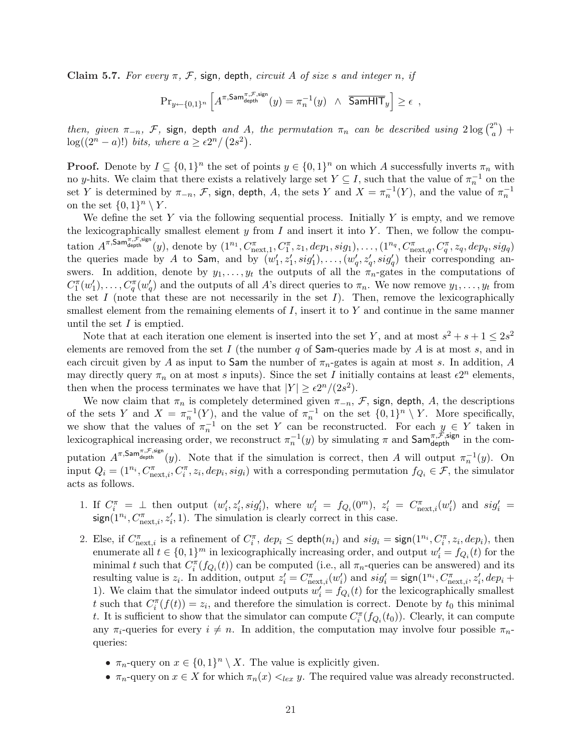Claim 5.7. For every  $\pi$ , F, sign, depth, circuit A of size s and integer n, if

$$
\mathrm{Pr}_{y \leftarrow \{0,1\}^n} \left[ A^{\pi,\mathsf{Sam}^{\pi,\mathcal{F},\mathsf{sign}}}_{\text{depth}}(y) = \pi_n^{-1}(y) \ \wedge \ \overline{\mathsf{SamHIT}}_y \right] \ge \epsilon \ ,
$$

then, given  $\pi_{-n}$ , F, sign, depth and A, the permutation  $\pi_n$  can be described using  $2\log\binom{2^n}{a}$ a ¢ and A, the permutation  $\pi_n$  can be described using  $2\log\binom{2^n}{a}$  +  $log((2<sup>n</sup> - a)!) bits, where a \ge \frac{\varepsilon 2^n}{2s^2}.$ 

**Proof.** Denote by  $I \subseteq \{0,1\}^n$  the set of points  $y \in \{0,1\}^n$  on which A successfully inverts  $\pi_n$  with no y-hits. We claim that there exists a relatively large set  $Y \subseteq I$ , such that the value of  $\pi_n^{-1}$  on the set Y is determined by  $\pi_{-n}$ , F, sign, depth, A, the sets Y and  $X = \pi_n^{-1}(Y)$ , and the value of  $\pi_n^{-1}$ on the set  $\{0,1\}^n \setminus Y$ .

We define the set Y via the following sequential process. Initially Y is empty, and we remove the lexicographically smallest element y from I and insert it into Y. Then, we follow the computation  $A^{\pi, \mathsf{Sam}^{\pi, \mathcal{F}, \text{sign}}}_{\text{depth}}(y)$ , denote by  $(1^{n_1}, C^\pi_{\text{next},1}, C^\pi_1, z_1, \text{dep}_1, \text{sig}_1), \dots, (1^{n_q}, C^\pi_{\text{next},q}, C^\pi_q, z_q, \text{dep}_q, \text{sig}_q)$ the queries made by A to Sam, and by  $(w'_1, z'_1, sig'_1), \ldots, (w'_q, z'_q, sig'_q)$  their corresponding answers. In addition, denote by  $y_1, \ldots, y_t$  the outputs of all the  $\pi_n$ -gates in the computations of  $C_1^{\pi}(w_1'), \ldots, C_q^{\pi}(w_q')$  and the outputs of all A's direct queries to  $\pi_n$ . We now remove  $y_1, \ldots, y_t$  from the set  $I$  (note that these are not necessarily in the set  $I$ ). Then, remove the lexicographically smallest element from the remaining elements of  $I$ , insert it to  $Y$  and continue in the same manner until the set  $I$  is emptied.

Note that at each iteration one element is inserted into the set Y, and at most  $s^2 + s + 1 \leq 2s^2$ elements are removed from the set  $I$  (the number  $q$  of Sam-queries made by  $A$  is at most  $s$ , and in each circuit given by A as input to Sam the number of  $\pi_n$ -gates is again at most s. In addition, A may directly query  $\pi_n$  on at most s inputs). Since the set I initially contains at least  $\epsilon 2^n$  elements, then when the process terminates we have that  $|Y| \ge \frac{\varepsilon 2^n}{(2s^2)}$ .

We now claim that  $\pi_n$  is completely determined given  $\pi_{-n}$ ,  $\mathcal F$ , sign, depth, A, the descriptions of the sets Y and  $X = \pi_n^{-1}(Y)$ , and the value of  $\pi_n^{-1}$  on the set  $\{0,1\}^n \setminus Y$ . More specifically, we show that the values of  $\pi_n^{-1}$  on the set Y can be reconstructed. For each  $y \in Y$  taken in lexicographical increasing order, we reconstruct  $\pi_n^{-1}(y)$  by simulating  $\pi$  and  $\mathsf{Sam}_{\mathsf{depth}}^{\pi,\mathcal{F},\mathsf{sign}}$  in the computation  $A^{\pi,\textsf{Sam}^{\pi,\mathcal{F},\text{sign}}}_{\text{depth}}(y)$ . Note that if the simulation is correct, then A will output  $\pi_n^{-1}(y)$ . On input  $Q_i = (1^{n_i}, C_{\text{next},i}^{\pi}, C_i^{\pi}, z_i, dep_i, sig_i)$  with a corresponding permutation  $f_{Q_i} \in \mathcal{F}$ , the simulator acts as follows.

- 1. If  $C_i^{\pi} = \perp$  then output  $(w'_i, z'_i, sig'_i)$ , where  $w'_i = f_{Q_i}(0^m)$ ,  $z'_i = C_{\text{next},i}^{\pi}(w'_i)$  and  $sig'_i =$  $sign(1^{n_i}, C_{\text{next},i}^{\pi}, z_i', 1)$ . The simulation is clearly correct in this case.
- 2. Else, if  $C_{\text{next},i}^{\pi}$  is a refinement of  $C_i^{\pi}$ ,  $dep_i \leq$  depth $(n_i)$  and  $sig_i = sign(1^{n_i}, C_i^{\pi}, z_i, dep_i)$ , then enumerate all  $t \in \{0,1\}^m$  in lexicographically increasing order, and output  $w_i' = f_{Q_i}(t)$  for the minimal t such that  $C_i^{\pi}(f_{Q_i}(t))$  can be computed (i.e., all  $\pi_n$ -queries can be answered) and its resulting value is  $z_i$ . In addition, output  $z_i' = C_{\text{next},i}^{\pi}(w_i')$  and  $sig_i' = \text{sign}(1^{n_i}, C_{\text{next},i}^{\pi}, z_i', dep_i +$ 1). We claim that the simulator indeed outputs  $w'_i = f_{Q_i}(t)$  for the lexicographically smallest t such that  $C_i^{\pi}(f(t)) = z_i$ , and therefore the simulation is correct. Denote by  $t_0$  this minimal t. It is sufficient to show that the simulator can compute  $C_i^{\pi}(f_{Q_i}(t_0))$ . Clearly, it can compute any  $\pi_i$ -queries for every  $i \neq n$ . In addition, the computation may involve four possible  $\pi_{n-1}$ queries:
	- $\pi_n$ -query on  $x \in \{0,1\}^n \setminus X$ . The value is explicitly given.
	- $\pi_n$ -query on  $x \in X$  for which  $\pi_n(x) \leq_{lex} y$ . The required value was already reconstructed.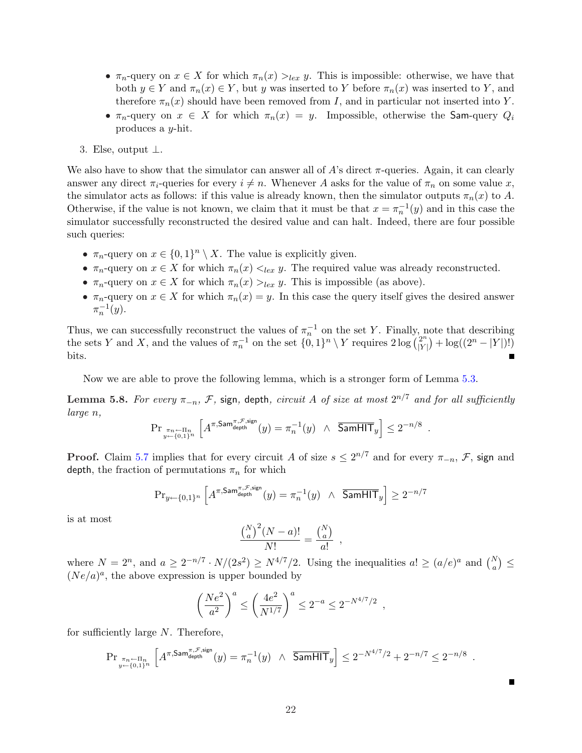- $\pi_n$ -query on  $x \in X$  for which  $\pi_n(x) >_{lex} y$ . This is impossible: otherwise, we have that both  $y \in Y$  and  $\pi_n(x) \in Y$ , but y was inserted to Y before  $\pi_n(x)$  was inserted to Y, and therefore  $\pi_n(x)$  should have been removed from I, and in particular not inserted into Y.
- $\pi_n$ -query on  $x \in X$  for which  $\pi_n(x) = y$ . Impossible, otherwise the Sam-query  $Q_i$ produces a y-hit.
- 3. Else, output  $\perp$ .

We also have to show that the simulator can answer all of A's direct  $\pi$ -queries. Again, it can clearly answer any direct  $\pi_i$ -queries for every  $i \neq n$ . Whenever A asks for the value of  $\pi_n$  on some value x, the simulator acts as follows: if this value is already known, then the simulator outputs  $\pi_n(x)$  to A. Otherwise, if the value is not known, we claim that it must be that  $x = \pi_n^{-1}(y)$  and in this case the simulator successfully reconstructed the desired value and can halt. Indeed, there are four possible such queries:

- $\pi_n$ -query on  $x \in \{0,1\}^n \setminus X$ . The value is explicitly given.
- $\pi_n$ -query on  $x \in X$  for which  $\pi_n(x) \leq_{lex} y$ . The required value was already reconstructed.
- $\pi_n$ -query on  $x \in X$  for which  $\pi_n(x) >_{lex} y$ . This is impossible (as above).
- $\pi_n$ -query on  $x \in X$  for which  $\pi_n(x) = y$ . In this case the query itself gives the desired answer  $\pi_n^{-1}(y)$ .

Thus, we can successfully reconstruct the values of  $\pi_n^{-1}$  on the set Y. Finally, note that describing Thus, we can successively reconstruct the values of  $\pi_n^{-1}$  on the set  $\{0,1\}^n \setminus Y$  requires  $2 \log \binom{2^n}{|Y|}$  $|Y|$  $\phi$  = that describing<br>  $\phi$  + log((2<sup>n</sup> – |Y|)!) bits.

Now we are able to prove the following lemma, which is a stronger form of Lemma [5.3.](#page-18-0)

Lemma 5.8. For every  $\pi_{-n},\,\mathcal{F},$  sign, depth, circuit  $A$  of size at most  $2^{n/7}$  and for all sufficiently large n, h i

$$
\mathrm{Pr}_{\substack{\pi_n \leftarrow \Pi_n \\ y \leftarrow \{0,1\}^n}} \left[ A^{\pi,\mathrm{Sam}^{\pi,\mathcal{F},\mathrm{sign}}}_{\mathrm{depth}}(y) = \pi_n^{-1}(y) \ \wedge \ \overline{\mathrm{SamHIT}}_y \right] \le 2^{-n/8}
$$

.

.

**Proof.** Claim [5.7](#page-20-2) implies that for every circuit A of size  $s \leq 2^{n/7}$  and for every  $\pi_{-n}$ , F, sign and depth, the fraction of permutations  $\pi_n$  for which

$$
\mathrm{Pr}_{y \leftarrow \{0,1\}^n} \left[ A^{\pi,\mathrm{Sam}^{\pi,\mathcal{F},\mathrm{sign}}}_{\mathrm{depth}}(y) = \pi_n^{-1}(y) \ \wedge \ \overline{\mathrm{SamHIT}}_y \right] \ge 2^{-n/7}
$$

is at most

$$
\frac{\binom{N}{a}^2(N-a)!}{N!} = \frac{\binom{N}{a}}{a!},
$$

where  $N = 2^n$ , and  $a \ge 2^{-n/7} \cdot N/(2s^2) \ge N^{4/7}/2$ . Using the inequalities  $a! \ge (a/e)^a$  and  $\binom{N}{a}$ ¢ ≤  $(Ne/a)^a$ , the above expression is upper bounded by

$$
\left(\frac{Ne^2}{a^2}\right)^a \le \left(\frac{4e^2}{N^{1/7}}\right)^a \le 2^{-a} \le 2^{-N^{4/7}/2} ,
$$

for sufficiently large N. Therefore,

$$
\mathrm{Pr}_{\pi_{n} \leftarrow \Pi_{n} \atop y \leftarrow \{0,1\}^{n}} \left[ A^{\pi,\mathrm{Sam}^{\pi,\mathcal{F},\mathrm{sign}}_{\mathrm{depth}}}(y) = \pi_{n}^{-1}(y) \ \wedge \ \overline{\mathrm{SamHIT}}_{y} \right] \leq 2^{-N^{4/7}/2} + 2^{-n/7} \leq 2^{-n/8}
$$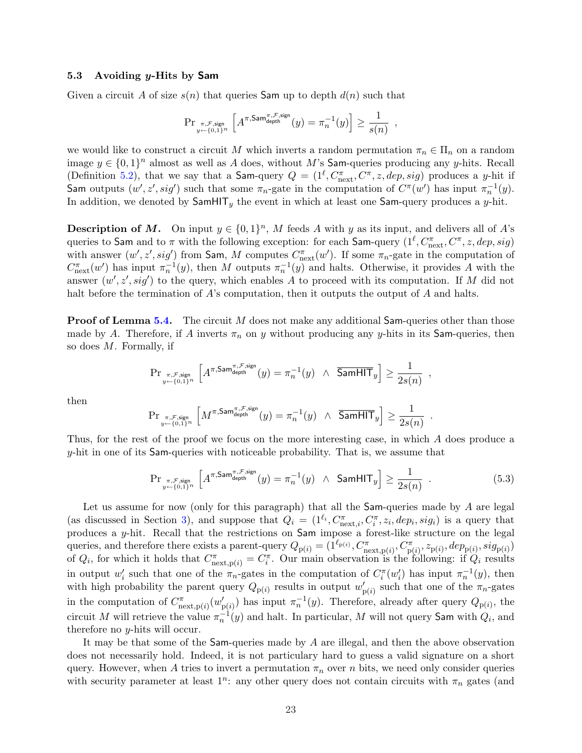#### <span id="page-23-0"></span>5.3 Avoiding y-Hits by Sam

Given a circuit A of size  $s(n)$  that queries Sam up to depth  $d(n)$  such that

$$
\mathrm{Pr}_{\substack{\pi,\mathcal{F},\mathrm{sign}\\y\leftarrow\{0,1\}^n}}\left[A^{\pi,\mathrm{Sam}^{\pi,\mathcal{F},\mathrm{sign}}}_{\mathrm{depth}}(y)=\pi^{-1}_n(y)\right]\geq \frac{1}{s(n)}\enspace,
$$

we would like to construct a circuit M which inverts a random permutation  $\pi_n \in \Pi_n$  on a random image  $y \in \{0,1\}^n$  almost as well as A does, without M's Sam-queries producing any y-hits. Recall (Definition [5.2\)](#page-18-2), that we say that a Sam-query  $Q = (1^{\ell}, C_{\text{next}}^{\pi}, C^{\pi}, z, dep, sig)$  produces a y-hit if Sam outputs  $(w', z', sig')$  such that some  $\pi_n$ -gate in the computation of  $C^{\pi}(w')$  has input  $\pi_n^{-1}(y)$ . In addition, we denoted by  $\textsf{SamHIT}_y$  the event in which at least one  $\textsf{Sam-query}$  produces a y-hit.

**Description of M.** On input  $y \in \{0,1\}^n$ , M feeds A with y as its input, and delivers all of A's queries to Sam and to  $\pi$  with the following exception: for each Sam-query  $(1^{\ell}, C_{\rm next}^{\pi}, C^{\pi}, z, dep, sig)$ with answer  $(w', z', sig')$  from Sam, M computes  $C_{\text{next}}^{\pi}(w')$ . If some  $\pi_n$ -gate in the computation of  $C_{\text{next}}^{\pi}(w')$  has input  $\pi_n^{-1}(y)$ , then M outputs  $\pi_n^{-1}(y)$  and halts. Otherwise, it provides A with the answer  $(w', z', sig')$  to the query, which enables A to proceed with its computation. If M did not halt before the termination of A's computation, then it outputs the output of A and halts.

**Proof of Lemma [5.4.](#page-18-1)** The circuit M does not make any additional Sam-queries other than those made by A. Therefore, if A inverts  $\pi_n$  on y without producing any y-hits in its Sam-queries, then so does M. Formally, if

$$
\mathrm{Pr}_{\substack{\pi,\mathcal{F},\text{sign}\\y\leftarrow\{0,1\}^n}}\left[A^{\pi,\mathrm{Sam}^{\pi,\mathcal{F},\text{sign}}}_{\mathrm{depth}}(y)=\pi_n^{-1}(y)~\wedge~\overline{\mathrm{SamHIT}}_y\right]\geq\frac{1}{2s(n)}~,
$$

then

$$
\mathrm{Pr}_{\substack{\pi,\mathcal{F},\text{sign}\\y\leftarrow\{0,1\}^n}}\left[M^{\pi,\mathrm{Sam}^{\pi,\mathcal{F},\mathrm{sign}}}_{\mathrm{depth}}(y)=\pi_n^{-1}(y)~\wedge~\overline{\mathrm{SamHIT}}_y\right]\geq\frac{1}{2s(n)}
$$

Thus, for the rest of the proof we focus on the more interesting case, in which A does produce a y-hit in one of its Sam-queries with noticeable probability. That is, we assume that

<span id="page-23-1"></span>
$$
\Pr_{\pi,\mathcal{F},\text{sign}_{y} \atop y \leftarrow \{0,1\}^n} \left[ A^{\pi,\text{Sam}^{\pi,\mathcal{F},\text{sign}}}_{\text{depth}}(y) = \pi_n^{-1}(y) \quad \land \quad \text{SamHIT}_y \right] \ge \frac{1}{2s(n)} \quad . \tag{5.3}
$$

.

Let us assume for now (only for this paragraph) that all the  $Sam$ -queries made by  $A$  are legal (as discussed in Section [3\)](#page-11-0), and suppose that  $Q_i = (1^{\ell_i}, C_{\text{next},i}^{\pi}, C_i^{\pi}, z_i, dep_i, sig_i)$  is a query that produces a y-hit. Recall that the restrictions on Sam impose a forest-like structure on the legal queries, and therefore there exists a parent-query  $Q_{p(i)} = (1^{\ell_{p(i)}}, C^{\pi}_{next,p(i)}, C^{\pi}_{p(i)}, z_{p(i)}, dep_{p(i)}, sig_{p(i)})$ of  $Q_i$ , for which it holds that  $C^{\pi}_{\text{next},p(i)} = C^{\pi}_i$ . Our main observation is the following: if  $Q_i$  results in output  $w'_i$  such that one of the  $\pi_n$ -gates in the computation of  $C_i^{\pi}(w'_i)$  has input  $\pi_n^{-1}(y)$ , then with high probability the parent query  $Q_{p(i)}$  results in output  $w'_{p(i)}$  such that one of the  $\pi_n$ -gates in the computation of  $C^{\pi}_{\text{next},p(i)}(w'_{p(i)})$  has input  $\pi_n^{-1}(y)$ . Therefore, already after query  $Q_{p(i)}$ , the circuit M will retrieve the value  $\pi_n^{-1}(y)$  and halt. In particular, M will not query Sam with  $Q_i$ , and therefore no y-hits will occur.

It may be that some of the Sam-queries made by A are illegal, and then the above observation does not necessarily hold. Indeed, it is not particulary hard to guess a valid signature on a short query. However, when A tries to invert a permutation  $\pi_n$  over n bits, we need only consider queries with security parameter at least  $1^n$ : any other query does not contain circuits with  $\pi_n$  gates (and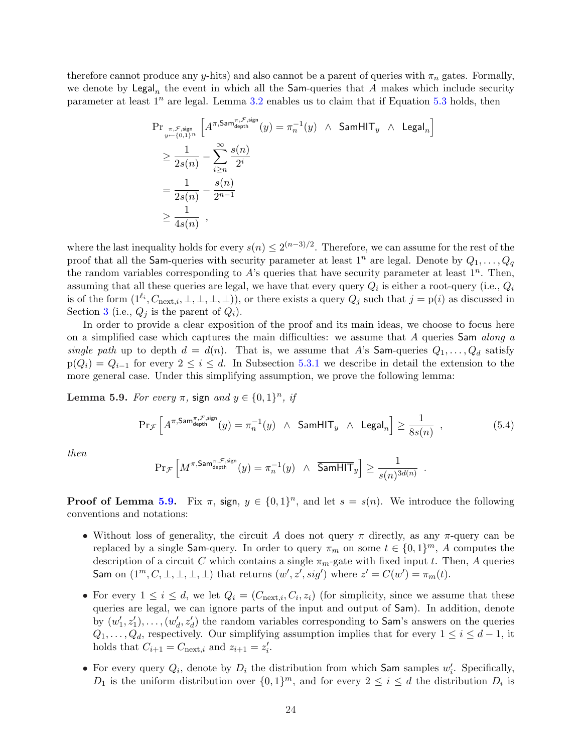therefore cannot produce any y-hits) and also cannot be a parent of queries with  $\pi_n$  gates. Formally, we denote by  $\mathsf{Legal}_n$  the event in which all the Sam-queries that  $A$  makes which include security parameter at least  $1^n$  are legal. Lemma [3.2](#page-13-1) enables us to claim that if Equation [5.3](#page-23-1) holds, then

$$
\begin{aligned} &\Pr_{\substack{\pi,\mathcal{F},\text{sign}\\y \leftarrow \{0,1\}^n}} \left[ A^{\pi,\mathsf{Sam}^{\pi,\mathcal{F},\text{sign}}}_{\text{depth}}(y) = \pi_n^{-1}(y) \ \wedge \ \mathsf{SamHIT}_y \ \wedge \ \mathsf{Legal}_n \right] \\ &\geq \frac{1}{2s(n)} - \sum_{i \geq n} \frac{s(n)}{2^i} \\ &= \frac{1}{2s(n)} - \frac{s(n)}{2^{n-1}} \\ &\geq \frac{1}{4s(n)} \ , \end{aligned}
$$

where the last inequality holds for every  $s(n) \leq 2^{(n-3)/2}$ . Therefore, we can assume for the rest of the proof that all the Sam-queries with security parameter at least  $1^n$  are legal. Denote by  $Q_1, \ldots, Q_q$ the random variables corresponding to A's queries that have security parameter at least  $1^n$ . Then, assuming that all these queries are legal, we have that every query  $Q_i$  is either a root-query (i.e.,  $Q_i$ is of the form  $(1^{\ell_i}, C_{\text{next},i}, \perp, \perp, \perp)$ , or there exists a query  $Q_j$  such that  $j = p(i)$  as discussed in Section [3](#page-11-0) (i.e.,  $Q_i$  is the parent of  $Q_i$ ).

In order to provide a clear exposition of the proof and its main ideas, we choose to focus here on a simplified case which captures the main difficulties: we assume that  $\tilde{A}$  queries Sam along a single path up to depth  $d = d(n)$ . That is, we assume that A's Sam-queries  $Q_1, \ldots, Q_d$  satisfy  $p(Q_i) = Q_{i-1}$  for every  $2 \leq i \leq d$ . In Subsection [5.3.1](#page-30-0) we describe in detail the extension to the more general case. Under this simplifying assumption, we prove the following lemma:

<span id="page-24-0"></span>Lemma 5.9. For every  $\pi$ , sign and  $y \in \{0,1\}^n$ , if

<span id="page-24-1"></span>
$$
\Pr_{\mathcal{F}}\left[A^{\pi,\text{Sam}_{\text{depth}}^{\pi,\mathcal{F},\text{sign}}}(y) = \pi_n^{-1}(y) \ \wedge \ \text{SamHIT}_y \ \wedge \ \text{Legal}_n\right] \ge \frac{1}{8s(n)},\tag{5.4}
$$

then

$$
\Pr{\mathcal{F}}\left[M^{\pi,\text{Sam}^{\pi,\mathcal{F},\text{sign}}}_{\text{depth}}(y) = \pi_n^{-1}(y) \ \wedge \ \overline{\text{SamHIT}}_y\right] \geq \frac{1}{s(n)^{3d(n)}} \enspace.
$$

**Proof of Lemma [5.9.](#page-24-0)** Fix  $\pi$ , sign,  $y \in \{0,1\}^n$ , and let  $s = s(n)$ . We introduce the following conventions and notations:

- Without loss of generality, the circuit A does not query  $\pi$  directly, as any  $\pi$ -query can be replaced by a single Sam-query. In order to query  $\pi_m$  on some  $t \in \{0,1\}^m$ , A computes the description of a circuit C which contains a single  $\pi_m$ -gate with fixed input t. Then, A queries Sam on  $(1^m, C, \bot, \bot, \bot, \bot)$  that returns  $(w', z', sig')$  where  $z' = C(w') = \pi_m(t)$ .
- For every  $1 \leq i \leq d$ , we let  $Q_i = (C_{\text{next},i}, C_i, z_i)$  (for simplicity, since we assume that these queries are legal, we can ignore parts of the input and output of Sam). In addition, denote by  $(w'_1, z'_1), \ldots, (w'_d, z'_d)$  the random variables corresponding to Sam's answers on the queries  $Q_1, \ldots, Q_d$ , respectively. Our simplifying assumption implies that for every  $1 \leq i \leq d-1$ , it holds that  $C_{i+1} = C_{\text{next},i}$  and  $z_{i+1} = z'_i$ .
- For every query  $Q_i$ , denote by  $D_i$  the distribution from which Sam samples  $w'_i$ . Specifically,  $D_1$  is the uniform distribution over  $\{0,1\}^m$ , and for every  $2 \leq i \leq d$  the distribution  $D_i$  is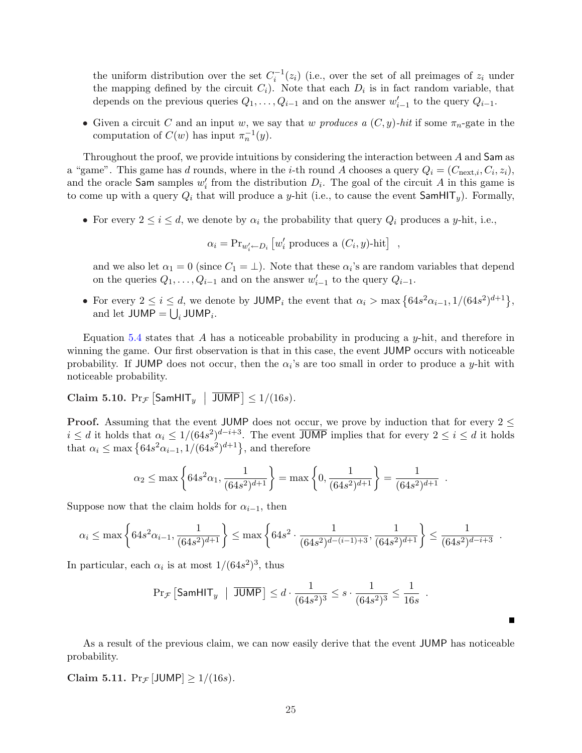the uniform distribution over the set  $C_i^{-1}(z_i)$  (i.e., over the set of all preimages of  $z_i$  under the mapping defined by the circuit  $C_i$ ). Note that each  $D_i$  is in fact random variable, that depends on the previous queries  $Q_1, \ldots, Q_{i-1}$  and on the answer  $w'_{i-1}$  to the query  $Q_{i-1}$ .

• Given a circuit C and an input w, we say that w produces a  $(C, y)$ -hit if some  $\pi_n$ -gate in the computation of  $C(w)$  has input  $\pi_n^{-1}(y)$ .

Throughout the proof, we provide intuitions by considering the interaction between A and Sam as a "game". This game has d rounds, where in the *i*-th round A chooses a query  $Q_i = (C_{\text{next},i}, C_i, z_i)$ , and the oracle Sam samples  $w'_i$  from the distribution  $D_i$ . The goal of the circuit A in this game is to come up with a query  $Q_i$  that will produce a y-hit (i.e., to cause the event  $\mathsf{SamHIT}_y$ ). Formally,

• For every  $2 \leq i \leq d$ , we denote by  $\alpha_i$  the probability that query  $Q_i$  produces a y-hit, i.e.,

 $\alpha_i = \Pr_{w'_i \leftarrow D_i}$ £  $w'_i$  produces a  $(C_i, y)$ -hit $],$ 

and we also let  $\alpha_1 = 0$  (since  $C_1 = \perp$ ). Note that these  $\alpha_i$ 's are random variables that depend on the queries  $Q_1, \ldots, Q_{i-1}$  and on the answer  $w'_{i-1}$  to the query  $Q_{i-1}$ .

• For every  $2 \le i \le d$ , we denote by JUMP<sub>i</sub> the event that  $\alpha_i > \max\left\{64s^2\alpha_{i-1}, 1/(64s^2)^{d+1}\right\}$ , and let  $JUMP = \bigcup_i JUMP_i$ .

Equation [5.4](#page-24-1) states that A has a noticeable probability in producing a y-hit, and therefore in winning the game. Our first observation is that in this case, the event JUMP occurs with noticeable probability. If JUMP does not occur, then the  $\alpha_i$ 's are too small in order to produce a y-hit with noticeable probability.

<span id="page-25-0"></span>Claim 5.10.  $Pr_{\mathcal{F}}$ £  $\mathsf{SamHIT}_y$  $\vert$  JUMP $\vert \leq 1/(16s)$ .

**Proof.** Assuming that the event JUMP does not occur, we prove by induction that for every  $2 \leq$  $i \leq d$  it holds that  $\alpha_i \leq 1/(64s^2)^{d-i+3}$ . The event JUMP implies that for every  $2 \leq i \leq d$  it holds  $u \le a$  it holds that  $\alpha_i \le 1/(64s^2)^{-1}$ . The event JO<br>that  $\alpha_i \le \max\{64s^2\alpha_{i-1}, 1/(64s^2)^{d+1}\}\,$ , and therefore

$$
\alpha_2 \le \max \left\{ 64s^2 \alpha_1, \frac{1}{(64s^2)^{d+1}} \right\} = \max \left\{ 0, \frac{1}{(64s^2)^{d+1}} \right\} = \frac{1}{(64s^2)^{d+1}}.
$$

Suppose now that the claim holds for  $\alpha_{i-1}$ , then

$$
\alpha_i \le \max\left\{ 64s^2 \alpha_{i-1}, \frac{1}{(64s^2)^{d+1}} \right\} \le \max\left\{ 64s^2 \cdot \frac{1}{(64s^2)^{d-(i-1)+3}}, \frac{1}{(64s^2)^{d+1}} \right\} \le \frac{1}{(64s^2)^{d-i+3}}.
$$

In particular, each  $\alpha_i$  is at most  $1/(64s^2)^3$ , thus

$$
\Pr_{\mathcal{F}}\left[\mathsf{SamHIT}_y \; \mid \; \overline{\mathsf{JUMP}}\right] \leq d \cdot \frac{1}{(64s^2)^3} \leq s \cdot \frac{1}{(64s^2)^3} \leq \frac{1}{16s} \enspace .
$$

As a result of the previous claim, we can now easily derive that the event JUMP has noticeable probability.

<span id="page-25-1"></span>Claim 5.11.  $Pr_{\mathcal{F}}[\text{JUMP}] \ge 1/(16s)$ .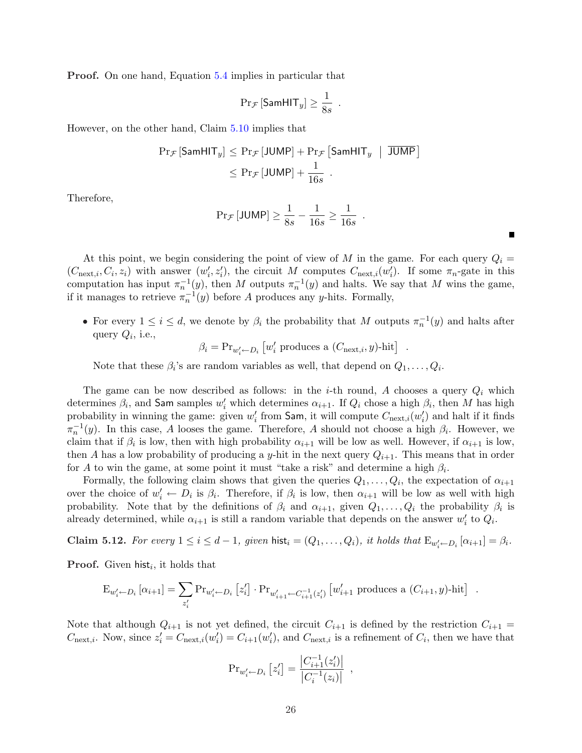Proof. On one hand, Equation [5.4](#page-24-1) implies in particular that

$$
\Pr_{\mathcal{F}}\left[\mathsf{SamHIT}_y\right] \geq \frac{1}{8s} \enspace.
$$

However, on the other hand, Claim [5.10](#page-25-0) implies that

$$
\begin{aligned} \Pr_{\mathcal{F}} \left[ \mathsf{SamHIT}_y \right] &\leq \Pr_{\mathcal{F}} \left[ \mathsf{JUMP} \right] + \Pr_{\mathcal{F}} \left[ \mathsf{SamHIT}_y \ \mid \ \overline{\mathsf{JUMP}} \right] \\ &\leq \Pr_{\mathcal{F}} \left[ \mathsf{JUMP} \right] + \frac{1}{16s} \end{aligned}
$$

Therefore,

$$
\Pr_{\mathcal{F}}\left[\mathsf{JUMP}\right] \ge \frac{1}{8s} - \frac{1}{16s} \ge \frac{1}{16s} \enspace .
$$

At this point, we begin considering the point of view of M in the game. For each query  $Q_i =$  $(C_{\text{next},i}, C_i, z_i)$  with answer  $(w'_i, z'_i)$ , the circuit M computes  $C_{\text{next},i}(w'_i)$ . If some  $\pi_n$ -gate in this computation has input  $\pi_n^{-1}(y)$ , then M outputs  $\pi_n^{-1}(y)$  and halts. We say that M wins the game, if it manages to retrieve  $\pi_n^{-1}(y)$  before A produces any y-hits. Formally,

• For every  $1 \leq i \leq d$ , we denote by  $\beta_i$  the probability that M outputs  $\pi_n^{-1}(y)$  and halts after query  $Q_i$ , i.e., £

$$
\beta_i = \text{Pr}_{w'_i \leftarrow D_i} \left[ w'_i \text{ produces a } (C_{\text{next},i}, y) \text{-hit} \right]
$$

.

Note that these  $\beta_i$ 's are random variables as well, that depend on  $Q_1, \ldots, Q_i$ .

The game can be now described as follows: in the *i*-th round, A chooses a query  $Q_i$  which determines  $\beta_i$ , and Sam samples  $w'_i$  which determines  $\alpha_{i+1}$ . If  $Q_i$  chose a high  $\beta_i$ , then M has high probability in winning the game: given  $w'_i$  from Sam, it will compute  $C_{\text{next},i}(w'_i)$  and halt if it finds  $\pi_n^{-1}(y)$ . In this case, A looses the game. Therefore, A should not choose a high  $\beta_i$ . However, we claim that if  $\beta_i$  is low, then with high probability  $\alpha_{i+1}$  will be low as well. However, if  $\alpha_{i+1}$  is low, then A has a low probability of producing a y-hit in the next query  $Q_{i+1}$ . This means that in order for A to win the game, at some point it must "take a risk" and determine a high  $\beta_i$ .

Formally, the following claim shows that given the queries  $Q_1, \ldots, Q_i$ , the expectation of  $\alpha_{i+1}$ over the choice of  $w'_i \leftarrow D_i$  is  $\beta_i$ . Therefore, if  $\beta_i$  is low, then  $\alpha_{i+1}$  will be low as well with high probability. Note that by the definitions of  $\beta_i$  and  $\alpha_{i+1}$ , given  $Q_1, \ldots, Q_i$  the probability  $\beta_i$  is already determined, while  $\alpha_{i+1}$  is still a random variable that depends on the answer  $w_i'$  to  $Q_i$ .

<span id="page-26-0"></span>**Claim 5.12.** For every  $1 \leq i \leq d-1$ , given  $\text{hist}_i = (Q_1, \ldots, Q_i)$ , it holds that  $\text{E}_{w'_i \leftarrow D_i} [\alpha_{i+1}] = \beta_i$ .

**Proof.** Given hist<sub>i</sub>, it holds that

$$
E_{w'_i \leftarrow D_i} [\alpha_{i+1}] = \sum_{z'_i} Pr_{w'_i \leftarrow D_i} [z'_i] \cdot Pr_{w'_{i+1} \leftarrow C_{i+1}^{-1}(z'_i)} [w'_{i+1} \text{ produces a } (C_{i+1}, y) \text{-hit}] .
$$

Note that although  $Q_{i+1}$  is not yet defined, the circuit  $C_{i+1}$  is defined by the restriction  $C_{i+1}$  =  $C_{\text{next},i}$ . Now, since  $z_i' = C_{\text{next},i}(w_i') = C_{i+1}(w_i')$ , and  $C_{\text{next},i}$  is a refinement of  $C_i$ , then we have that

$$
\Pr_{w'_i \leftarrow D_i} [z'_i] = \frac{|C_{i+1}^{-1}(z'_i)|}{|C_i^{-1}(z_i)|},
$$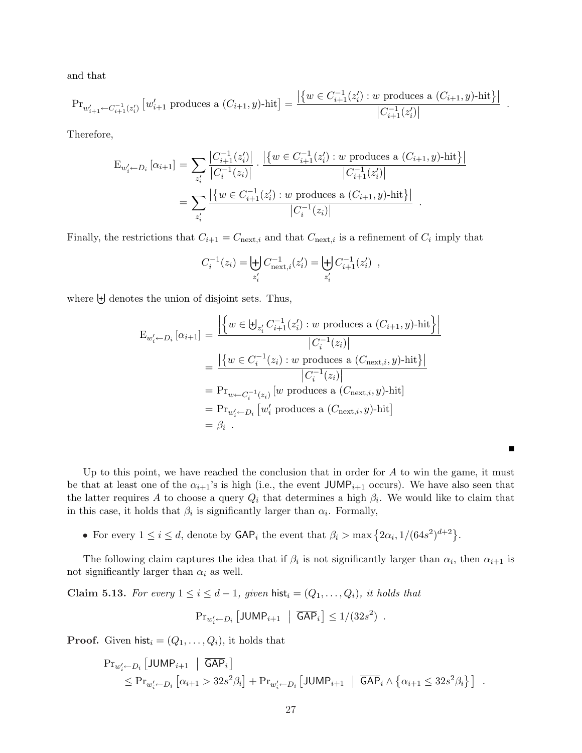and that

$$
\text{Pr}_{w'_{i+1} \leftarrow C_{i+1}^{-1}(z'_i)} \left[ w'_{i+1} \text{ produces a } (C_{i+1}, y) \text{-hit} \right] = \frac{\left| \left\{ w \in C_{i+1}^{-1}(z'_i) : w \text{ produces a } (C_{i+1}, y) \text{-hit} \right\} \right|}{\left| C_{i+1}^{-1}(z'_i) \right|}
$$

.

Therefore,

$$
E_{w'_{i} \leftarrow D_{i}}\left[\alpha_{i+1}\right] = \sum_{z'_{i}} \frac{\left|C_{i+1}^{-1}(z'_{i})\right|}{\left|C_{i}^{-1}(z_{i})\right|} \cdot \frac{\left|\left\{w \in C_{i+1}^{-1}(z'_{i}): w \text{ produces a } (C_{i+1}, y)\text{-hit}\right\}\right|}{\left|C_{i+1}^{-1}(z'_{i})\right|}
$$

$$
= \sum_{z'_{i}} \frac{\left|\left\{w \in C_{i+1}^{-1}(z'_{i}): w \text{ produces a } (C_{i+1}, y)\text{-hit}\right\}\right|}{\left|C_{i}^{-1}(z_{i})\right|}.
$$

Finally, the restrictions that  $C_{i+1} = C_{\text{next},i}$  and that  $C_{\text{next},i}$  is a refinement of  $C_i$  imply that

$$
C_i^{-1}(z_i) = \biguplus_{z'_i} C_{\text{next},i}^{-1}(z'_i) = \biguplus_{z'_i} C_{i+1}^{-1}(z'_i) ,
$$

where  $\biguplus$  denotes the union of disjoint sets. Thus,

$$
E_{w'_i \leftarrow D_i} [\alpha_{i+1}] = \frac{\left| \left\{ w \in \biguplus_{z'_i} C_{i+1}^{-1}(z'_i) : w \text{ produces a } (C_{i+1}, y)\text{-hit} \right\} \right|}{|C_i^{-1}(z_i)|}
$$

$$
= \frac{\left| \left\{ w \in C_i^{-1}(z_i) : w \text{ produces a } (C_{\text{next},i}, y)\text{-hit} \right\} \right|}{|C_i^{-1}(z_i)|}
$$

$$
= Pr_{w \leftarrow C_i^{-1}(z_i)} [w \text{ produces a } (C_{\text{next},i}, y)\text{-hit}]
$$

$$
= Pr_{w'_i \leftarrow D_i} [w'_i \text{ produces a } (C_{\text{next},i}, y)\text{-hit}]
$$

$$
= \beta_i .
$$

Up to this point, we have reached the conclusion that in order for  $A$  to win the game, it must be that at least one of the  $\alpha_{i+1}$ 's is high (i.e., the event JUMP<sub>i+1</sub> occurs). We have also seen that the latter requires A to choose a query  $Q_i$  that determines a high  $\beta_i$ . We would like to claim that in this case, it holds that  $\beta_i$  is significantly larger than  $\alpha_i$ . Formally,

• For every  $1 \leq i \leq d$ , denote by  $\mathsf{GAP}_i$  the event that  $\beta_i > \max\left\{2\alpha_i, 1/(64s^2)^{d+2}\right\}$ .

The following claim captures the idea that if  $\beta_i$  is not significantly larger than  $\alpha_i$ , then  $\alpha_{i+1}$  is not significantly larger than  $\alpha_i$  as well.

<span id="page-27-0"></span>Claim 5.13. For every  $1 \leq i \leq d-1$ , given hist<sub>i</sub> =  $(Q_1, \ldots, Q_i)$ , it holds that

$$
\mathrm{Pr}_{w'_i \leftarrow D_i} \left[ \mathsf{JUMP}_{i+1} \ \middle| \ \overline{\mathsf{GAP}}_i \right] \le 1/(32s^2) \ .
$$

**Proof.** Given hist<sub>i</sub> =  $(Q_1, \ldots, Q_i)$ , it holds that

$$
\begin{aligned} \Pr_{w'_i \leftarrow D_i} \left[ \textsf{JUMP}_{i+1} \; \middle| \; \overline{\mathsf{GAP}}_i \right] \\ &\leq \Pr_{w'_i \leftarrow D_i} \left[ \alpha_{i+1} > 32s^2 \beta_i \right] + \Pr_{w'_i \leftarrow D_i} \left[ \textsf{JUMP}_{i+1} \; \middle| \; \overline{\mathsf{GAP}}_i \wedge \left\{ \alpha_{i+1} \leq 32s^2 \beta_i \right\} \right] \end{aligned} \right].
$$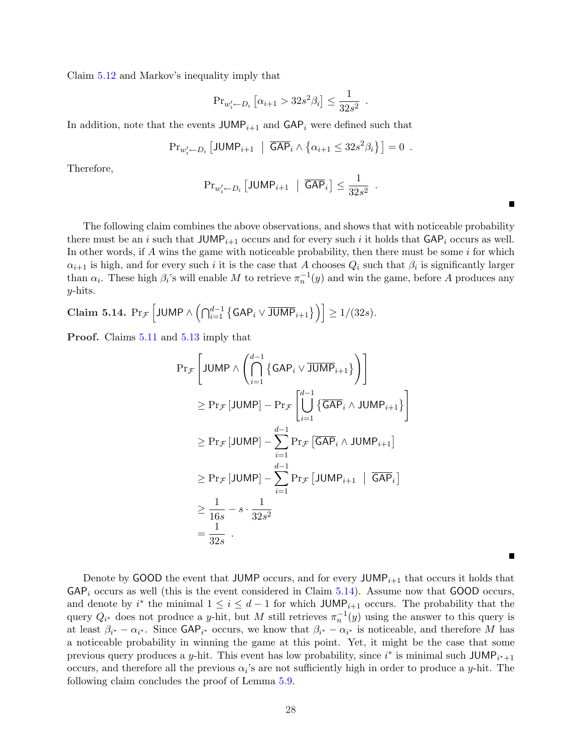Claim [5.12](#page-26-0) and Markov's inequality imply that

$$
\Pr_{w'_i \leftarrow D_i} \left[ \alpha_{i+1} > 32s^2 \beta_i \right] \le \frac{1}{32s^2} .
$$

In addition, note that the events  $JUMP_{i+1}$  and  $GAP_i$  were defined such that

$$
\mathrm{Pr}_{w'_i \leftarrow D_i} \left[ \mathsf{JUMP}_{i+1} \ \middle| \ \overline{\mathsf{GAP}}_i \wedge \left\{ \alpha_{i+1} \leq 32s^2 \beta_i \right\} \right] = 0 \ .
$$

Therefore,

$$
\mathrm{Pr}_{w'_i \leftarrow D_i} \left[ \mathsf{JUMP}_{i+1} \ \middle| \ \overline{\mathsf{GAP}}_i \right] \le \frac{1}{32s^2} \ .
$$

The following claim combines the above observations, and shows that with noticeable probability there must be an i such that  $JUMP_{i+1}$  occurs and for every such i it holds that  $GAP_i$  occurs as well. In other words, if A wins the game with noticeable probability, then there must be some  $i$  for which  $\alpha_{i+1}$  is high, and for every such i it is the case that A chooses  $Q_i$  such that  $\beta_i$  is significantly larger than  $\alpha_i$ . These high  $\beta_i$ 's will enable M to retrieve  $\pi_n^{-1}(y)$  and win the game, before A produces any  $y$ -hits.

<span id="page-28-0"></span>Claim 5.14.  $Pr_{\mathcal{F}}$ h JUMP  $\wedge \left( \bigcap_{i=1}^{d-1} \left\lbrace \mathsf{GAP}_{i} \vee \overline{\mathsf{JUMP}}_{i+1} \right\rbrace \right) \right]$  $\geq 1/(32s)$ .

Proof. Claims [5.11](#page-25-1) and [5.13](#page-27-0) imply that

$$
\Pr_{\mathcal{F}}\left[\text{JUMP} \wedge \left(\bigcap_{i=1}^{d-1} \left\{\text{GAP}_{i} \vee \overline{\text{JUMP}}_{i+1}\right\}\right)\right]
$$
\n
$$
\geq \Pr_{\mathcal{F}}\left[\text{JUMP}\right] - \Pr_{\mathcal{F}}\left[\bigcup_{i=1}^{d-1} \left\{\overline{\text{GAP}}_{i} \wedge \text{JUMP}_{i+1}\right\}\right]
$$
\n
$$
\geq \Pr_{\mathcal{F}}\left[\text{JUMP}\right] - \sum_{i=1}^{d-1} \Pr_{\mathcal{F}}\left[\overline{\text{GAP}}_{i} \wedge \text{JUMP}_{i+1}\right]
$$
\n
$$
\geq \Pr_{\mathcal{F}}\left[\text{JUMP}\right] - \sum_{i=1}^{d-1} \Pr_{\mathcal{F}}\left[\text{JUMP}_{i+1} \mid \overline{\text{GAP}}_{i}\right]
$$
\n
$$
\geq \frac{1}{16s} - s \cdot \frac{1}{32s^{2}}
$$
\n
$$
= \frac{1}{32s}.
$$

Denote by GOOD the event that JUMP occurs, and for every JUMP<sub> $i+1$ </sub> that occurs it holds that  $\mathsf{GAP}_i$  occurs as well (this is the event considered in Claim [5.14\)](#page-28-0). Assume now that  $\mathsf{GOOD}$  occurs, and denote by  $i^*$  the minimal  $1 \leq i \leq d-1$  for which JUMP<sub>i+1</sub> occurs. The probability that the query  $Q_{i^*}$  does not produce a y-hit, but M still retrieves  $\pi_n^{-1}(y)$  using the answer to this query is at least  $\beta_{i^*} - \alpha_{i^*}$ . Since  $\mathsf{GAP}_{i^*}$  occurs, we know that  $\beta_{i^*} - \alpha_{i^*}$  is noticeable, and therefore M has a noticeable probability in winning the game at this point. Yet, it might be the case that some previous query produces a y-hit. This event has low probability, since  $i^*$  is minimal such JUMP<sub>i<sup>\*+1</sup></sub> occurs, and therefore all the previous  $\alpha_i$ 's are not sufficiently high in order to produce a y-hit. The following claim concludes the proof of Lemma [5.9.](#page-24-0)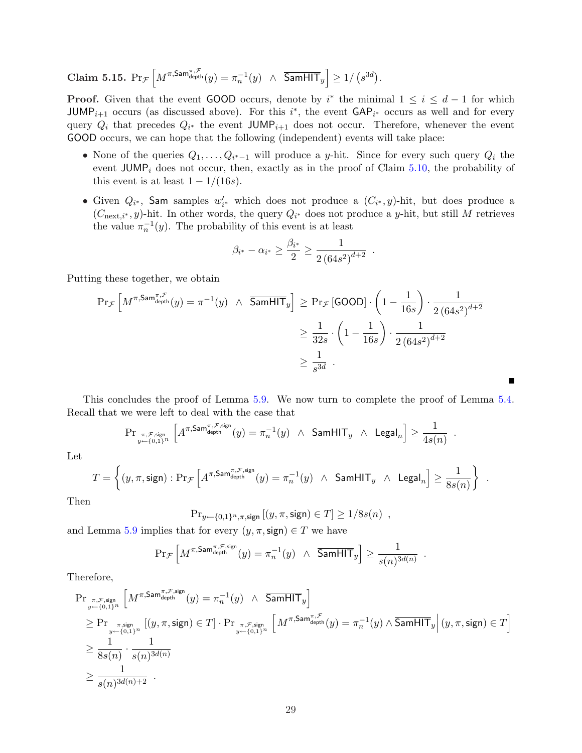Claim 5.15.  $Pr_{\mathcal{F}}$  $\int M^{\pi,\mathsf{Sam}^{\pi,\mathcal{F}}_\mathsf{depth}}(y) = \pi_n^{-1}(y) \ \wedge \ \overline{\mathsf{SamHIT}}_y$ i  $\geq 1/$ ¡  $s^{3d}$ .

**Proof.** Given that the event GOOD occurs, denote by i<sup>\*</sup> the minimal  $1 \leq i \leq d-1$  for which JUMP<sub>i+1</sub> occurs (as discussed above). For this i<sup>\*</sup>, the event  $\mathsf{GAP}_{i^*}$  occurs as well and for every query  $Q_i$  that precedes  $Q_{i^*}$  the event JUMP<sub>i+1</sub> does not occur. Therefore, whenever the event GOOD occurs, we can hope that the following (independent) events will take place:

- None of the queries  $Q_1, \ldots, Q_{i^*-1}$  will produce a y-hit. Since for every such query  $Q_i$  the event  $JUMP_i$  does not occur, then, exactly as in the proof of Claim [5.10,](#page-25-0) the probability of this event is at least  $1 - 1/(16s)$ .
- Given  $Q_{i^*}$ , Sam samples  $w'_{i^*}$  which does not produce a  $(C_{i^*}, y)$ -hit, but does produce a  $(C_{\text{next},i^*}, y)$ -hit. In other words, the query  $Q_{i^*}$  does not produce a y-hit, but still M retrieves the value  $\pi_n^{-1}(y)$ . The probability of this event is at least

$$
\beta_{i^*} - \alpha_{i^*} \ge \frac{\beta_{i^*}}{2} \ge \frac{1}{2 (64s^2)^{d+2}}.
$$

Putting these together, we obtain

$$
\Pr_{\mathcal{F}}\left[M^{\pi,\textsf{Sam}_{\text{depth}}^{\pi,\mathcal{F}}}(y) = \pi^{-1}(y) \quad \land \quad \overline{\textsf{SamHT}}_{y}\right] \ge \Pr_{\mathcal{F}}\left[\textsf{GOOD}\right] \cdot \left(1 - \frac{1}{16s}\right) \cdot \frac{1}{2(64s^{2})^{d+2}} \\
\ge \frac{1}{32s} \cdot \left(1 - \frac{1}{16s}\right) \cdot \frac{1}{2(64s^{2})^{d+2}} \\
\ge \frac{1}{s^{3d}}.
$$

This concludes the proof of Lemma [5.9.](#page-24-0) We now turn to complete the proof of Lemma [5.4.](#page-18-1) Recall that we were left to deal with the case that

$$
\mathrm{Pr}_{\substack{\pi,\mathcal{F},\text{sign}\\y\leftarrow\{0,1\}^n}}\left[A^{\pi,\mathrm{Sam}^{\pi,\mathcal{F},\text{sign}}}_{\mathrm{depth}}(y)=\pi_n^{-1}(y)~\wedge~\mathrm{SamHIT}_y~\wedge~\mathrm{Legal}_n\right]\geq\frac{1}{4s(n)}
$$

.

.

Let

$$
T = \left\{(y, \pi, \mathsf{sign}) : \Pr_{\mathcal{F}}\left[A^{\pi, \mathsf{Sam}^{\pi, \mathcal{F}, \mathsf{sign}}}_{\textrm{depth}}(y) = \pi_n^{-1}(y) \ \wedge \ \mathsf{SamHIT}_y \ \wedge \ \mathsf{Legal}_n\right] \geq \frac{1}{8s(n)}\right\} \ .
$$

Then

 $Pr_{y \leftarrow \{0,1\}^n, \pi, \text{sign}} [(y, \pi, \text{sign}) \in T] \ge 1/8s(n)$ ,

and Lemma [5.9](#page-24-0) implies that for every  $(y, \pi, \text{sign}) \in T$  we have

$$
\Pr{\mathcal{F}}\left[M^{\pi,\text{Sam}_{\text{depth}}^{\pi,\mathcal{F},\text{sign}}}(y) = \pi_n^{-1}(y) \ \wedge \ \overline{\text{SamHIT}}_y\right] \ge \frac{1}{s(n)^{3d(n)}}
$$

Therefore,

$$
\begin{aligned} &\Pr_{\substack{\pi,\mathcal{F},\text{sign}\\y \leftarrow \{0,1\}^n}}\left[M^{\pi,\text{Sam}^{\pi,\mathcal{F},\text{sign}}}_{\text{depth}}(y) = \pi_n^{-1}(y) \ \wedge \ \overline{\text{SamHIT}}_y\right] \\ &\geq \Pr_{\substack{\pi,\text{sign}\\y \leftarrow \{0,1\}^n}}\left[(y,\pi,\text{sign}) \in T\right] \cdot \Pr_{\substack{\pi,\mathcal{F},\text{sign}\\y \leftarrow \{0,1\}^n}}\left[M^{\pi,\text{Sam}^{\pi,\mathcal{F}}_{\text{depth}}}(y) = \pi_n^{-1}(y) \wedge \overline{\text{SamHIT}}_y\right|(y,\pi,\text{sign}) \in T\right] \\ &\geq \frac{1}{8s(n)} \cdot \frac{1}{s(n)^{3d(n)}} \\ &\geq \frac{1}{s(n)^{3d(n)+2}} \end{aligned}
$$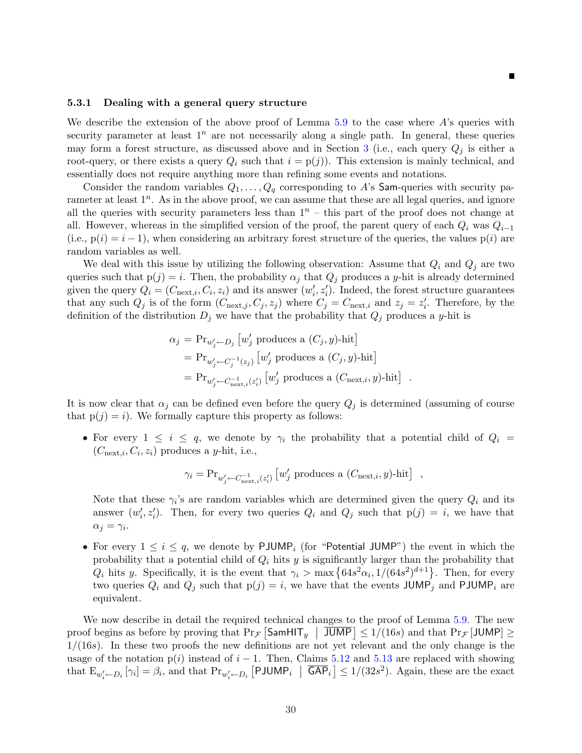#### <span id="page-30-0"></span>5.3.1 Dealing with a general query structure

We describe the extension of the above proof of Lemma  $5.9$  to the case where A's queries with security parameter at least  $1^n$  are not necessarily along a single path. In general, these queries may form a forest structure, as discussed above and in Section [3](#page-11-0) (i.e., each query  $Q_j$  is either a root-query, or there exists a query  $Q_i$  such that  $i = p(j)$ ). This extension is mainly technical, and essentially does not require anything more than refining some events and notations.

Consider the random variables  $Q_1, \ldots, Q_q$  corresponding to A's Sam-queries with security parameter at least  $1^n$ . As in the above proof, we can assume that these are all legal queries, and ignore all the queries with security parameters less than  $1^n$  – this part of the proof does not change at all. However, whereas in the simplified version of the proof, the parent query of each  $Q_i$  was  $Q_{i-1}$ (i.e.,  $p(i) = i - 1$ ), when considering an arbitrary forest structure of the queries, the values  $p(i)$  are random variables as well.

We deal with this issue by utilizing the following observation: Assume that  $Q_i$  and  $Q_j$  are two queries such that  $p(j) = i$ . Then, the probability  $\alpha_j$  that  $Q_j$  produces a y-hit is already determined given the query  $Q_i = (C_{\text{next},i}, C_i, z_i)$  and its answer  $(w'_i, z'_i)$ . Indeed, the forest structure guarantees that any such  $Q_j$  is of the form  $(C_{\text{next},j}, C_j, z_j)$  where  $C_j = C_{\text{next},i}$  and  $z_j = z'_i$ . Therefore, by the definition of the distribution  $D_j$  we have that the probability that  $Q_j$  produces a y-hit is

$$
\alpha_j = \Pr_{w'_j \leftarrow D_j} [w'_j \text{ produces a } (C_j, y)\text{-hit}]
$$
  
=  $\Pr_{w'_j \leftarrow C_j^{-1}(z_j)} [w'_j \text{ produces a } (C_j, y)\text{-hit}]$   
=  $\Pr_{w'_j \leftarrow C_{\text{next},i}^{-1}(z'_i)} [w'_j \text{ produces a } (C_{\text{next},i}, y)\text{-hit}]$ .

It is now clear that  $\alpha_j$  can be defined even before the query  $Q_j$  is determined (assuming of course that  $p(j) = i$ . We formally capture this property as follows:

• For every  $1 \leq i \leq q$ , we denote by  $\gamma_i$  the probability that a potential child of  $Q_i =$  $(C_{\text{next},i}, C_i, z_i)$  produces a y-hit, i.e.,

$$
\gamma_i = \text{Pr}_{w'_j \leftarrow C_{\text{next},i}^{-1}(z'_i)} \left[ w'_j \text{ produces a } (C_{\text{next},i}, y)\text{-hit} \right] ,
$$

Note that these  $\gamma_i$ 's are random variables which are determined given the query  $Q_i$  and its answer  $(w'_i, z'_i)$ . Then, for every two queries  $Q_i$  and  $Q_j$  such that  $p(j) = i$ , we have that  $\alpha_j = \gamma_i$ .

• For every  $1 \leq i \leq q$ , we denote by PJUMP<sub>i</sub> (for "Potential JUMP") the event in which the probability that a potential child of  $Q_i$  hits y is significantly larger than the probability that probability that a potential child of  $Q_i$  ints y is significantly larger than the probability that  $Q_i$  hits y. Specifically, it is the event that  $\gamma_i > \max\left\{64s^2\alpha_i, 1/(64s^2)^{d+1}\right\}$ . Then, for every two queries  $Q_i$  and  $Q_j$  such that  $p(j) = i$ , we have that the events JUMP<sub>j</sub> and PJUMP<sub>i</sub> are equivalent.

We now describe in detail the required technical changes to the proof of Lemma [5.9.](#page-24-0) The new we now describe in detail the required technical changes to the proof of Lemma 5.9. The new<br>proof begins as before by proving that  $Pr_{\mathcal{F}}$   $SamHIT_y$   $\mid$   $JUMP \mid \leq 1/(16s)$  and that  $Pr_{\mathcal{F}}$   $[JUMP] \geq$  $1/(16s)$ . In these two proofs the new definitions are not yet relevant and the only change is the usage of the notation  $p(i)$  instead of  $i - 1$ . Then, Claims [5.12](#page-26-0) and [5.13](#page-27-0) are replaced with showing that  $E_{w'_i \leftarrow D_i} [\gamma_i] = \beta_i$ , and that  $Pr_{w'_i \leftarrow D_i} [\text{PJUMP}_i \mid \overline{\text{GAP}}_i] \le 1/(32s^2)$ . Again, these are the exact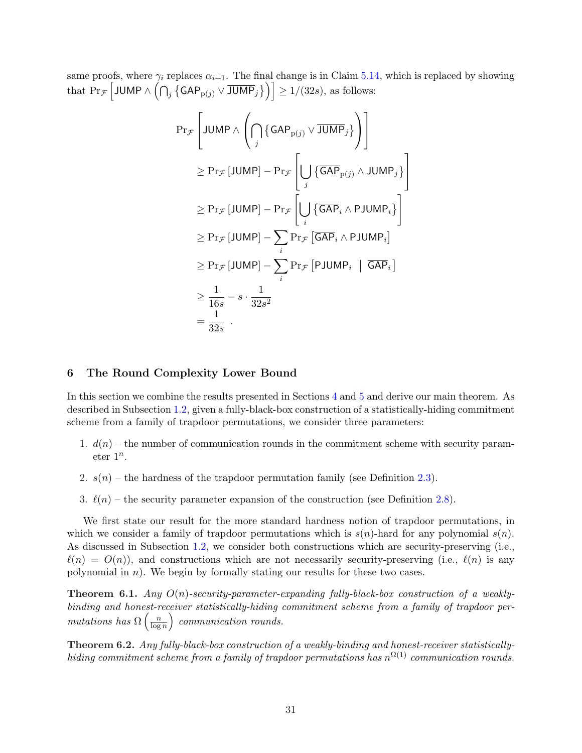same proofs, where  $\gamma_i$  replaces  $\alpha_{i+1}$ . The final change is in Claim [5.14,](#page-28-0) which is replaced by showing that  $\Pr_{\mathcal{F}} \big|$  JUMP  $\wedge \big( \bigcap_j$ ©  $\mathsf{GAP}_{\mathsf{p}(j)} \vee \overline{\mathsf{JUMP}}_j$ بن<br>د  $\geq 1/(32s)$ , as follows:

$$
\Pr_{\mathcal{F}}\left[\text{JUMP} \land \left(\bigcap_{j} \{ \text{GAP}_{p(j)} \lor \overline{\text{JUMP}}_{j} \} \right)\right]
$$
\n
$$
\geq \Pr_{\mathcal{F}}[\text{JUMP}] - \Pr_{\mathcal{F}}\left[\bigcup_{j} \{ \overline{\text{GAP}}_{p(j)} \land \text{JUMP}_{j} \} \right]
$$
\n
$$
\geq \Pr_{\mathcal{F}}[\text{JUMP}] - \Pr_{\mathcal{F}}\left[\bigcup_{i} \{ \overline{\text{GAP}}_{i} \land \text{PJUMP}_{i} \} \right]
$$
\n
$$
\geq \Pr_{\mathcal{F}}[\text{JUMP}] - \sum_{i} \Pr_{\mathcal{F}}[\overline{\text{GAP}}_{i} \land \text{PJUMP}_{i}]
$$
\n
$$
\geq \Pr_{\mathcal{F}}[\text{JUMP}] - \sum_{i} \Pr_{\mathcal{F}}[\text{GAP}_{i} \land \text{PJUMP}_{i}]
$$
\n
$$
\geq \frac{1}{16s} - s \cdot \frac{1}{32s^{2}}
$$
\n
$$
= \frac{1}{32s}.
$$

#### <span id="page-31-0"></span>6 The Round Complexity Lower Bound

In this section we combine the results presented in Sections [4](#page-13-0) and [5](#page-17-0) and derive our main theorem. As described in Subsection [1.2,](#page-3-0) given a fully-black-box construction of a statistically-hiding commitment scheme from a family of trapdoor permutations, we consider three parameters:

- 1.  $d(n)$  the number of communication rounds in the commitment scheme with security parameter  $1^n$ .
- 2.  $s(n)$  the hardness of the trapdoor permutation family (see Definition [2.3\)](#page-8-0).
- 3.  $\ell(n)$  the security parameter expansion of the construction (see Definition [2.8\)](#page-11-1).

We first state our result for the more standard hardness notion of trapdoor permutations, in which we consider a family of trapdoor permutations which is  $s(n)$ -hard for any polynomial  $s(n)$ . As discussed in Subsection [1.2,](#page-3-0) we consider both constructions which are security-preserving (i.e.,  $\ell(n) = O(n)$ , and constructions which are not necessarily security-preserving (i.e.,  $\ell(n)$  is any polynomial in  $n$ ). We begin by formally stating our results for these two cases.

**Theorem 6.1.** Any  $O(n)$ -security-parameter-expanding fully-black-box construction of a weaklybinding and honest-receiver statistically-hiding commitment scheme from a family of trapdoor permutations has  $\Omega\left(\frac{n}{\log n}\right)$  $\frac{n}{\log n}$  communication rounds.

Theorem 6.2. Any fully-black-box construction of a weakly-binding and honest-receiver statisticallyhiding commitment scheme from a family of trapdoor permutations has  $n^{\Omega(1)}$  communication rounds.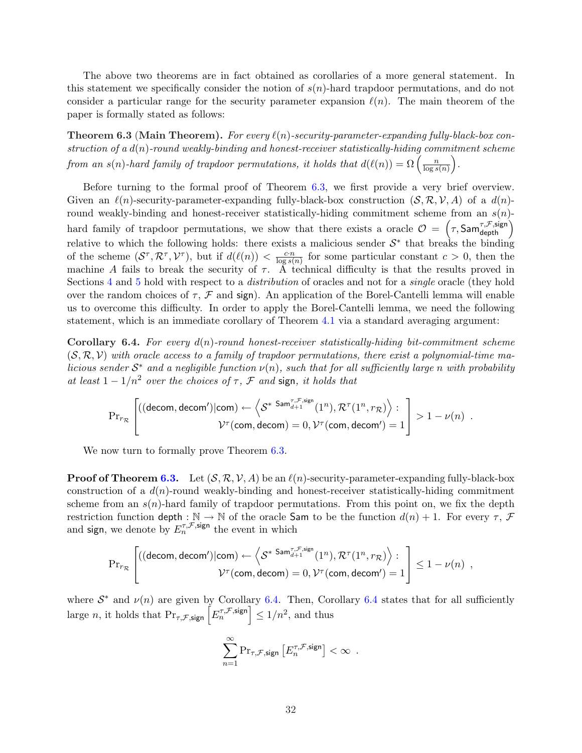The above two theorems are in fact obtained as corollaries of a more general statement. In this statement we specifically consider the notion of  $s(n)$ -hard trapdoor permutations, and do not consider a particular range for the security parameter expansion  $\ell(n)$ . The main theorem of the paper is formally stated as follows:

<span id="page-32-0"></span>**Theorem 6.3 (Main Theorem).** For every  $\ell(n)$ -security-parameter-expanding fully-black-box con- $\emph{struction of a $d(n)$-round weakly-binding and honest-receiver statistically-hiding commitment scheme}$ *struction of a a*(n)-round weakly-vinding and nonest-receiver statistically-niding con<br>from an s(n)-hard family of trapdoor permutations, it holds that  $d(\ell(n)) = \Omega\left(\frac{n}{\log n}\right)$  $\frac{n}{\log s(n)}$ .

Before turning to the formal proof of Theorem [6.3,](#page-32-0) we first provide a very brief overview. Given an  $\ell(n)$ -security-parameter-expanding fully-black-box construction  $(S, \mathcal{R}, \mathcal{V}, A)$  of a  $d(n)$ round weakly-binding and honest-receiver statistically-hiding commitment scheme from an  $s(n)$ -Found weakly-binding and honest-receiver statistically-hiding commitment scheme from an  $s(n)$ -<br>hard family of trapdoor permutations, we show that there exists a oracle  $\mathcal{O} = (\tau, \mathsf{Sam}_{\mathsf{depth}}^{\tau, \mathcal{F}, \mathsf{sign}})$ relative to which the following holds: there exists a malicious sender  $\mathcal{S}^*$  that breaks the binding of the scheme  $(S^{\tau}, \mathcal{R}^{\tau}, \mathcal{V}^{\tau})$ , but if  $d(\ell(n)) < \frac{c \cdot n}{\log \ell}$  $\frac{c \cdot n}{\log s(n)}$  for some particular constant  $c > 0$ , then the machine A fails to break the security of  $\tau$ . A technical difficulty is that the results proved in Sections [4](#page-13-0) and [5](#page-17-0) hold with respect to a *distribution* of oracles and not for a *single* oracle (they hold over the random choices of  $\tau$ ,  $\mathcal F$  and sign). An application of the Borel-Cantelli lemma will enable us to overcome this difficulty. In order to apply the Borel-Cantelli lemma, we need the following statement, which is an immediate corollary of Theorem [4.1](#page-14-0) via a standard averaging argument:

<span id="page-32-1"></span>**Corollary 6.4.** For every  $d(n)$ -round honest-receiver statistically-hiding bit-commitment scheme  $(S, \mathcal{R}, \mathcal{V})$  with oracle access to a family of trapdoor permutations, there exist a polynomial-time malicious sender  $S^*$  and a negligible function  $\nu(n)$ , such that for all sufficiently large n with probability at least  $1 - 1/n^2$  over the choices of  $\tau$ ,  $\mathcal F$  and sign, it holds that

$$
\mathrm{Pr}_{r_{\mathcal{R}}}\left[\begin{matrix}((\mathsf{decom},\mathsf{decom}')|\mathsf{com})\leftarrow\left\langle \mathcal{S}^{* \ \mathsf{Sam}^{\tau,\mathcal{F},\mathsf{sign}}_{d+1}(1^{n}),\mathcal{R}^{\tau}(1^{n},r_{\mathcal{R}})\right\rangle : \\ \mathcal{V}^{\tau}(\mathsf{com},\mathsf{decom})=0,\mathcal{V}^{\tau}(\mathsf{com},\mathsf{decom}')=1\end{matrix}\right]>1-\nu(n)\enspace.
$$

We now turn to formally prove Theorem  $6.3$ .

**Proof of Theorem [6.3.](#page-32-0)** Let  $(S, \mathcal{R}, \mathcal{V}, A)$  be an  $\ell(n)$ -security-parameter-expanding fully-black-box construction of a  $d(n)$ -round weakly-binding and honest-receiver statistically-hiding commitment scheme from an  $s(n)$ -hard family of trapdoor permutations. From this point on, we fix the depth restriction function depth :  $\mathbb{N} \to \mathbb{N}$  of the oracle Sam to be the function  $d(n) + 1$ . For every  $\tau$ ,  $\mathcal{F}$ and sign, we denote by  $E_n^{\tau,\mathcal{F},\text{sign}}$  the event in which

$$
\mathrm{Pr}_{r_{\mathcal{R}}}\left[\begin{matrix}((\text{decom},\text{decom}')|\text{com})\leftarrow\left\langle \mathcal{S}^{* \ \text{Sam}^{\tau,\mathcal{F},\text{sign}}_{d+1}(1^n),\mathcal{R}^{\tau}(1^n,r_{\mathcal{R}})\right\rangle : \\ \mathcal{V}^{\tau}(\text{com},\text{decom})=0,\mathcal{V}^{\tau}(\text{com},\text{decom}')=1\end{matrix}\right]\leq 1-\nu(n) \enspace ,
$$

where  $S^*$  and  $\nu(n)$  are given by Corollary [6.4.](#page-32-1) Then, Corollary [6.4](#page-32-1) states that for all sufficiently where  $S^{\dagger}$  and  $\nu(n)$  are given by Corollary 6.4. Then, Corollarge n, it holds that  $Pr_{\tau,\mathcal{F},\text{sign}}\left[E_n^{\tau,\mathcal{F},\text{sign}}\right] \leq 1/n^2$ , and thus

$$
\sum_{n=1}^{\infty} \Pr_{\tau, \mathcal{F}, \text{sign}} \left[ E_n^{\tau, \mathcal{F}, \text{sign}} \right] < \infty \enspace .
$$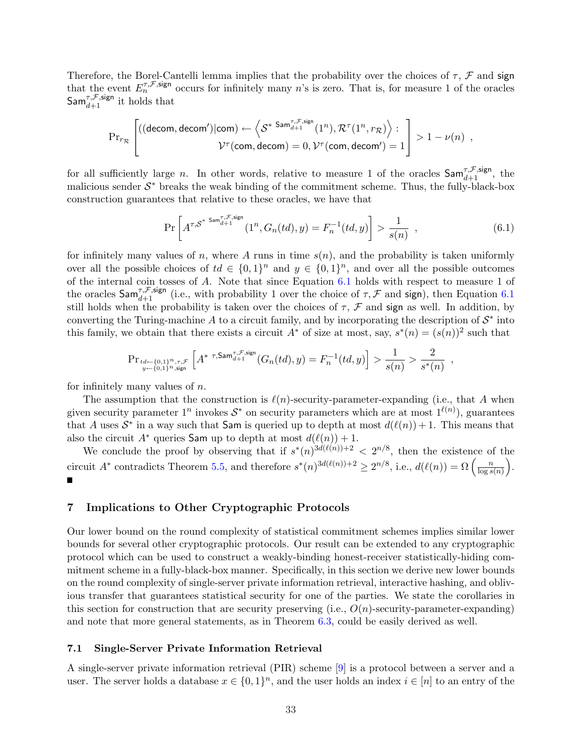Therefore, the Borel-Cantelli lemma implies that the probability over the choices of  $\tau$ ,  $\mathcal F$  and sign that the event  $E_n^{\tau,\mathcal{F},\text{sign}}$  occurs for infinitely many n's is zero. That is, for measure 1 of the oracles  $\mathsf{Sam}_{d+1}^{\tau,\mathcal{F},\mathsf{sign}}$  it holds that

$$
\mathrm{Pr}_{r_{\mathcal{R}}}\left[\begin{matrix}((\text{decom},\text{decom}')|\text{com})\leftarrow\left\langle \mathcal{S}^{* \ \text{Sam}^{\tau,\mathcal{F},\text{sign}}_{d+1}(1^{n}),\mathcal{R}^{\tau}(1^{n},r_{\mathcal{R}})\right\rangle : \\ \mathcal{V}^{\tau}(\text{com},\text{decom})=0,\mathcal{V}^{\tau}(\text{com},\text{decom}')=1\end{matrix}\right]>1-\nu(n)\enspace,
$$

for all sufficiently large *n*. In other words, relative to measure 1 of the oracles  $\textsf{Sam}_{d+1}^{\tau,\mathcal{F},\text{sign}}$ , the malicious sender  $S^*$  breaks the weak binding of the commitment scheme. Thus, the fully-black-box construction guarantees that relative to these oracles, we have that

<span id="page-33-1"></span>
$$
\Pr\left[A^{\tau,S^{*}} \xrightarrow{Sam_{d+1}^{\tau,\mathcal{F},\text{sign}}} (1^n, G_n(td), y) = F_n^{-1}(td, y)\right] > \frac{1}{s(n)},
$$
\n(6.1)

for infinitely many values of n, where A runs in time  $s(n)$ , and the probability is taken uniformly over all the possible choices of  $td \in \{0,1\}^n$  and  $y \in \{0,1\}^n$ , and over all the possible outcomes of the internal coin tosses of A. Note that since Equation [6.1](#page-33-1) holds with respect to measure 1 of the oracles  $\textsf{Sam}^{\tau,\mathcal{F},\text{sign}}_{d+1}$  (i.e., with probability 1 over the choice of  $\tau,\mathcal{F}$  and sign), then Equation [6.1](#page-33-1) still holds when the probability is taken over the choices of  $\tau$ ,  $\mathcal F$  and sign as well. In addition, by converting the Turing-machine A to a circuit family, and by incorporating the description of  $S^*$  into this family, we obtain that there exists a circuit  $A^*$  of size at most, say,  $s^*(n) = (s(n))^2$  such that

$$
\mathrm{Pr}_{\substack{td \leftarrow \{0,1\}^n, \tau, \mathcal{F} \\ y \leftarrow \{0,1\}^n, \text{sign}}} \left[ A^{* \ \tau, \mathsf{Sam}^{\tau, \mathcal{F}, \text{sign}}_{d+1}}(G_n(td), y) = F_n^{-1}(td, y) \right] > \frac{1}{s(n)} > \frac{2}{s^*(n)} ,
$$

for infinitely many values of  $n$ .

The assumption that the construction is  $\ell(n)$ -security-parameter-expanding (i.e., that A when given security parameter  $1^n$  invokes  $S^*$  on security parameters which are at most  $1^{\ell(n)}$ ), guarantees that A uses  $\mathcal{S}^*$  in a way such that Sam is queried up to depth at most  $d(\ell(n)) + 1$ . This means that also the circuit  $A^*$  queries Sam up to depth at most  $d(\ell(n)) + 1$ .

We conclude the proof by observing that if  $s^*(n)^{3d(\ell(n))+2} < 2^{n/8}$ , then the existence of the we conclude the proof by observing that if  $s'(n)^{3d(\ell(n))+2} \geq 2^{n/8}$ , then the existence of circuit  $A^*$  contradicts Theorem [5.5,](#page-19-1) and therefore  $s^*(n)^{3d(\ell(n))+2} \geq 2^{n/8}$ , i.e.,  $d(\ell(n)) = \Omega\left(\frac{n}{\log n}\right)$  $\frac{n}{\log s(n)}$ .  $\blacksquare$ 

## <span id="page-33-0"></span>7 Implications to Other Cryptographic Protocols

Our lower bound on the round complexity of statistical commitment schemes implies similar lower bounds for several other cryptographic protocols. Our result can be extended to any cryptographic protocol which can be used to construct a weakly-binding honest-receiver statistically-hiding commitment scheme in a fully-black-box manner. Specifically, in this section we derive new lower bounds on the round complexity of single-server private information retrieval, interactive hashing, and oblivious transfer that guarantees statistical security for one of the parties. We state the corollaries in this section for construction that are security preserving (i.e.,  $O(n)$ -security-parameter-expanding) and note that more general statements, as in Theorem [6.3,](#page-32-0) could be easily derived as well.

## 7.1 Single-Server Private Information Retrieval

A single-server private information retrieval (PIR) scheme [\[9\]](#page-35-4) is a protocol between a server and a user. The server holds a database  $x \in \{0,1\}^n$ , and the user holds an index  $i \in [n]$  to an entry of the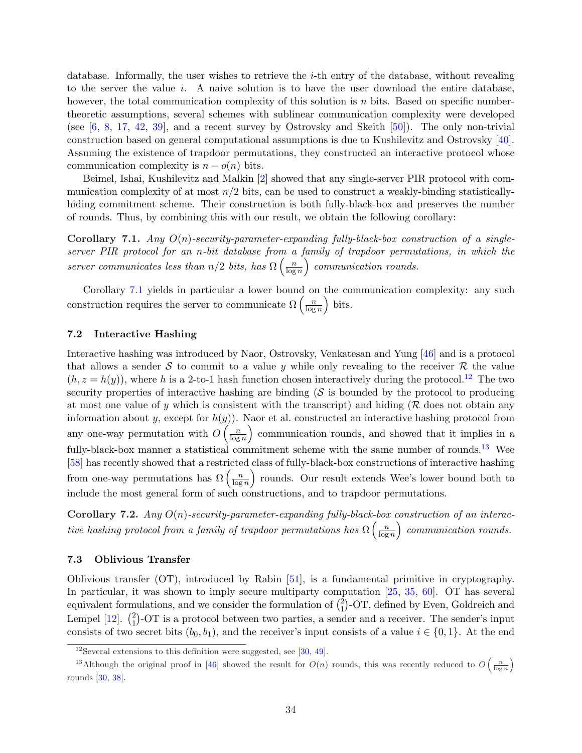database. Informally, the user wishes to retrieve the  $i$ -th entry of the database, without revealing to the server the value  $i$ . A naive solution is to have the user download the entire database, however, the total communication complexity of this solution is n bits. Based on specific numbertheoretic assumptions, several schemes with sublinear communication complexity were developed (see  $[6, 8, 17, 42, 39]$  $[6, 8, 17, 42, 39]$  $[6, 8, 17, 42, 39]$  $[6, 8, 17, 42, 39]$  $[6, 8, 17, 42, 39]$  $[6, 8, 17, 42, 39]$  $[6, 8, 17, 42, 39]$  $[6, 8, 17, 42, 39]$  $[6, 8, 17, 42, 39]$ , and a recent survey by Ostrovsky and Skeith  $[50]$ ). The only non-trivial construction based on general computational assumptions is due to Kushilevitz and Ostrovsky [\[40\]](#page-37-14). Assuming the existence of trapdoor permutations, they constructed an interactive protocol whose communication complexity is  $n - o(n)$  bits.

Beimel, Ishai, Kushilevitz and Malkin [\[2\]](#page-35-7) showed that any single-server PIR protocol with communication complexity of at most  $n/2$  bits, can be used to construct a weakly-binding statisticallyhiding commitment scheme. Their construction is both fully-black-box and preserves the number of rounds. Thus, by combining this with our result, we obtain the following corollary:

<span id="page-34-0"></span>Corollary 7.1. Any  $O(n)$ -security-parameter-expanding fully-black-box construction of a single $server$  PIR protocol for an n-bit database from a family of trapdoor permutations, in which the server communicates less than  $n/2$  bits, has  $\Omega\left(\frac{n}{\log n}\right)$  $\frac{n}{\log n}$  communication rounds.

Corollary [7.1](#page-34-0) yields in particular a lower bound on the communication complexity: any such Corollary 7.1 yields in particular a lower bound of construction requires the server to communicate  $\Omega\left(\frac{n}{\log n}\right)$  $\frac{n}{\log n}$  bits.

## 7.2 Interactive Hashing

Interactive hashing was introduced by Naor, Ostrovsky, Venkatesan and Yung [\[46\]](#page-38-5) and is a protocol that allows a sender S to commit to a value y while only revealing to the receiver R the value  $(h, z = h(y))$ , where h is a 2-to-1 hash function chosen interactively during the protocol.<sup>[12](#page-34-1)</sup> The two security properties of interactive hashing are binding  $(S$  is bounded by the protocol to producing at most one value of y which is consistent with the transcript) and hiding ( $\mathcal R$  does not obtain any information about y, except for  $h(y)$ ). Naor et al. constructed an interactive hashing protocol from any one-way permutation with  $O\left(\frac{n}{\log n}\right)$  $\left(\frac{n}{\log n}\right)$  communication rounds, and showed that it implies in a fully-black-box manner a statistical commitment scheme with the same number of rounds.<sup>[13](#page-34-2)</sup> Wee [\[58\]](#page-38-8) has recently showed that a restricted class of fully-black-box constructions of interactive hashing  $\frac{1}{8}$  has recently showed that a restricte<br>from one-way permutations has  $\Omega\left(\frac{n}{\log n}\right)$  $\left(\frac{n}{\log n}\right)$  rounds. Our result extends Wee's lower bound both to include the most general form of such constructions, and to trapdoor permutations.

**Corollary 7.2.** Any  $O(n)$ -security-parameter-expanding fully-black-box construction of an interactive hashing protocol from a family of trapdoor permutations has  $\Omega\left(\frac{n}{\log n}\right)$  $\frac{n}{\log n}$  communication rounds.

## 7.3 Oblivious Transfer

Oblivious transfer (OT), introduced by Rabin [\[51\]](#page-38-15), is a fundamental primitive in cryptography. In particular, it was shown to imply secure multiparty computation  $[25, 35, 60]$  $[25, 35, 60]$  $[25, 35, 60]$  $[25, 35, 60]$  $[25, 35, 60]$ . OT has several In particular, it was shown to imply secure multiparty component formulations, and we consider the formulation of  $\binom{2}{1}$ ulations, and we consider the formulation of  $\binom{2}{1}$ -OT, defined by Even, Goldreich and equivalent form<br>Lempel  $[12]$ .  $\binom{2}{1}$  $_{1}^{2}$ )-OT is a protocol between two parties, a sender and a receiver. The sender's input consists of two secret bits  $(b_0, b_1)$ , and the receiver's input consists of a value  $i \in \{0, 1\}$ . At the end

´

<span id="page-34-2"></span><span id="page-34-1"></span> $12$ Several extensions to this definition were suggested, see [\[30,](#page-37-8) [49\]](#page-38-4).

<sup>&</sup>lt;sup>13</sup>Although the original proof in [\[46\]](#page-38-5) showed the result for  $O(n)$  rounds, this was recently reduced to O  $\left(\frac{n}{\log n}\right)$ rounds [\[30,](#page-37-8) [38\]](#page-37-9).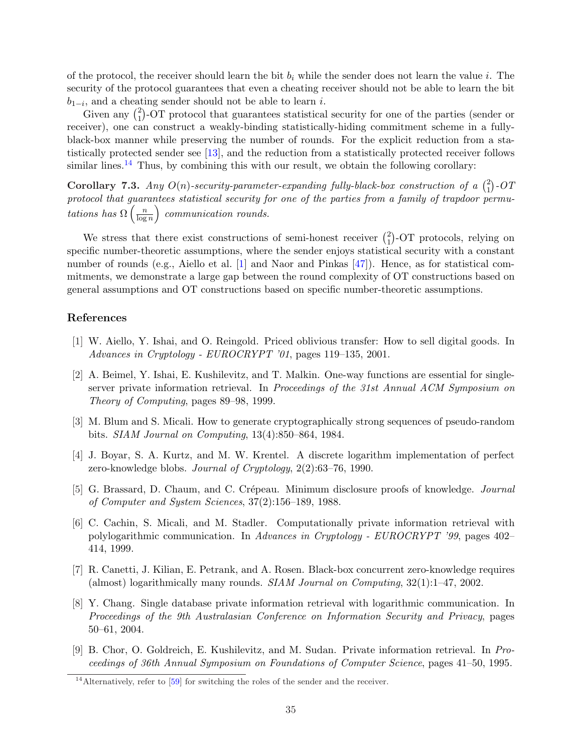of the protocol, the receiver should learn the bit  $b_i$  while the sender does not learn the value i. The security of the protocol guarantees that even a cheating receiver should not be able to learn the bit  $b_{1-i}$ , and a cheating sender should not be able to learn *i*.

 $\tilde{G}$ ;, and a cheat<br>Given any  $\binom{2}{1}$ 1 -OT protocol that guarantees statistical security for one of the parties (sender or receiver), one can construct a weakly-binding statistically-hiding commitment scheme in a fullyblack-box manner while preserving the number of rounds. For the explicit reduction from a statistically protected sender see [\[13\]](#page-36-8), and the reduction from a statistically protected receiver follows similar lines.<sup>[14](#page-35-8)</sup> Thus, by combining this with our result, we obtain the following corollary:

Corollary 7.3. Any  $O(n)$ -security-parameter-expanding fully-black-box construction of a  $\binom{2}{1}$ 1 ¢ -OT  $\emph{protocol that guarantees statistical security for one of the parties from a family of trapdoor permu-}$ tations has  $\Omega\left(\frac{n}{\log n}\right)$  $\frac{n}{\log n}$  communication rounds.

We stress that there exist constructions of semi-honest receiver  $\binom{2}{1}$ 1 ¢ -OT protocols, relying on specific number-theoretic assumptions, where the sender enjoys statistical security with a constant number of rounds (e.g., Aiello et al. [\[1\]](#page-35-9) and Naor and Pinkas [\[47\]](#page-38-17)). Hence, as for statistical commitments, we demonstrate a large gap between the round complexity of OT constructions based on general assumptions and OT constructions based on specific number-theoretic assumptions.

## References

- <span id="page-35-9"></span>[1] W. Aiello, Y. Ishai, and O. Reingold. Priced oblivious transfer: How to sell digital goods. In Advances in Cryptology - EUROCRYPT '01, pages 119–135, 2001.
- <span id="page-35-7"></span>[2] A. Beimel, Y. Ishai, E. Kushilevitz, and T. Malkin. One-way functions are essential for singleserver private information retrieval. In Proceedings of the 31st Annual ACM Symposium on Theory of Computing, pages 89–98, 1999.
- <span id="page-35-0"></span>[3] M. Blum and S. Micali. How to generate cryptographically strong sequences of pseudo-random bits. SIAM Journal on Computing, 13(4):850–864, 1984.
- <span id="page-35-2"></span>[4] J. Boyar, S. A. Kurtz, and M. W. Krentel. A discrete logarithm implementation of perfect zero-knowledge blobs. Journal of Cryptology, 2(2):63–76, 1990.
- <span id="page-35-1"></span>[5] G. Brassard, D. Chaum, and C. Crépeau. Minimum disclosure proofs of knowledge. *Journal* of Computer and System Sciences, 37(2):156–189, 1988.
- <span id="page-35-5"></span>[6] C. Cachin, S. Micali, and M. Stadler. Computationally private information retrieval with polylogarithmic communication. In Advances in Cryptology - EUROCRYPT '99, pages 402– 414, 1999.
- <span id="page-35-3"></span>[7] R. Canetti, J. Kilian, E. Petrank, and A. Rosen. Black-box concurrent zero-knowledge requires (almost) logarithmically many rounds.  $SIAM$  Journal on Computing,  $32(1):1-47$ ,  $2002$ .
- <span id="page-35-6"></span>[8] Y. Chang. Single database private information retrieval with logarithmic communication. In Proceedings of the 9th Australasian Conference on Information Security and Privacy, pages 50–61, 2004.
- <span id="page-35-4"></span>[9] B. Chor, O. Goldreich, E. Kushilevitz, and M. Sudan. Private information retrieval. In Proceedings of 36th Annual Symposium on Foundations of Computer Science, pages 41–50, 1995.

<span id="page-35-8"></span><sup>&</sup>lt;sup>14</sup>Alternatively, refer to [\[59\]](#page-38-18) for switching the roles of the sender and the receiver.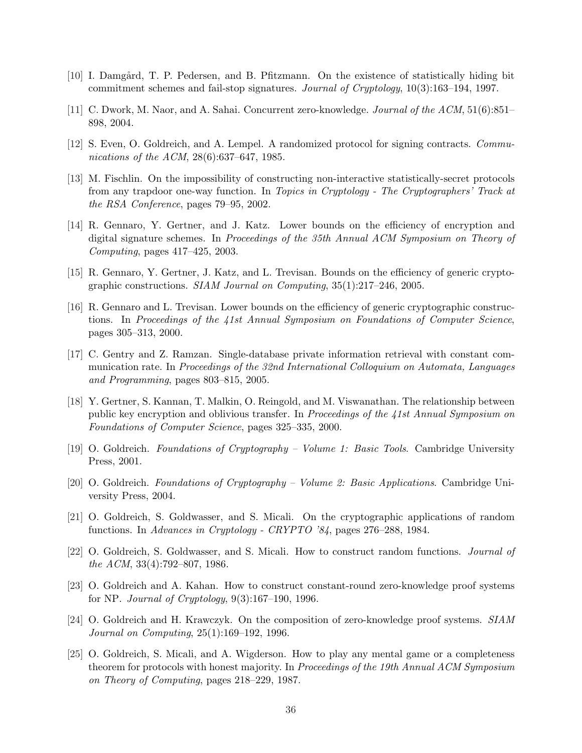- <span id="page-36-3"></span>[10] I. Damgård, T. P. Pedersen, and B. Pfitzmann. On the existence of statistically hiding bit commitment schemes and fail-stop signatures. Journal of Cryptology, 10(3):163–194, 1997.
- <span id="page-36-9"></span>[11] C. Dwork, M. Naor, and A. Sahai. Concurrent zero-knowledge. Journal of the ACM, 51(6):851– 898, 2004.
- <span id="page-36-15"></span>[12] S. Even, O. Goldreich, and A. Lempel. A randomized protocol for signing contracts. Communications of the ACM, 28(6):637–647, 1985.
- <span id="page-36-8"></span>[13] M. Fischlin. On the impossibility of constructing non-interactive statistically-secret protocols from any trapdoor one-way function. In Topics in Cryptology - The Cryptographers' Track at the RSA Conference, pages 79–95, 2002.
- <span id="page-36-6"></span>[14] R. Gennaro, Y. Gertner, and J. Katz. Lower bounds on the efficiency of encryption and digital signature schemes. In Proceedings of the 35th Annual ACM Symposium on Theory of Computing, pages 417–425, 2003.
- <span id="page-36-7"></span>[15] R. Gennaro, Y. Gertner, J. Katz, and L. Trevisan. Bounds on the efficiency of generic cryptographic constructions. SIAM Journal on Computing, 35(1):217–246, 2005.
- <span id="page-36-5"></span>[16] R. Gennaro and L. Trevisan. Lower bounds on the efficiency of generic cryptographic constructions. In Proceedings of the 41st Annual Symposium on Foundations of Computer Science, pages 305–313, 2000.
- <span id="page-36-13"></span>[17] C. Gentry and Z. Ramzan. Single-database private information retrieval with constant communication rate. In Proceedings of the 32nd International Colloquium on Automata, Languages and Programming, pages 803–815, 2005.
- <span id="page-36-4"></span>[18] Y. Gertner, S. Kannan, T. Malkin, O. Reingold, and M. Viswanathan. The relationship between public key encryption and oblivious transfer. In Proceedings of the 41st Annual Symposium on Foundations of Computer Science, pages 325–335, 2000.
- <span id="page-36-11"></span>[19] O. Goldreich. Foundations of Cryptography – Volume 1: Basic Tools. Cambridge University Press, 2001.
- <span id="page-36-12"></span>[20] O. Goldreich. Foundations of Cryptography – Volume 2: Basic Applications. Cambridge University Press, 2004.
- <span id="page-36-1"></span>[21] O. Goldreich, S. Goldwasser, and S. Micali. On the cryptographic applications of random functions. In Advances in Cryptology - CRYPTO '84, pages 276–288, 1984.
- <span id="page-36-0"></span>[22] O. Goldreich, S. Goldwasser, and S. Micali. How to construct random functions. Journal of the ACM, 33(4):792–807, 1986.
- <span id="page-36-2"></span>[23] O. Goldreich and A. Kahan. How to construct constant-round zero-knowledge proof systems for NP. *Journal of Cryptology*,  $9(3):167-190$ , 1996.
- <span id="page-36-10"></span>[24] O. Goldreich and H. Krawczyk. On the composition of zero-knowledge proof systems. SIAM Journal on Computing, 25(1):169–192, 1996.
- <span id="page-36-14"></span>[25] O. Goldreich, S. Micali, and A. Wigderson. How to play any mental game or a completeness theorem for protocols with honest majority. In Proceedings of the 19th Annual ACM Symposium on Theory of Computing, pages 218–229, 1987.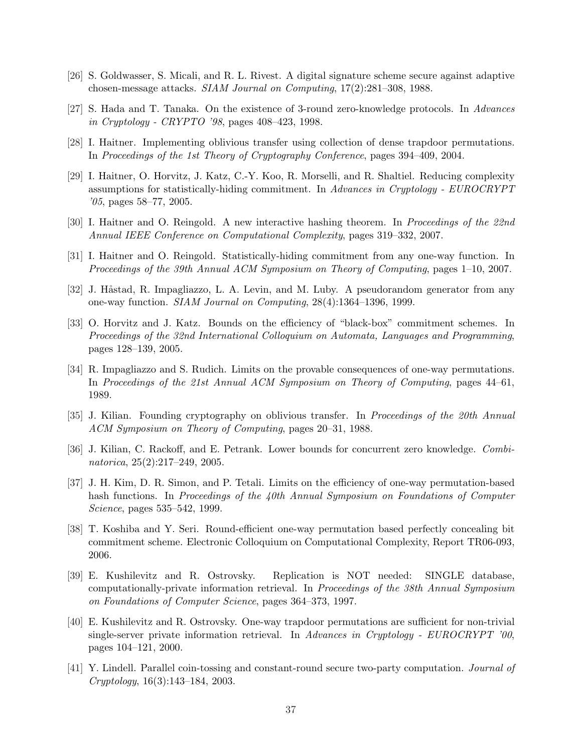- <span id="page-37-3"></span>[26] S. Goldwasser, S. Micali, and R. L. Rivest. A digital signature scheme secure against adaptive chosen-message attacks. SIAM Journal on Computing, 17(2):281–308, 1988.
- <span id="page-37-10"></span>[27] S. Hada and T. Tanaka. On the existence of 3-round zero-knowledge protocols. In Advances in Cryptology - CRYPTO '98, pages 408–423, 1998.
- <span id="page-37-12"></span>[28] I. Haitner. Implementing oblivious transfer using collection of dense trapdoor permutations. In Proceedings of the 1st Theory of Cryptography Conference, pages 394–409, 2004.
- <span id="page-37-4"></span>[29] I. Haitner, O. Horvitz, J. Katz, C.-Y. Koo, R. Morselli, and R. Shaltiel. Reducing complexity assumptions for statistically-hiding commitment. In Advances in Cryptology - EUROCRYPT '05, pages 58–77, 2005.
- <span id="page-37-8"></span>[30] I. Haitner and O. Reingold. A new interactive hashing theorem. In Proceedings of the 22nd Annual IEEE Conference on Computational Complexity, pages 319–332, 2007.
- <span id="page-37-1"></span>[31] I. Haitner and O. Reingold. Statistically-hiding commitment from any one-way function. In Proceedings of the 39th Annual ACM Symposium on Theory of Computing, pages 1–10, 2007.
- <span id="page-37-0"></span>[32] J. Håstad, R. Impagliazzo, L. A. Levin, and M. Luby. A pseudorandom generator from any one-way function. SIAM Journal on Computing, 28(4):1364–1396, 1999.
- <span id="page-37-7"></span>[33] O. Horvitz and J. Katz. Bounds on the efficiency of "black-box" commitment schemes. In Proceedings of the 32nd International Colloquium on Automata, Languages and Programming, pages 128–139, 2005.
- <span id="page-37-5"></span>[34] R. Impagliazzo and S. Rudich. Limits on the provable consequences of one-way permutations. In Proceedings of the 21st Annual ACM Symposium on Theory of Computing, pages 44–61, 1989.
- <span id="page-37-15"></span>[35] J. Kilian. Founding cryptography on oblivious transfer. In Proceedings of the 20th Annual ACM Symposium on Theory of Computing, pages 20–31, 1988.
- <span id="page-37-11"></span>[36] J. Kilian, C. Rackoff, and E. Petrank. Lower bounds for concurrent zero knowledge. Combinatorica, 25(2):217–249, 2005.
- <span id="page-37-6"></span>[37] J. H. Kim, D. R. Simon, and P. Tetali. Limits on the efficiency of one-way permutation-based hash functions. In Proceedings of the 40th Annual Symposium on Foundations of Computer Science, pages 535–542, 1999.
- <span id="page-37-9"></span>[38] T. Koshiba and Y. Seri. Round-efficient one-way permutation based perfectly concealing bit commitment scheme. Electronic Colloquium on Computational Complexity, Report TR06-093, 2006.
- <span id="page-37-13"></span>[39] E. Kushilevitz and R. Ostrovsky. Replication is NOT needed: SINGLE database, computationally-private information retrieval. In Proceedings of the 38th Annual Symposium on Foundations of Computer Science, pages 364–373, 1997.
- <span id="page-37-14"></span>[40] E. Kushilevitz and R. Ostrovsky. One-way trapdoor permutations are sufficient for non-trivial single-server private information retrieval. In Advances in Cryptology - EUROCRYPT '00, pages 104–121, 2000.
- <span id="page-37-2"></span>[41] Y. Lindell. Parallel coin-tossing and constant-round secure two-party computation. *Journal of* Cryptology, 16(3):143–184, 2003.